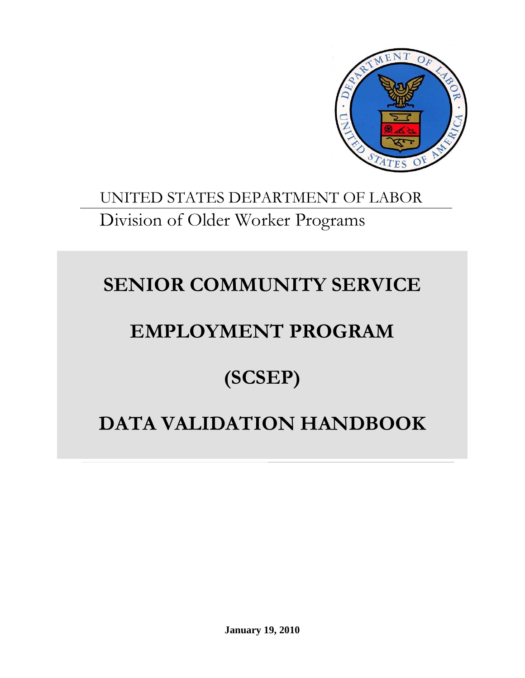

# UNITED STATES DEPARTMENT OF LABOR Division of Older Worker Programs

# **SENIOR COMMUNITY SERVICE**

# **EMPLOYMENT PROGRAM**

# **(SCSEP)**

# **DATA VALIDATION HANDBOOK**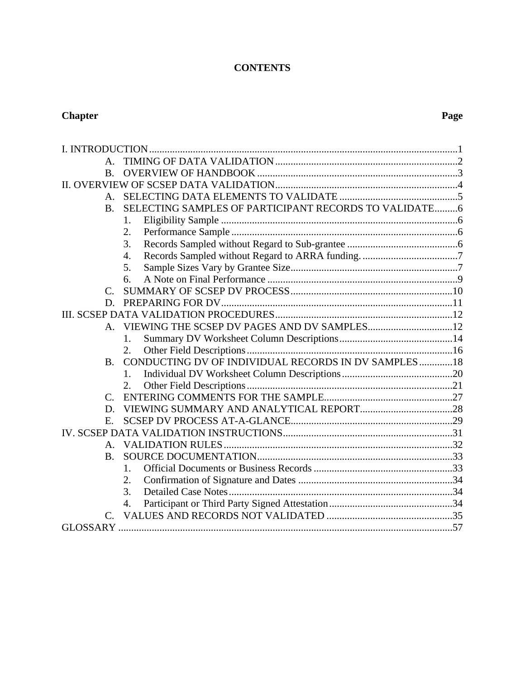# **CONTENTS**

#### **Chapter** Page **Page 2014**

| $A_{-}$        |                                                       |  |
|----------------|-------------------------------------------------------|--|
| $\mathbf{B}$   |                                                       |  |
|                |                                                       |  |
| А.             |                                                       |  |
| <b>B.</b>      | SELECTING SAMPLES OF PARTICIPANT RECORDS TO VALIDATE6 |  |
|                | 1.                                                    |  |
|                | 2.                                                    |  |
|                | 3.                                                    |  |
|                | $\overline{4}$ .                                      |  |
|                | 5.                                                    |  |
|                | 6.                                                    |  |
| C.             |                                                       |  |
| D.             |                                                       |  |
|                |                                                       |  |
| $\mathsf{A}$ . |                                                       |  |
|                | 1.                                                    |  |
|                | 2.                                                    |  |
| <b>B.</b>      | CONDUCTING DV OF INDIVIDUAL RECORDS IN DV SAMPLES18   |  |
|                | 1.                                                    |  |
|                | 2.                                                    |  |
| $\mathcal{C}$  |                                                       |  |
| D.             |                                                       |  |
| Ε.             |                                                       |  |
|                |                                                       |  |
| А.             |                                                       |  |
| <b>B.</b>      |                                                       |  |
|                | 1.                                                    |  |
|                | 2.                                                    |  |
|                | 3.                                                    |  |
|                | 4.                                                    |  |
| $C_{\cdot}$    |                                                       |  |
|                |                                                       |  |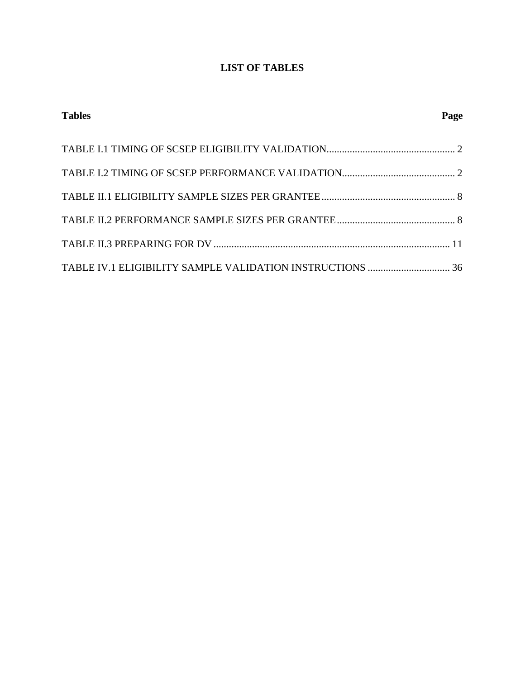# **LIST OF TABLES**

| <b>Tables</b> | Page |
|---------------|------|
|               |      |
|               |      |
|               |      |
|               |      |
|               |      |
|               |      |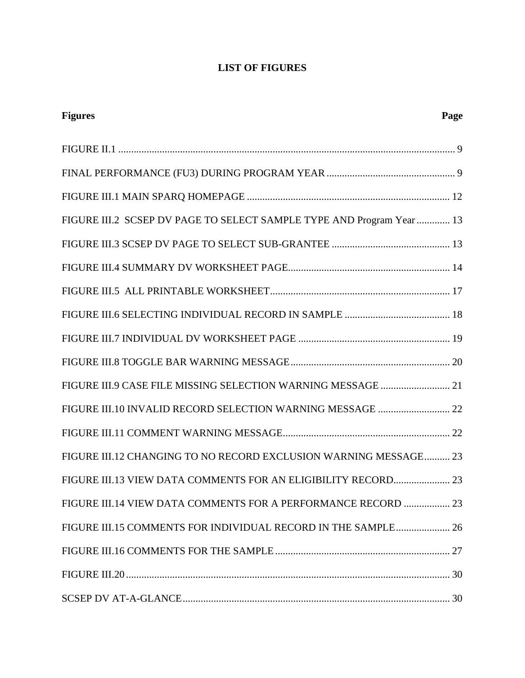# **LIST OF FIGURES**

| <b>Figures</b>                                                        | Page |
|-----------------------------------------------------------------------|------|
|                                                                       |      |
|                                                                       |      |
|                                                                       |      |
| FIGURE III.2 SCSEP DV PAGE TO SELECT SAMPLE TYPE AND Program Year  13 |      |
|                                                                       |      |
|                                                                       |      |
|                                                                       |      |
|                                                                       |      |
|                                                                       |      |
|                                                                       |      |
| FIGURE III.9 CASE FILE MISSING SELECTION WARNING MESSAGE  21          |      |
| FIGURE III.10 INVALID RECORD SELECTION WARNING MESSAGE  22            |      |
|                                                                       |      |
| FIGURE III.12 CHANGING TO NO RECORD EXCLUSION WARNING MESSAGE 23      |      |
| FIGURE III.13 VIEW DATA COMMENTS FOR AN ELIGIBILITY RECORD 23         |      |
| FIGURE III.14 VIEW DATA COMMENTS FOR A PERFORMANCE RECORD  23         |      |
| FIGURE III.15 COMMENTS FOR INDIVIDUAL RECORD IN THE SAMPLE 26         |      |
|                                                                       |      |
|                                                                       |      |
|                                                                       |      |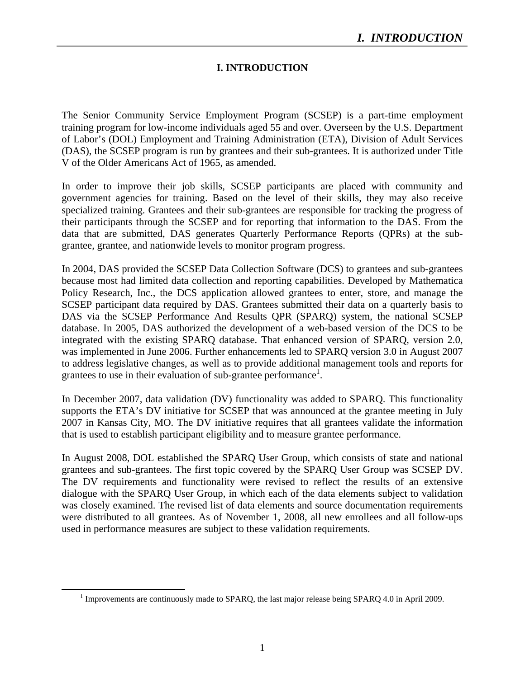# **I. INTRODUCTION**

The Senior Community Service Employment Program (SCSEP) is a part-time employment training program for low-income individuals aged 55 and over. Overseen by the U.S. Department of Labor's (DOL) Employment and Training Administration (ETA), Division of Adult Services (DAS), the SCSEP program is run by grantees and their sub-grantees. It is authorized under Title V of the Older Americans Act of 1965, as amended.

In order to improve their job skills, SCSEP participants are placed with community and government agencies for training. Based on the level of their skills, they may also receive specialized training. Grantees and their sub-grantees are responsible for tracking the progress of their participants through the SCSEP and for reporting that information to the DAS. From the data that are submitted, DAS generates Quarterly Performance Reports (QPRs) at the subgrantee, grantee, and nationwide levels to monitor program progress.

In 2004, DAS provided the SCSEP Data Collection Software (DCS) to grantees and sub-grantees because most had limited data collection and reporting capabilities. Developed by Mathematica Policy Research, Inc., the DCS application allowed grantees to enter, store, and manage the SCSEP participant data required by DAS. Grantees submitted their data on a quarterly basis to DAS via the SCSEP Performance And Results QPR (SPARQ) system, the national SCSEP database. In 2005, DAS authorized the development of a web-based version of the DCS to be integrated with the existing SPARQ database. That enhanced version of SPARQ, version 2.0, was implemented in June 2006. Further enhancements led to SPARQ version 3.0 in August 2007 to address legislative changes, as well as to provide additional management tools and reports for grantees to use in their evaluation of sub-grantee performance<sup>1</sup>.

In December 2007, data validation (DV) functionality was added to SPARQ. This functionality supports the ETA's DV initiative for SCSEP that was announced at the grantee meeting in July 2007 in Kansas City, MO. The DV initiative requires that all grantees validate the information that is used to establish participant eligibility and to measure grantee performance.

In August 2008, DOL established the SPARQ User Group, which consists of state and national grantees and sub-grantees. The first topic covered by the SPARQ User Group was SCSEP DV. The DV requirements and functionality were revised to reflect the results of an extensive dialogue with the SPARQ User Group, in which each of the data elements subject to validation was closely examined. The revised list of data elements and source documentation requirements were distributed to all grantees. As of November 1, 2008, all new enrollees and all follow-ups used in performance measures are subject to these validation requirements.

 <sup>1</sup> Improvements are continuously made to SPARQ, the last major release being SPARQ 4.0 in April 2009.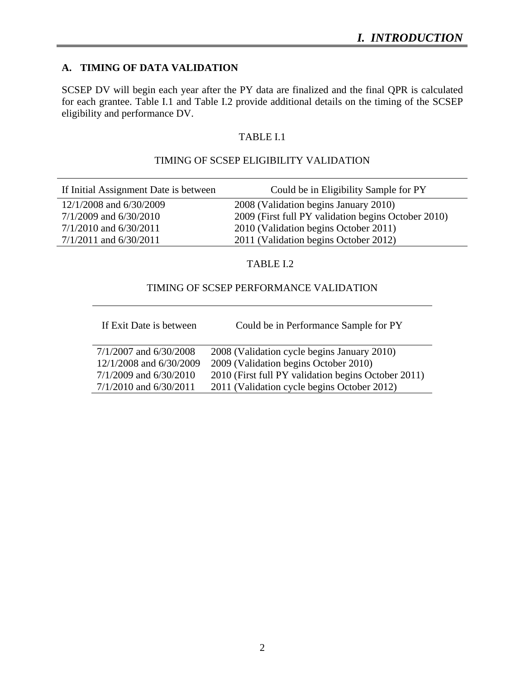#### **A. TIMING OF DATA VALIDATION**

SCSEP DV will begin each year after the PY data are finalized and the final QPR is calculated for each grantee. Table I.1 and Table I.2 provide additional details on the timing of the SCSEP eligibility and performance DV.

#### TABLE I.1

#### TIMING OF SCSEP ELIGIBILITY VALIDATION

| If Initial Assignment Date is between | Could be in Eligibility Sample for PY               |
|---------------------------------------|-----------------------------------------------------|
| 12/1/2008 and 6/30/2009               | 2008 (Validation begins January 2010)               |
| $7/1/2009$ and $6/30/2010$            | 2009 (First full PY validation begins October 2010) |
| $7/1/2010$ and $6/30/2011$            | 2010 (Validation begins October 2011)               |
| $7/1/2011$ and $6/30/2011$            | 2011 (Validation begins October 2012)               |
|                                       |                                                     |

#### TABLE I.2

#### TIMING OF SCSEP PERFORMANCE VALIDATION

J.

If Exit Date is between Could be in Performance Sample for PY

| $7/1/2007$ and $6/30/2008$ | 2008 (Validation cycle begins January 2010)         |
|----------------------------|-----------------------------------------------------|
| 12/1/2008 and 6/30/2009    | 2009 (Validation begins October 2010)               |
| $7/1/2009$ and $6/30/2010$ | 2010 (First full PY validation begins October 2011) |
| $7/1/2010$ and $6/30/2011$ | 2011 (Validation cycle begins October 2012)         |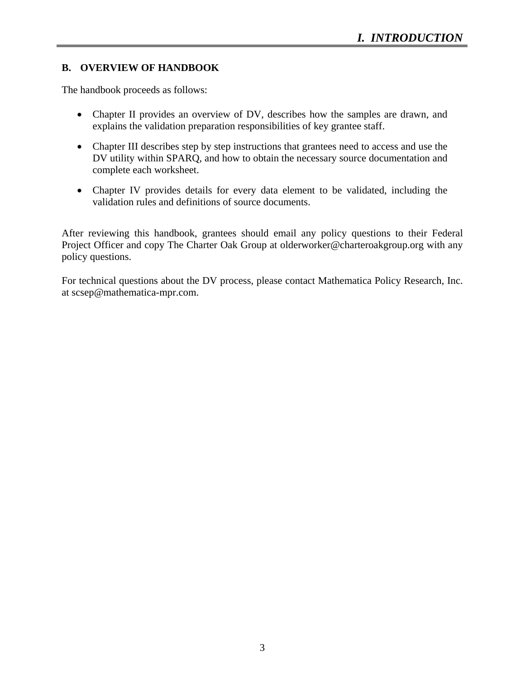# **B. OVERVIEW OF HANDBOOK**

The handbook proceeds as follows:

- Chapter II provides an overview of DV, describes how the samples are drawn, and explains the validation preparation responsibilities of key grantee staff.
- Chapter III describes step by step instructions that grantees need to access and use the DV utility within SPARQ, and how to obtain the necessary source documentation and complete each worksheet.
- Chapter IV provides details for every data element to be validated, including the validation rules and definitions of source documents.

After reviewing this handbook, grantees should email any policy questions to their Federal Project Officer and copy The Charter Oak Group at olderworker@charteroakgroup.org with any policy questions.

For technical questions about the DV process, please contact Mathematica Policy Research, Inc. at scsep@mathematica-mpr.com.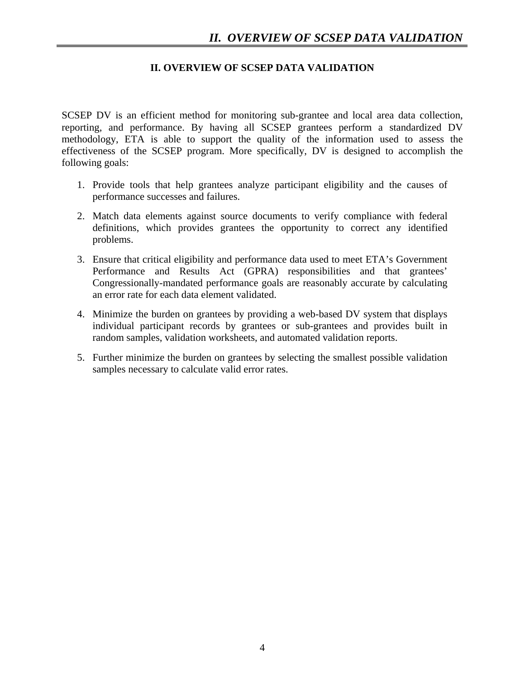### **II. OVERVIEW OF SCSEP DATA VALIDATION**

SCSEP DV is an efficient method for monitoring sub-grantee and local area data collection, reporting, and performance. By having all SCSEP grantees perform a standardized DV methodology, ETA is able to support the quality of the information used to assess the effectiveness of the SCSEP program. More specifically, DV is designed to accomplish the following goals:

- 1. Provide tools that help grantees analyze participant eligibility and the causes of performance successes and failures.
- 2. Match data elements against source documents to verify compliance with federal definitions, which provides grantees the opportunity to correct any identified problems.
- 3. Ensure that critical eligibility and performance data used to meet ETA's Government Performance and Results Act (GPRA) responsibilities and that grantees' Congressionally-mandated performance goals are reasonably accurate by calculating an error rate for each data element validated.
- 4. Minimize the burden on grantees by providing a web-based DV system that displays individual participant records by grantees or sub-grantees and provides built in random samples, validation worksheets, and automated validation reports.
- 5. Further minimize the burden on grantees by selecting the smallest possible validation samples necessary to calculate valid error rates.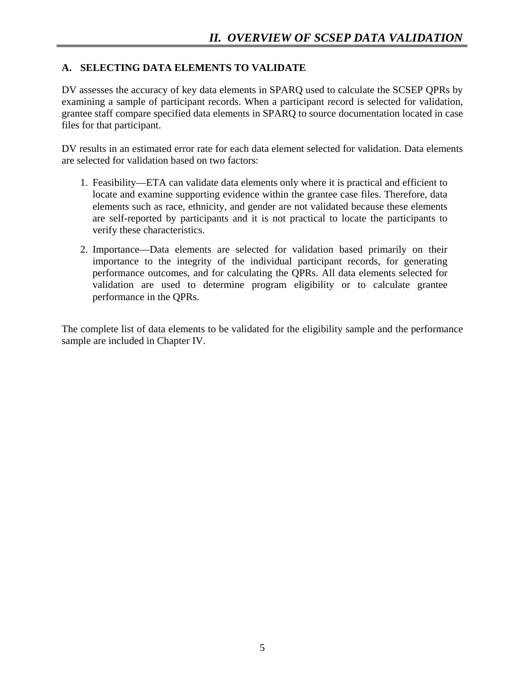# **A. SELECTING DATA ELEMENTS TO VALIDATE**

DV assesses the accuracy of key data elements in SPARQ used to calculate the SCSEP QPRs by examining a sample of participant records. When a participant record is selected for validation, grantee staff compare specified data elements in SPARQ to source documentation located in case files for that participant.

DV results in an estimated error rate for each data element selected for validation. Data elements are selected for validation based on two factors:

- 1. Feasibility—ETA can validate data elements only where it is practical and efficient to locate and examine supporting evidence within the grantee case files. Therefore, data elements such as race, ethnicity, and gender are not validated because these elements are self-reported by participants and it is not practical to locate the participants to verify these characteristics.
- 2. Importance—Data elements are selected for validation based primarily on their importance to the integrity of the individual participant records, for generating performance outcomes, and for calculating the QPRs. All data elements selected for validation are used to determine program eligibility or to calculate grantee performance in the QPRs.

The complete list of data elements to be validated for the eligibility sample and the performance sample are included in Chapter IV.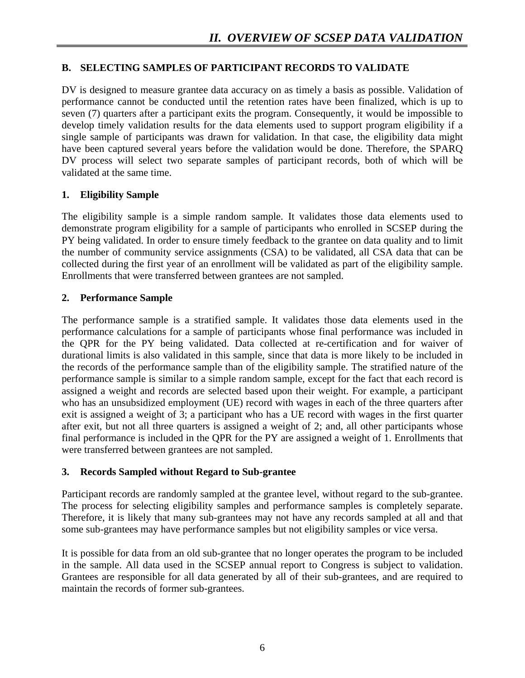# **B. SELECTING SAMPLES OF PARTICIPANT RECORDS TO VALIDATE**

DV is designed to measure grantee data accuracy on as timely a basis as possible. Validation of performance cannot be conducted until the retention rates have been finalized, which is up to seven (7) quarters after a participant exits the program. Consequently, it would be impossible to develop timely validation results for the data elements used to support program eligibility if a single sample of participants was drawn for validation. In that case, the eligibility data might have been captured several years before the validation would be done. Therefore, the SPARQ DV process will select two separate samples of participant records, both of which will be validated at the same time.

### **1. Eligibility Sample**

The eligibility sample is a simple random sample. It validates those data elements used to demonstrate program eligibility for a sample of participants who enrolled in SCSEP during the PY being validated. In order to ensure timely feedback to the grantee on data quality and to limit the number of community service assignments (CSA) to be validated, all CSA data that can be collected during the first year of an enrollment will be validated as part of the eligibility sample. Enrollments that were transferred between grantees are not sampled.

### **2. Performance Sample**

The performance sample is a stratified sample. It validates those data elements used in the performance calculations for a sample of participants whose final performance was included in the QPR for the PY being validated. Data collected at re-certification and for waiver of durational limits is also validated in this sample, since that data is more likely to be included in the records of the performance sample than of the eligibility sample. The stratified nature of the performance sample is similar to a simple random sample, except for the fact that each record is assigned a weight and records are selected based upon their weight. For example, a participant who has an unsubsidized employment (UE) record with wages in each of the three quarters after exit is assigned a weight of 3; a participant who has a UE record with wages in the first quarter after exit, but not all three quarters is assigned a weight of 2; and, all other participants whose final performance is included in the QPR for the PY are assigned a weight of 1. Enrollments that were transferred between grantees are not sampled.

# **3. Records Sampled without Regard to Sub-grantee**

Participant records are randomly sampled at the grantee level, without regard to the sub-grantee. The process for selecting eligibility samples and performance samples is completely separate. Therefore, it is likely that many sub-grantees may not have any records sampled at all and that some sub-grantees may have performance samples but not eligibility samples or vice versa.

It is possible for data from an old sub-grantee that no longer operates the program to be included in the sample. All data used in the SCSEP annual report to Congress is subject to validation. Grantees are responsible for all data generated by all of their sub-grantees, and are required to maintain the records of former sub-grantees.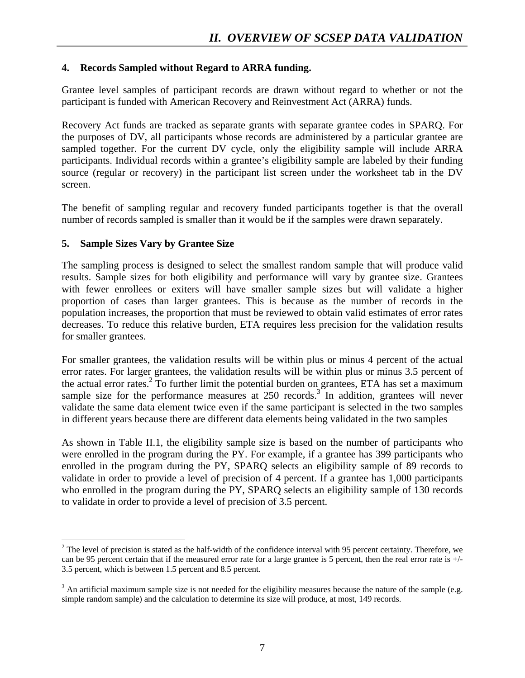#### **4. Records Sampled without Regard to ARRA funding.**

Grantee level samples of participant records are drawn without regard to whether or not the participant is funded with American Recovery and Reinvestment Act (ARRA) funds.

Recovery Act funds are tracked as separate grants with separate grantee codes in SPARQ. For the purposes of DV, all participants whose records are administered by a particular grantee are sampled together. For the current DV cycle, only the eligibility sample will include ARRA participants. Individual records within a grantee's eligibility sample are labeled by their funding source (regular or recovery) in the participant list screen under the worksheet tab in the DV screen.

The benefit of sampling regular and recovery funded participants together is that the overall number of records sampled is smaller than it would be if the samples were drawn separately.

### **5. Sample Sizes Vary by Grantee Size**

The sampling process is designed to select the smallest random sample that will produce valid results. Sample sizes for both eligibility and performance will vary by grantee size. Grantees with fewer enrollees or exiters will have smaller sample sizes but will validate a higher proportion of cases than larger grantees. This is because as the number of records in the population increases, the proportion that must be reviewed to obtain valid estimates of error rates decreases. To reduce this relative burden, ETA requires less precision for the validation results for smaller grantees.

For smaller grantees, the validation results will be within plus or minus 4 percent of the actual error rates. For larger grantees, the validation results will be within plus or minus 3.5 percent of the actual error rates.<sup>2</sup> To further limit the potential burden on grantees, ETA has set a maximum sample size for the performance measures at  $250$  records.<sup>3</sup> In addition, grantees will never validate the same data element twice even if the same participant is selected in the two samples in different years because there are different data elements being validated in the two samples

As shown in Table II.1, the eligibility sample size is based on the number of participants who were enrolled in the program during the PY. For example, if a grantee has 399 participants who enrolled in the program during the PY, SPARQ selects an eligibility sample of 89 records to validate in order to provide a level of precision of 4 percent. If a grantee has 1,000 participants who enrolled in the program during the PY, SPARQ selects an eligibility sample of 130 records to validate in order to provide a level of precision of 3.5 percent.

<sup>&</sup>lt;sup>2</sup> The level of precision is stated as the half-width of the confidence interval with 95 percent certainty. Therefore, we can be 95 percent certain that if the measured error rate for a large grantee is 5 percent, then the real error rate is +/- 3.5 percent, which is between 1.5 percent and 8.5 percent.

 $3$  An artificial maximum sample size is not needed for the eligibility measures because the nature of the sample (e.g. simple random sample) and the calculation to determine its size will produce, at most, 149 records.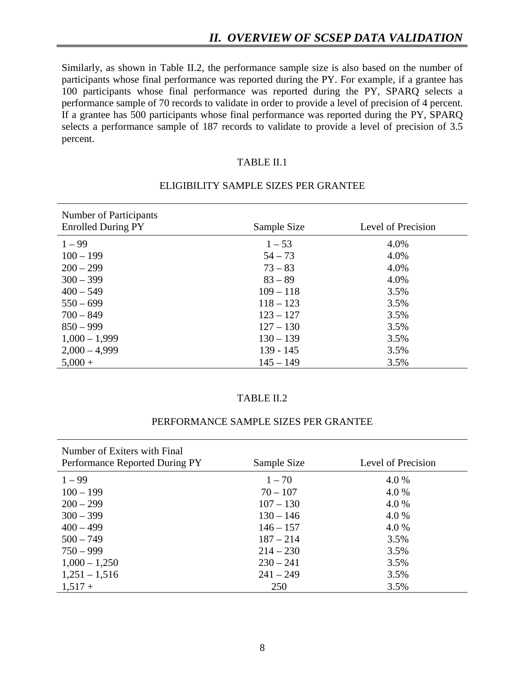Similarly, as shown in Table II.2, the performance sample size is also based on the number of participants whose final performance was reported during the PY. For example, if a grantee has 100 participants whose final performance was reported during the PY, SPARQ selects a performance sample of 70 records to validate in order to provide a level of precision of 4 percent. If a grantee has 500 participants whose final performance was reported during the PY, SPARQ selects a performance sample of 187 records to validate to provide a level of precision of 3.5 percent.

#### TABLE II.1

| Number of Participants<br><b>Enrolled During PY</b> | Sample Size | Level of Precision |
|-----------------------------------------------------|-------------|--------------------|
| $1 - 99$                                            | $1 - 53$    | 4.0%               |
| $100 - 199$                                         | $54 - 73$   | 4.0%               |
| $200 - 299$                                         | $73 - 83$   | 4.0%               |
| $300 - 399$                                         | $83 - 89$   | 4.0%               |
| $400 - 549$                                         | $109 - 118$ | 3.5%               |
| $550 - 699$                                         | $118 - 123$ | 3.5%               |
| $700 - 849$                                         | $123 - 127$ | 3.5%               |
| $850 - 999$                                         | $127 - 130$ | 3.5%               |
| $1,000 - 1,999$                                     | $130 - 139$ | 3.5%               |
| $2,000 - 4,999$                                     | $139 - 145$ | 3.5%               |
| $5,000 +$                                           | $145 - 149$ | 3.5%               |

#### ELIGIBILITY SAMPLE SIZES PER GRANTEE

#### TABLE II.2

#### PERFORMANCE SAMPLE SIZES PER GRANTEE

| Number of Exiters with Final<br>Performance Reported During PY | Sample Size | Level of Precision |
|----------------------------------------------------------------|-------------|--------------------|
| $1 - 99$                                                       | $1 - 70$    | 4.0 %              |
| $100 - 199$                                                    | $70 - 107$  | 4.0 %              |
| $200 - 299$                                                    | $107 - 130$ | 4.0 %              |
| $300 - 399$                                                    | $130 - 146$ | 4.0 %              |
| $400 - 499$                                                    | $146 - 157$ | 4.0 %              |
| $500 - 749$                                                    | $187 - 214$ | 3.5%               |
| $750 - 999$                                                    | $214 - 230$ | 3.5%               |
| $1,000 - 1,250$                                                | $230 - 241$ | 3.5%               |
| $1,251 - 1,516$                                                | $241 - 249$ | 3.5%               |
| $1,517+$                                                       | 250         | 3.5%               |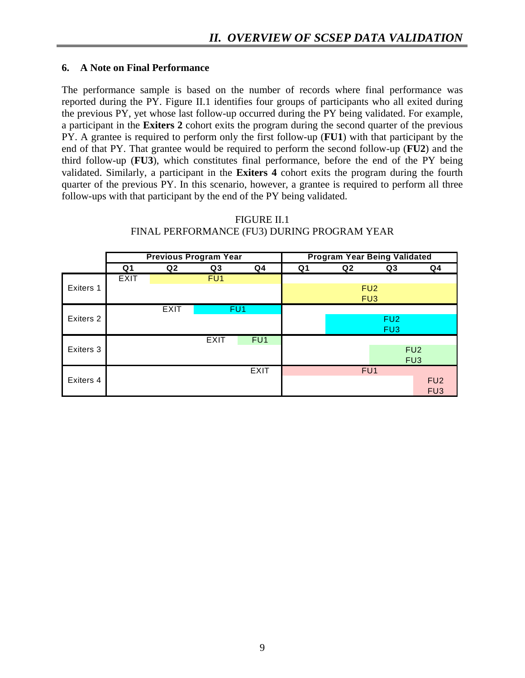### **6. A Note on Final Performance**

The performance sample is based on the number of records where final performance was reported during the PY. Figure II.1 identifies four groups of participants who all exited during the previous PY, yet whose last follow-up occurred during the PY being validated. For example, a participant in the **Exiters 2** cohort exits the program during the second quarter of the previous PY. A grantee is required to perform only the first follow-up (**FU1**) with that participant by the end of that PY. That grantee would be required to perform the second follow-up (**FU2**) and the third follow-up (**FU3**), which constitutes final performance, before the end of the PY being validated. Similarly, a participant in the **Exiters 4** cohort exits the program during the fourth quarter of the previous PY. In this scenario, however, a grantee is required to perform all three follow-ups with that participant by the end of the PY being validated.

|           | <b>Previous Program Year</b> |                |                 |                 |                | <b>Program Year Being Validated</b> |                 |                 |
|-----------|------------------------------|----------------|-----------------|-----------------|----------------|-------------------------------------|-----------------|-----------------|
|           | Q1                           | Q <sub>2</sub> | Q3              | Q4              | Q <sub>1</sub> | Q <sub>2</sub>                      | Q3              | Q <sub>4</sub>  |
|           | <b>EXIT</b>                  |                | FU <sub>1</sub> |                 |                |                                     |                 |                 |
| Exiters 1 |                              |                |                 |                 |                |                                     | FU <sub>2</sub> |                 |
|           |                              |                |                 |                 |                |                                     | FU <sub>3</sub> |                 |
|           |                              | <b>EXIT</b>    |                 | FU <sub>1</sub> |                |                                     |                 |                 |
| Exiters 2 |                              |                |                 |                 |                |                                     | FU <sub>2</sub> |                 |
|           |                              |                |                 |                 |                |                                     | FU3             |                 |
|           |                              |                | <b>EXIT</b>     | FU <sub>1</sub> |                |                                     |                 |                 |
| Exiters 3 |                              |                |                 |                 |                |                                     |                 | FU <sub>2</sub> |
|           |                              |                |                 |                 |                |                                     |                 | FU <sub>3</sub> |
|           |                              |                |                 | <b>EXIT</b>     |                |                                     | FU <sub>1</sub> |                 |
| Exiters 4 |                              |                |                 |                 |                |                                     |                 | FU <sub>2</sub> |
|           |                              |                |                 |                 |                |                                     |                 | FU <sub>3</sub> |

#### FIGURE II.1 FINAL PERFORMANCE (FU3) DURING PROGRAM YEAR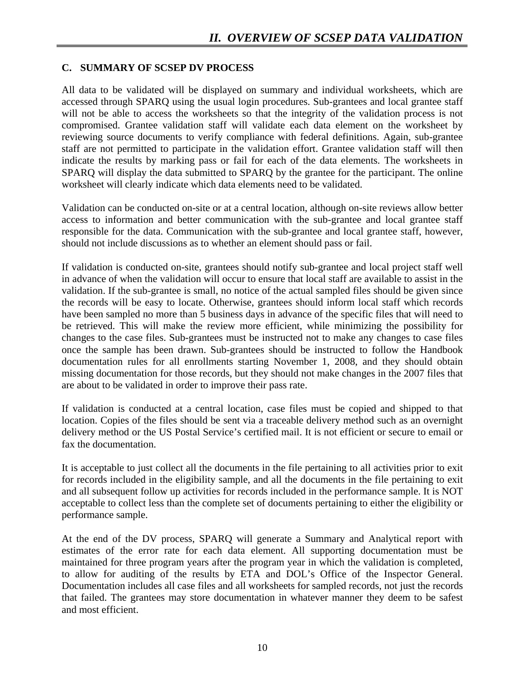### **C. SUMMARY OF SCSEP DV PROCESS**

All data to be validated will be displayed on summary and individual worksheets, which are accessed through SPARQ using the usual login procedures. Sub-grantees and local grantee staff will not be able to access the worksheets so that the integrity of the validation process is not compromised. Grantee validation staff will validate each data element on the worksheet by reviewing source documents to verify compliance with federal definitions. Again, sub-grantee staff are not permitted to participate in the validation effort. Grantee validation staff will then indicate the results by marking pass or fail for each of the data elements. The worksheets in SPARQ will display the data submitted to SPARQ by the grantee for the participant. The online worksheet will clearly indicate which data elements need to be validated.

Validation can be conducted on-site or at a central location, although on-site reviews allow better access to information and better communication with the sub-grantee and local grantee staff responsible for the data. Communication with the sub-grantee and local grantee staff, however, should not include discussions as to whether an element should pass or fail.

If validation is conducted on-site, grantees should notify sub-grantee and local project staff well in advance of when the validation will occur to ensure that local staff are available to assist in the validation. If the sub-grantee is small, no notice of the actual sampled files should be given since the records will be easy to locate. Otherwise, grantees should inform local staff which records have been sampled no more than 5 business days in advance of the specific files that will need to be retrieved. This will make the review more efficient, while minimizing the possibility for changes to the case files. Sub-grantees must be instructed not to make any changes to case files once the sample has been drawn. Sub-grantees should be instructed to follow the Handbook documentation rules for all enrollments starting November 1, 2008, and they should obtain missing documentation for those records, but they should not make changes in the 2007 files that are about to be validated in order to improve their pass rate.

If validation is conducted at a central location, case files must be copied and shipped to that location. Copies of the files should be sent via a traceable delivery method such as an overnight delivery method or the US Postal Service's certified mail. It is not efficient or secure to email or fax the documentation.

It is acceptable to just collect all the documents in the file pertaining to all activities prior to exit for records included in the eligibility sample, and all the documents in the file pertaining to exit and all subsequent follow up activities for records included in the performance sample. It is NOT acceptable to collect less than the complete set of documents pertaining to either the eligibility or performance sample.

At the end of the DV process, SPARQ will generate a Summary and Analytical report with estimates of the error rate for each data element. All supporting documentation must be maintained for three program years after the program year in which the validation is completed, to allow for auditing of the results by ETA and DOL's Office of the Inspector General. Documentation includes all case files and all worksheets for sampled records, not just the records that failed. The grantees may store documentation in whatever manner they deem to be safest and most efficient.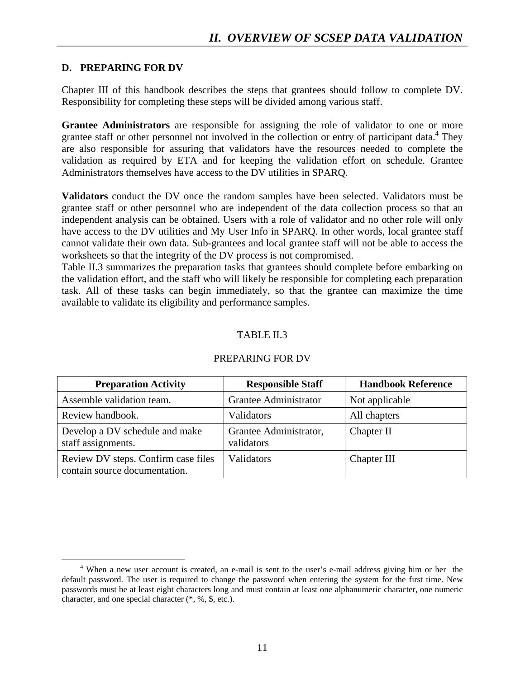### **D. PREPARING FOR DV**

Chapter III of this handbook describes the steps that grantees should follow to complete DV. Responsibility for completing these steps will be divided among various staff.

**Grantee Administrators** are responsible for assigning the role of validator to one or more grantee staff or other personnel not involved in the collection or entry of participant data.<sup>4</sup> They are also responsible for assuring that validators have the resources needed to complete the validation as required by ETA and for keeping the validation effort on schedule. Grantee Administrators themselves have access to the DV utilities in SPARQ.

**Validators** conduct the DV once the random samples have been selected. Validators must be grantee staff or other personnel who are independent of the data collection process so that an independent analysis can be obtained. Users with a role of validator and no other role will only have access to the DV utilities and My User Info in SPARQ. In other words, local grantee staff cannot validate their own data. Sub-grantees and local grantee staff will not be able to access the worksheets so that the integrity of the DV process is not compromised.

Table II.3 summarizes the preparation tasks that grantees should complete before embarking on the validation effort, and the staff who will likely be responsible for completing each preparation task. All of these tasks can begin immediately, so that the grantee can maximize the time available to validate its eligibility and performance samples.

# TABLE II.3

| <b>Preparation Activity</b>                                          | <b>Responsible Staff</b>             | <b>Handbook Reference</b> |
|----------------------------------------------------------------------|--------------------------------------|---------------------------|
| Assemble validation team.                                            | Grantee Administrator                | Not applicable            |
| Review handbook.                                                     | Validators                           | All chapters              |
| Develop a DV schedule and make<br>staff assignments.                 | Grantee Administrator,<br>validators | Chapter II                |
| Review DV steps. Confirm case files<br>contain source documentation. | Validators                           | Chapter III               |

#### PREPARING FOR DV

 $\overline{4}$  When a new user account is created, an e-mail is sent to the user's e-mail address giving him or her the default password. The user is required to change the password when entering the system for the first time. New passwords must be at least eight characters long and must contain at least one alphanumeric character, one numeric character, and one special character (\*, %, \$, etc.).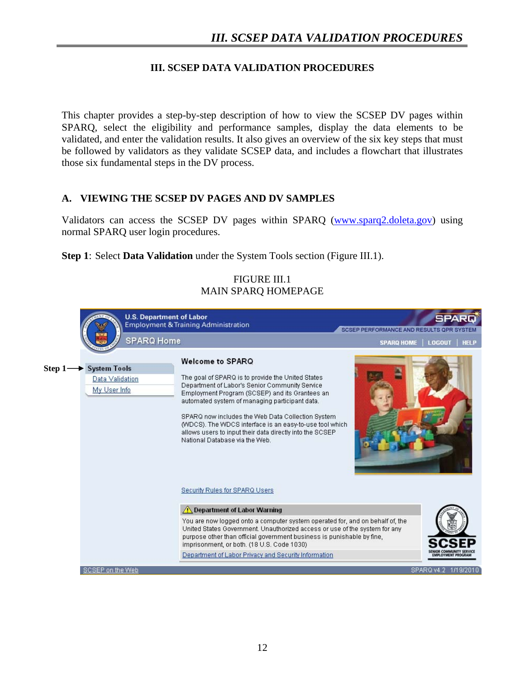# **III. SCSEP DATA VALIDATION PROCEDURES**

This chapter provides a step-by-step description of how to view the SCSEP DV pages within SPARQ, select the eligibility and performance samples, display the data elements to be validated, and enter the validation results. It also gives an overview of the six key steps that must be followed by validators as they validate SCSEP data, and includes a flowchart that illustrates those six fundamental steps in the DV process.

# **A. VIEWING THE SCSEP DV PAGES AND DV SAMPLES**

Validators can access the SCSEP DV pages within SPARQ (www.sparq2.doleta.gov) using normal SPARQ user login procedures.

**Step 1**: Select **Data Validation** under the System Tools section (Figure III.1).

#### FIGURE III.1 MAIN SPARQ HOMEPAGE

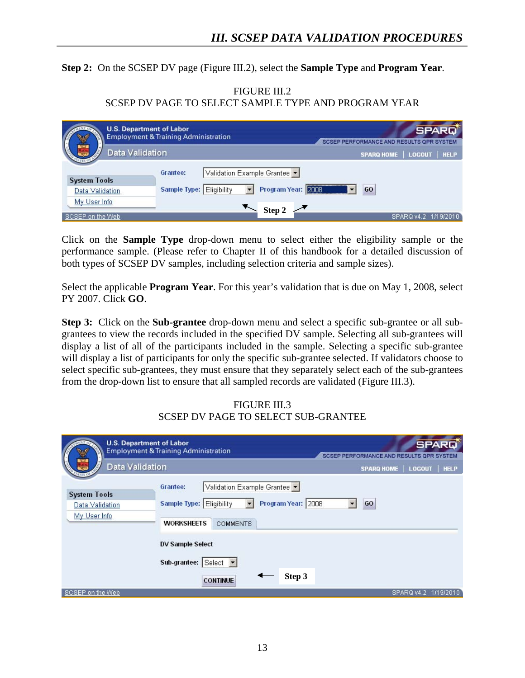**Step 2:** On the SCSEP DV page (Figure III.2), select the **Sample Type** and **Program Year**.

| FIGURE III.2                                         |  |
|------------------------------------------------------|--|
| SCSEP DV PAGE TO SELECT SAMPLE TYPE AND PROGRAM YEAR |  |

|                                  | <b>U.S. Department of Labor</b><br><b>Employment &amp; Training Administration</b> | <b>SPARQ</b><br>SCSEP PERFORMANCE AND RESULTS OPR SYSTEM |
|----------------------------------|------------------------------------------------------------------------------------|----------------------------------------------------------|
| Data Validation<br>কে            |                                                                                    | <b>HELP</b><br><b>SPARQ HOME</b><br><b>LOGOUT</b>        |
| <b>System Tools</b>              | Validation Example Grantee<br>Grantee:                                             |                                                          |
| Data Validation                  | Program Year: 2008<br>Sample Type: Eligibility                                     | GO                                                       |
| My User Info<br>SCSEP on the Web | Step 2                                                                             | SPARQ v4.2 1/19/2010                                     |

Click on the **Sample Type** drop-down menu to select either the eligibility sample or the performance sample. (Please refer to Chapter II of this handbook for a detailed discussion of both types of SCSEP DV samples, including selection criteria and sample sizes).

Select the applicable **Program Year**. For this year's validation that is due on May 1, 2008, select PY 2007. Click **GO**.

**Step 3:** Click on the **Sub-grantee** drop-down menu and select a specific sub-grantee or all subgrantees to view the records included in the specified DV sample. Selecting all sub-grantees will display a list of all of the participants included in the sample. Selecting a specific sub-grantee will display a list of participants for only the specific sub-grantee selected. If validators choose to select specific sub-grantees, they must ensure that they separately select each of the sub-grantees from the drop-down list to ensure that all sampled records are validated (Figure III.3).

# FIGURE III.3 SCSEP DV PAGE TO SELECT SUB-GRANTEE

| Data Validation<br>εw                                  | <b>U.S. Department of Labor</b><br><b>Employment &amp; Training Administration</b>                                                         | <b>SPARD</b><br>SCSEP PERFORMANCE AND RESULTS OPR SYSTEM<br><b>SPARQ HOME</b><br><b>HELP</b><br>LOGOUT |
|--------------------------------------------------------|--------------------------------------------------------------------------------------------------------------------------------------------|--------------------------------------------------------------------------------------------------------|
| <b>System Tools</b><br>Data Validation<br>My User Info | Validation Example Grantee<br>Grantee:<br>Program Year: 2008<br>Eligibility<br><b>Sample Type:</b><br><b>WORKSHEETS</b><br><b>COMMENTS</b> | GO                                                                                                     |
|                                                        | <b>DV Sample Select</b><br>Sub-grantee: Select v                                                                                           |                                                                                                        |
| SCSEP on the Web                                       | <b>CONTINUE</b>                                                                                                                            | Step 3<br>SPARQ v4.2 1/19/2010                                                                         |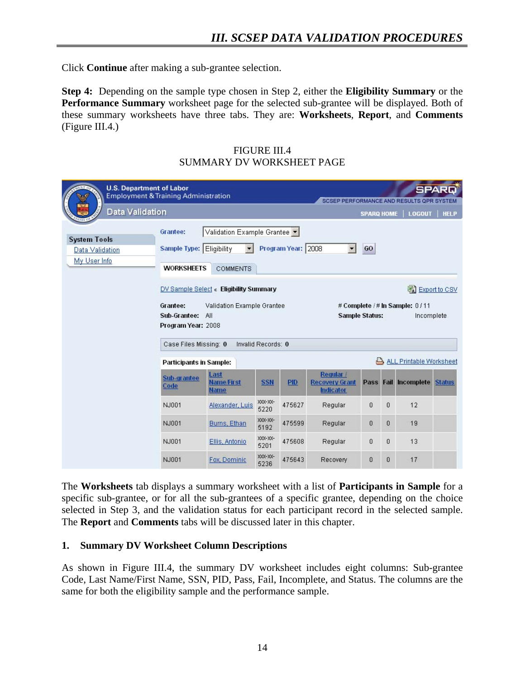Click **Continue** after making a sub-grantee selection.

**Step 4:** Depending on the sample type chosen in Step 2, either the **Eligibility Summary** or the **Performance Summary** worksheet page for the selected sub-grantee will be displayed. Both of these summary worksheets have three tabs. They are: **Worksheets**, **Report**, and **Comments** (Figure III.4.)

| <b>U.S. Department of Labor</b><br><b>Employment &amp; Training Administration</b><br>Data Validation                                                                                                                                   |                                                           |                                                                 |                 |                    | SCSEP PERFORMANCE AND RESULTS OPR SYSTEM        | <b>SPARQ HOME</b>             |              | <b>LOGOUT</b>        | <b>SPARD</b><br><b>HELP</b> |
|-----------------------------------------------------------------------------------------------------------------------------------------------------------------------------------------------------------------------------------------|-----------------------------------------------------------|-----------------------------------------------------------------|-----------------|--------------------|-------------------------------------------------|-------------------------------|--------------|----------------------|-----------------------------|
| <b>System Tools</b><br>Data Validation<br>My User Info.                                                                                                                                                                                 | Grantee:<br>Sample Type: Eligibility<br><b>WORKSHEETS</b> | Validation Example Grantee<br>$\blacksquare$<br><b>COMMENTS</b> |                 | Program Year: 2008 |                                                 | GO                            |              |                      |                             |
| DV Sample Select « Eligibility Summary<br>Grantee:<br>Validation Example Grantee<br># Complete / # In Sample: 0/11<br><b>Sample Status:</b><br>Sub-Grantee:<br>All<br>Program Year: 2008<br>Case Files Missing: 0<br>Invalid Records: 0 |                                                           |                                                                 |                 |                    |                                                 | 图 Export to CSV<br>Incomplete |              |                      |                             |
|                                                                                                                                                                                                                                         | <b>Participants in Sample:</b>                            |                                                                 |                 |                    | ALL Printable Worksheet                         |                               |              |                      |                             |
|                                                                                                                                                                                                                                         | Sub-grantee<br>Code                                       | Last<br><b>Name First</b><br><b>Name</b>                        | <b>SSN</b>      | <b>PID</b>         | Regular /<br><b>Recovery Grant</b><br>Indicator |                               |              | Pass Fail Incomplete | <b>Status</b>               |
|                                                                                                                                                                                                                                         | NJ001                                                     | Alexander, Luis                                                 | XXX-XX-<br>5220 | 475627             | Regular                                         | $\Box$                        | 0            | 12                   |                             |
|                                                                                                                                                                                                                                         | NJ001                                                     | Burns, Ethan                                                    | XXX-XX-<br>5192 | 475599             | Regular                                         | $\theta$                      | 0            | 19                   |                             |
|                                                                                                                                                                                                                                         | NJ001                                                     | Ellis, Antonio                                                  | XXX-XX-<br>5201 | 475608             | Regular                                         | $\Omega$                      | 0            | 13                   |                             |
|                                                                                                                                                                                                                                         | NJ001                                                     | Fox, Dominic                                                    | XXX-XX-<br>5236 | 475643             | <b>Recovery</b>                                 | $\Omega$                      | $\mathbf{0}$ | 17                   |                             |

FIGURE III.4 SUMMARY DV WORKSHEET PAGE

The **Worksheets** tab displays a summary worksheet with a list of **Participants in Sample** for a specific sub-grantee, or for all the sub-grantees of a specific grantee, depending on the choice selected in Step 3, and the validation status for each participant record in the selected sample. The **Report** and **Comments** tabs will be discussed later in this chapter.

#### **1. Summary DV Worksheet Column Descriptions**

As shown in Figure III.4, the summary DV worksheet includes eight columns: Sub-grantee Code, Last Name/First Name, SSN, PID, Pass, Fail, Incomplete, and Status. The columns are the same for both the eligibility sample and the performance sample.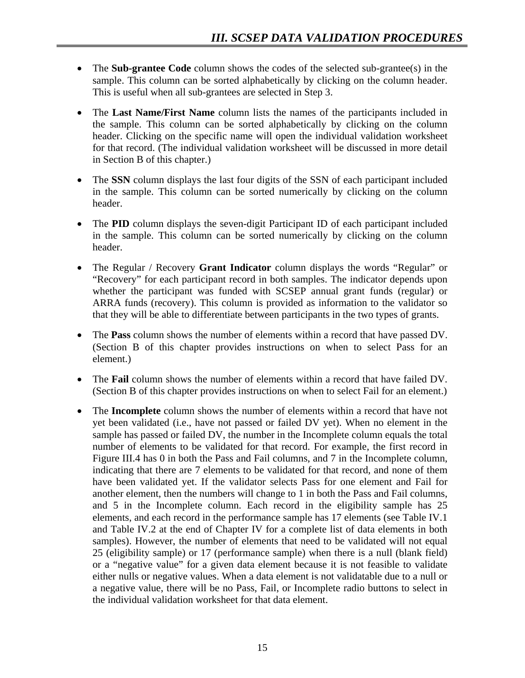- The **Sub-grantee Code** column shows the codes of the selected sub-grantee(s) in the sample. This column can be sorted alphabetically by clicking on the column header. This is useful when all sub-grantees are selected in Step 3.
- The **Last Name/First Name** column lists the names of the participants included in the sample. This column can be sorted alphabetically by clicking on the column header. Clicking on the specific name will open the individual validation worksheet for that record. (The individual validation worksheet will be discussed in more detail in Section B of this chapter.)
- The **SSN** column displays the last four digits of the SSN of each participant included in the sample. This column can be sorted numerically by clicking on the column header.
- The **PID** column displays the seven-digit Participant ID of each participant included in the sample. This column can be sorted numerically by clicking on the column header.
- The Regular / Recovery **Grant Indicator** column displays the words "Regular" or "Recovery" for each participant record in both samples. The indicator depends upon whether the participant was funded with SCSEP annual grant funds (regular) or ARRA funds (recovery). This column is provided as information to the validator so that they will be able to differentiate between participants in the two types of grants.
- The **Pass** column shows the number of elements within a record that have passed DV. (Section B of this chapter provides instructions on when to select Pass for an element.)
- The **Fail** column shows the number of elements within a record that have failed DV. (Section B of this chapter provides instructions on when to select Fail for an element.)
- The **Incomplete** column shows the number of elements within a record that have not yet been validated (i.e., have not passed or failed DV yet). When no element in the sample has passed or failed DV, the number in the Incomplete column equals the total number of elements to be validated for that record. For example, the first record in Figure III.4 has 0 in both the Pass and Fail columns, and 7 in the Incomplete column, indicating that there are 7 elements to be validated for that record, and none of them have been validated yet. If the validator selects Pass for one element and Fail for another element, then the numbers will change to 1 in both the Pass and Fail columns, and 5 in the Incomplete column. Each record in the eligibility sample has 25 elements, and each record in the performance sample has 17 elements (see Table IV.1 and Table IV.2 at the end of Chapter IV for a complete list of data elements in both samples). However, the number of elements that need to be validated will not equal 25 (eligibility sample) or 17 (performance sample) when there is a null (blank field) or a "negative value" for a given data element because it is not feasible to validate either nulls or negative values. When a data element is not validatable due to a null or a negative value, there will be no Pass, Fail, or Incomplete radio buttons to select in the individual validation worksheet for that data element.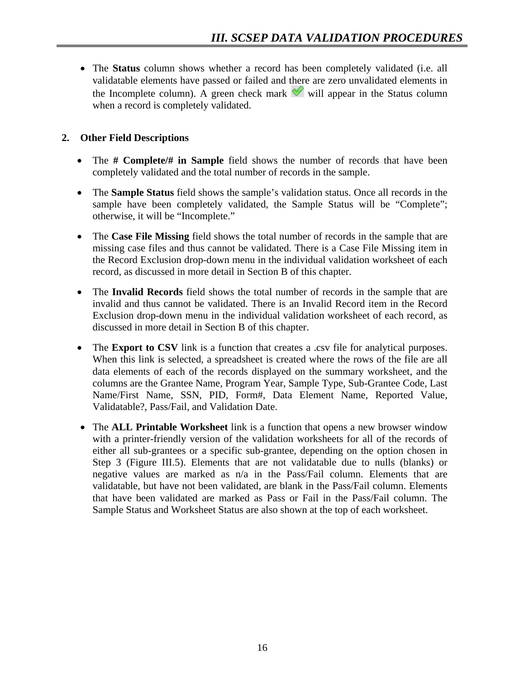• The **Status** column shows whether a record has been completely validated (i.e. all validatable elements have passed or failed and there are zero unvalidated elements in the Incomplete column). A green check mark  $\mathcal{U}$  will appear in the Status column when a record is completely validated.

# **2. Other Field Descriptions**

- The **# Complete/# in Sample** field shows the number of records that have been completely validated and the total number of records in the sample.
- The **Sample Status** field shows the sample's validation status. Once all records in the sample have been completely validated, the Sample Status will be "Complete"; otherwise, it will be "Incomplete."
- The **Case File Missing** field shows the total number of records in the sample that are missing case files and thus cannot be validated. There is a Case File Missing item in the Record Exclusion drop-down menu in the individual validation worksheet of each record, as discussed in more detail in Section B of this chapter.
- The **Invalid Records** field shows the total number of records in the sample that are invalid and thus cannot be validated. There is an Invalid Record item in the Record Exclusion drop-down menu in the individual validation worksheet of each record, as discussed in more detail in Section B of this chapter.
- The **Export to CSV** link is a function that creates a .csv file for analytical purposes. When this link is selected, a spreadsheet is created where the rows of the file are all data elements of each of the records displayed on the summary worksheet, and the columns are the Grantee Name, Program Year, Sample Type, Sub-Grantee Code, Last Name/First Name, SSN, PID, Form#, Data Element Name, Reported Value, Validatable?, Pass/Fail, and Validation Date.
- The **ALL Printable Worksheet** link is a function that opens a new browser window with a printer-friendly version of the validation worksheets for all of the records of either all sub-grantees or a specific sub-grantee, depending on the option chosen in Step 3 (Figure III.5). Elements that are not validatable due to nulls (blanks) or negative values are marked as n/a in the Pass/Fail column. Elements that are validatable, but have not been validated, are blank in the Pass/Fail column. Elements that have been validated are marked as Pass or Fail in the Pass/Fail column. The Sample Status and Worksheet Status are also shown at the top of each worksheet.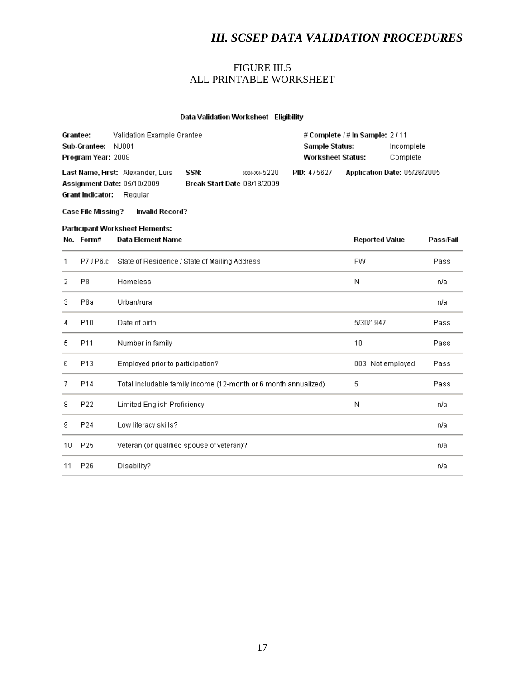#### FIGURE III.5 ALL PRINTABLE WORKSHEET

#### Data Validation Worksheet - Eligibility

| Grantee:           | Validation Example Grantee         |                             |              | # Complete $/$ # In Sample: 2/11 |  |                              |  |
|--------------------|------------------------------------|-----------------------------|--------------|----------------------------------|--|------------------------------|--|
| Sub-Grantee:       | NJ001                              |                             |              | Sample Status:                   |  | Incomplete                   |  |
| Program Year: 2008 |                                    |                             |              | Worksheet Status:                |  | Complete                     |  |
|                    | Last Name, First: Alexander, Luis  | SSN:                        | хос-хос-5220 | <b>PID: 475627</b>               |  | Application Date: 05/26/2005 |  |
|                    | <b>Assignment Date: 05/10/2009</b> | Break Start Date 08/18/2009 |              |                                  |  |                              |  |
| Grant Indicator:   | Requiar                            |                             |              |                                  |  |                              |  |

#### **Case File Missing?** Invalid Record?

#### Participant Worksheet Elements:

|    | No. Form#       | Data Element Name                                               | <b>Reported Value</b> | Pass/Fail |
|----|-----------------|-----------------------------------------------------------------|-----------------------|-----------|
| 1  | P7/P6.c         | State of Residence / State of Mailing Address                   | PW.                   | Pass      |
| 2  | P8              | Homeless                                                        | Ν                     | n/a       |
| 3. | P8a             | Urban/rural                                                     |                       | n/a       |
| 4  | P <sub>10</sub> | Date of birth                                                   | 5/30/1947             | Pass      |
| 5  | P <sub>11</sub> | Number in family                                                | 10                    | Pass      |
| 6  | P <sub>13</sub> | Employed prior to participation?                                | 003_Not employed      | Pass      |
| 7  | P14             | Total includable family income (12-month or 6 month annualized) | 5                     | Pass      |
| 8  | P22             | Limited English Proficiency                                     | Ν                     | n/a       |
| 9  | P24             | Low literacy skills?                                            |                       | n/a       |
| 10 | P25             | Veteran (or qualified spouse of veteran)?                       |                       | n/a       |
| 11 | P26             | Disability?                                                     |                       | n/a       |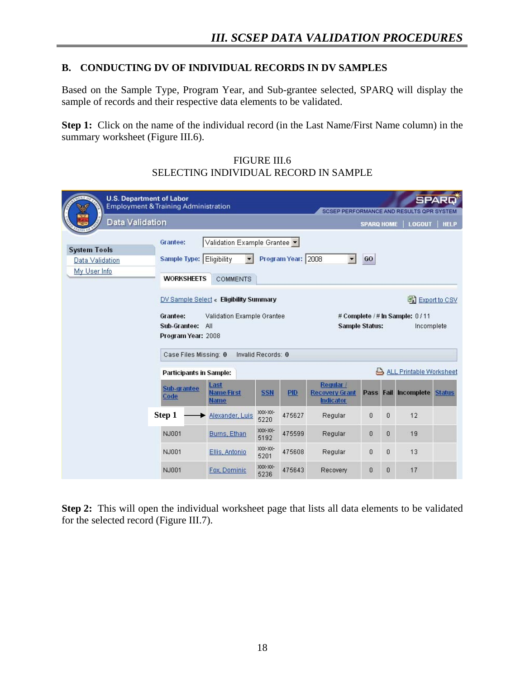## **B. CONDUCTING DV OF INDIVIDUAL RECORDS IN DV SAMPLES**

Based on the Sample Type, Program Year, and Sub-grantee selected, SPARQ will display the sample of records and their respective data elements to be validated.

**Step 1:** Click on the name of the individual record (in the Last Name/First Name column) in the summary worksheet (Figure III.6).

| <b>U.S. Department of Labor</b><br><b>Employment &amp; Training Administration</b><br>Data Validation                                                                        |                                                      |                                                              |                 |                    |                                                                                            | <b>SPARQ HOME</b> |   | SCSEP PERFORMANCE AND RESULTS OPR SYSTEM<br><b>LOGOUT</b> | <b>SPARD</b><br><b>HELP</b> |
|------------------------------------------------------------------------------------------------------------------------------------------------------------------------------|------------------------------------------------------|--------------------------------------------------------------|-----------------|--------------------|--------------------------------------------------------------------------------------------|-------------------|---|-----------------------------------------------------------|-----------------------------|
| <b>System Tools</b><br>Data Validation<br>My User Info                                                                                                                       | Grantee:<br><b>Sample Type:</b><br><b>WORKSHEETS</b> | Validation Example Grantee<br>Eligibility<br><b>COMMENTS</b> |                 | Program Year: 2008 | $\blacktriangledown$                                                                       | GO                |   |                                                           |                             |
| DV Sample Select « Eligibility Summary<br>Grantee:<br>Validation Example Grantee<br>Sub-Grantee:<br>All<br>Program Year: 2008<br>Case Files Missing: 0<br>Invalid Records: 0 |                                                      |                                                              |                 |                    | 图 Export to CSV<br># Complete / # In Sample: 0 / 11<br><b>Sample Status:</b><br>Incomplete |                   |   |                                                           |                             |
|                                                                                                                                                                              | <b>Participants in Sample:</b>                       |                                                              |                 |                    | ALL Printable Worksheet                                                                    |                   |   |                                                           |                             |
|                                                                                                                                                                              | Sub-grantee<br>Code                                  | Last<br><b>Name First</b><br><b>Name</b>                     | <b>SSN</b>      | <b>PID</b>         | Regular /<br><b>Recovery Grant</b><br>Indicator                                            |                   |   | Pass Fail Incomplete Status                               |                             |
|                                                                                                                                                                              | Step 1                                               | Alexander, Luis                                              | XXX-XX-<br>5220 | 475627             | Regular                                                                                    | $\overline{0}$    | 0 | 12                                                        |                             |
|                                                                                                                                                                              | NJ001                                                | Burns, Ethan                                                 | XXX-XX-<br>5192 | 475599             | Regular                                                                                    | 0                 | 0 | 19                                                        |                             |
|                                                                                                                                                                              | NJ001                                                | Ellis, Antonio                                               | XXX-XX-<br>5201 | 475608             | Regular                                                                                    | 0                 | 0 | 13                                                        |                             |
|                                                                                                                                                                              | NJ001                                                | Fox, Dominic                                                 | XXX-XX-<br>5236 | 475643             | <b>Recovery</b>                                                                            | 0                 | 0 | 17                                                        |                             |

**Step 2:** This will open the individual worksheet page that lists all data elements to be validated for the selected record (Figure III.7).

FIGURE III.6 SELECTING INDIVIDUAL RECORD IN SAMPLE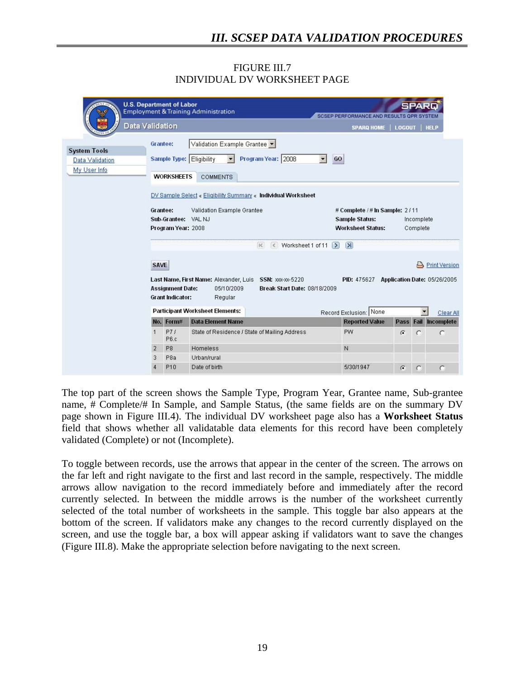#### FIGURE III.7 INDIVIDUAL DV WORKSHEET PAGE

|                                                        | <b>U.S. Department of Labor</b>                                                                                                                              |                                                    | <b>Employment &amp; Training Administration</b>                                                                            | SCSEP PERFORMANCE AND RESULTS OPR SYSTEM                                                                                                         |               | SPAR                              |  |  |
|--------------------------------------------------------|--------------------------------------------------------------------------------------------------------------------------------------------------------------|----------------------------------------------------|----------------------------------------------------------------------------------------------------------------------------|--------------------------------------------------------------------------------------------------------------------------------------------------|---------------|-----------------------------------|--|--|
|                                                        | Data Validation                                                                                                                                              |                                                    |                                                                                                                            | <b>SPARQ HOME</b>                                                                                                                                | <b>LOGOUT</b> | <b>HELP</b>                       |  |  |
| <b>System Tools</b><br>Data Validation<br>My User Info | Grantee:                                                                                                                                                     | <b>WORKSHEETS</b>                                  | Validation Example Grantee<br>Program Year: 2008<br>Sample Type: Eligibility<br><b>COMMENTS</b>                            | $\overline{\phantom{a}}$<br>GO                                                                                                                   |               |                                   |  |  |
|                                                        | DV Sample Select « Eligibility Summary « Individual Worksheet<br>Grantee:<br>Validation Example Grantee<br>VAL NJ<br>Sub-Grantee:<br>Program Year: 2008<br>< |                                                    |                                                                                                                            | # Complete / # In Sample: 2/11<br><b>Sample Status:</b><br>Incomplete<br><b>Worksheet Status:</b><br>Complete<br>$\leq$ Worksheet 1 of 11 $\geq$ |               |                                   |  |  |
|                                                        | <b>SAVE</b>                                                                                                                                                  | <b>Assignment Date:</b><br><b>Grant Indicator:</b> | Last Name, First Name: Alexander, Luis<br>SSN: xxx-xx-5220<br>05/10/2009<br><b>Break Start Date: 08/18/2009</b><br>Regular | $\vert$ > $\vert$<br>PID: 475627 Application Date: 05/26/2005                                                                                    |               | <b>Print Version</b>              |  |  |
|                                                        |                                                                                                                                                              | No. Form#                                          | <b>Participant Worksheet Elements:</b><br><b>Data Element Name</b>                                                         | Record Exclusion: None<br><b>Reported Value</b>                                                                                                  |               | Clear All<br>Pass Fail Incomplete |  |  |
|                                                        | 1                                                                                                                                                            | P71<br>P6.c                                        | State of Residence / State of Mailing Address                                                                              | <b>PW</b>                                                                                                                                        | $\sqrt{6}$    | $\subset$<br>C                    |  |  |
|                                                        | $\overline{2}$<br>3                                                                                                                                          | P <sub>8</sub><br>P <sub>8</sub> a                 | Homeless<br>Urban/rural                                                                                                    | N                                                                                                                                                |               |                                   |  |  |
|                                                        | 4                                                                                                                                                            | P <sub>10</sub>                                    | Date of birth                                                                                                              | 5/30/1947                                                                                                                                        | $\sigma$      | O<br>C                            |  |  |

The top part of the screen shows the Sample Type, Program Year, Grantee name, Sub-grantee name, # Complete/# In Sample, and Sample Status, (the same fields are on the summary DV page shown in Figure III.4). The individual DV worksheet page also has a **Worksheet Status** field that shows whether all validatable data elements for this record have been completely validated (Complete) or not (Incomplete).

To toggle between records, use the arrows that appear in the center of the screen. The arrows on the far left and right navigate to the first and last record in the sample, respectively. The middle arrows allow navigation to the record immediately before and immediately after the record currently selected. In between the middle arrows is the number of the worksheet currently selected of the total number of worksheets in the sample. This toggle bar also appears at the bottom of the screen. If validators make any changes to the record currently displayed on the screen, and use the toggle bar, a box will appear asking if validators want to save the changes (Figure III.8). Make the appropriate selection before navigating to the next screen.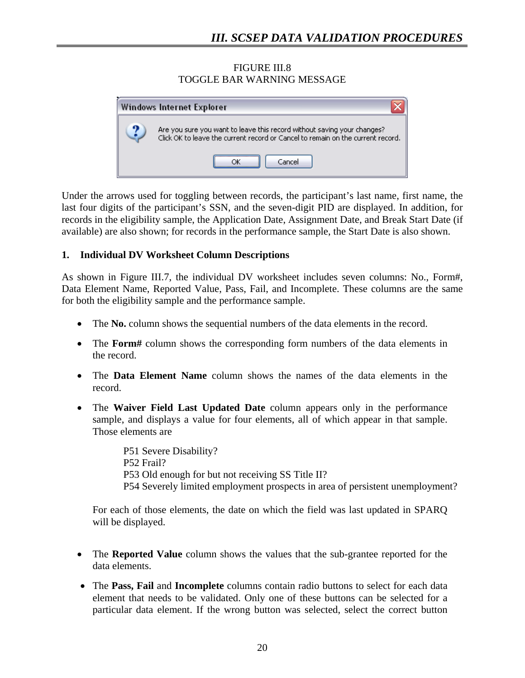FIGURE III.8 TOGGLE BAR WARNING MESSAGE

| Windows Internet Explorer                                                                                                                                  |
|------------------------------------------------------------------------------------------------------------------------------------------------------------|
| Are you sure you want to leave this record without saving your changes?<br>Click OK to leave the current record or Cancel to remain on the current record. |
| Cancel                                                                                                                                                     |

Under the arrows used for toggling between records, the participant's last name, first name, the last four digits of the participant's SSN, and the seven-digit PID are displayed. In addition, for records in the eligibility sample, the Application Date, Assignment Date, and Break Start Date (if available) are also shown; for records in the performance sample, the Start Date is also shown.

# **1. Individual DV Worksheet Column Descriptions**

As shown in Figure III.7, the individual DV worksheet includes seven columns: No., Form#, Data Element Name, Reported Value, Pass, Fail, and Incomplete. These columns are the same for both the eligibility sample and the performance sample.

- The **No.** column shows the sequential numbers of the data elements in the record.
- The **Form**# column shows the corresponding form numbers of the data elements in the record.
- The **Data Element Name** column shows the names of the data elements in the record.
- The **Waiver Field Last Updated Date** column appears only in the performance sample, and displays a value for four elements, all of which appear in that sample. Those elements are

 P51 Severe Disability? P52 Frail? P53 Old enough for but not receiving SS Title II? P54 Severely limited employment prospects in area of persistent unemployment?

For each of those elements, the date on which the field was last updated in SPARQ will be displayed.

- The **Reported Value** column shows the values that the sub-grantee reported for the data elements.
- The **Pass, Fail** and **Incomplete** columns contain radio buttons to select for each data element that needs to be validated. Only one of these buttons can be selected for a particular data element. If the wrong button was selected, select the correct button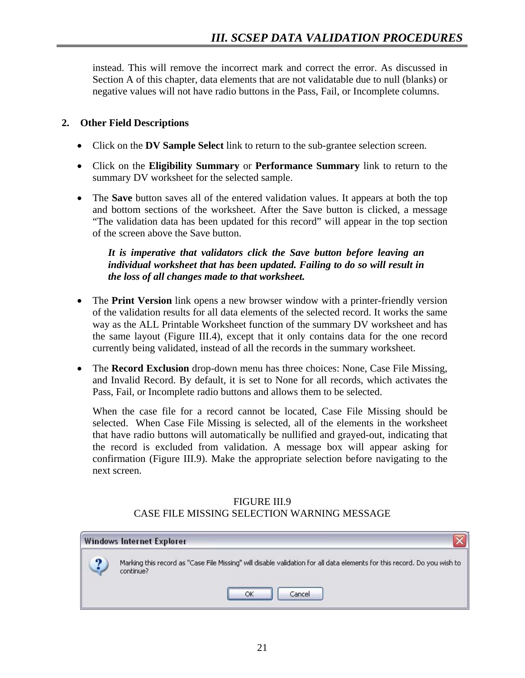instead. This will remove the incorrect mark and correct the error. As discussed in Section A of this chapter, data elements that are not validatable due to null (blanks) or negative values will not have radio buttons in the Pass, Fail, or Incomplete columns.

# **2. Other Field Descriptions**

- Click on the **DV Sample Select** link to return to the sub-grantee selection screen.
- Click on the **Eligibility Summary** or **Performance Summary** link to return to the summary DV worksheet for the selected sample.
- The **Save** button saves all of the entered validation values. It appears at both the top and bottom sections of the worksheet. After the Save button is clicked, a message "The validation data has been updated for this record" will appear in the top section of the screen above the Save button.

# *It is imperative that validators click the Save button before leaving an individual worksheet that has been updated. Failing to do so will result in the loss of all changes made to that worksheet.*

- The **Print Version** link opens a new browser window with a printer-friendly version of the validation results for all data elements of the selected record. It works the same way as the ALL Printable Worksheet function of the summary DV worksheet and has the same layout (Figure III.4), except that it only contains data for the one record currently being validated, instead of all the records in the summary worksheet.
- The **Record Exclusion** drop-down menu has three choices: None, Case File Missing, and Invalid Record. By default, it is set to None for all records, which activates the Pass, Fail, or Incomplete radio buttons and allows them to be selected.

When the case file for a record cannot be located, Case File Missing should be selected. When Case File Missing is selected, all of the elements in the worksheet that have radio buttons will automatically be nullified and grayed-out, indicating that the record is excluded from validation. A message box will appear asking for confirmation (Figure III.9). Make the appropriate selection before navigating to the next screen.

#### FIGURE III.9 CASE FILE MISSING SELECTION WARNING MESSAGE

|   | <b>Windows Internet Explorer</b>                                                                                                      |
|---|---------------------------------------------------------------------------------------------------------------------------------------|
| െ | Marking this record as "Case File Missing" will disable validation for all data elements for this record. Do you wish to<br>continue? |
|   | Cancel                                                                                                                                |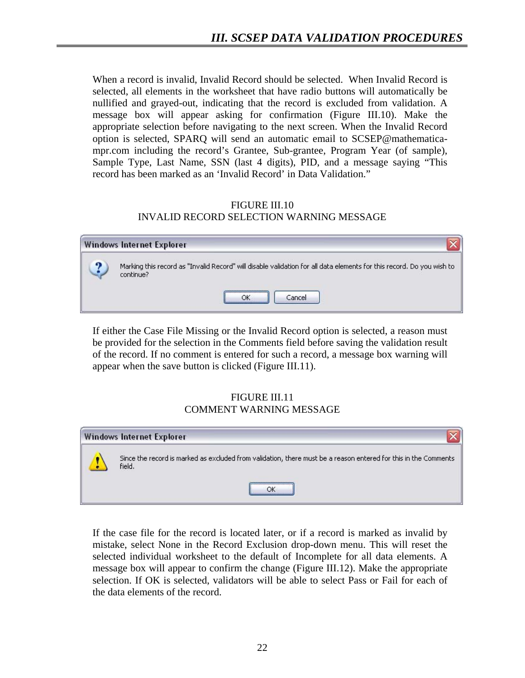When a record is invalid, Invalid Record should be selected. When Invalid Record is selected, all elements in the worksheet that have radio buttons will automatically be nullified and grayed-out, indicating that the record is excluded from validation. A message box will appear asking for confirmation (Figure III.10). Make the appropriate selection before navigating to the next screen. When the Invalid Record option is selected, SPARQ will send an automatic email to SCSEP@mathematicampr.com including the record's Grantee, Sub-grantee, Program Year (of sample), Sample Type, Last Name, SSN (last 4 digits), PID, and a message saying "This record has been marked as an 'Invalid Record' in Data Validation."

# FIGURE III.10 INVALID RECORD SELECTION WARNING MESSAGE

|   | <b>Windows Internet Explorer</b>                                                                                                   |
|---|------------------------------------------------------------------------------------------------------------------------------------|
| ച | Marking this record as "Invalid Record" will disable validation for all data elements for this record. Do you wish to<br>continue? |
|   | <br>Cancel<br>ОK                                                                                                                   |

If either the Case File Missing or the Invalid Record option is selected, a reason must be provided for the selection in the Comments field before saving the validation result of the record. If no comment is entered for such a record, a message box warning will appear when the save button is clicked (Figure III.11).

#### FIGURE III.11 COMMENT WARNING MESSAGE

| <b>Windows Internet Explorer</b>                                                                                          |
|---------------------------------------------------------------------------------------------------------------------------|
| Since the record is marked as excluded from validation, there must be a reason entered for this in the Comments<br>field. |
|                                                                                                                           |

If the case file for the record is located later, or if a record is marked as invalid by mistake, select None in the Record Exclusion drop-down menu. This will reset the selected individual worksheet to the default of Incomplete for all data elements. A message box will appear to confirm the change (Figure III.12). Make the appropriate selection. If OK is selected, validators will be able to select Pass or Fail for each of the data elements of the record.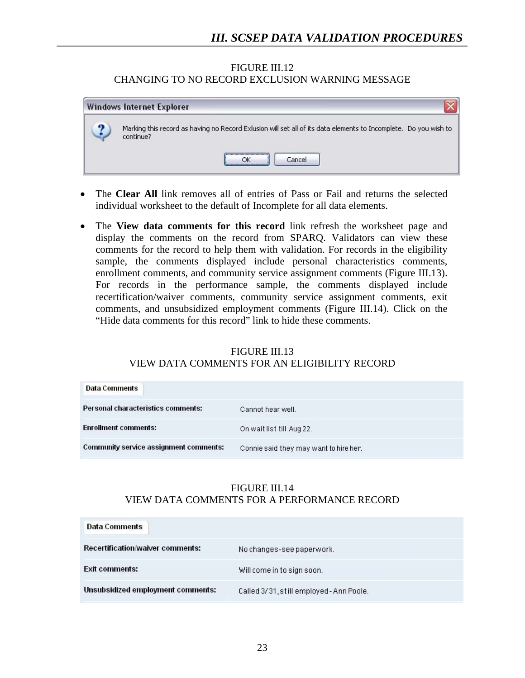#### FIGURE III.12 CHANGING TO NO RECORD EXCLUSION WARNING MESSAGE

|   | <b>Windows Internet Explorer</b>                                                                                              |
|---|-------------------------------------------------------------------------------------------------------------------------------|
| ภ | Marking this record as having no Record Exlusion will set all of its data elements to Incomplete. Do you wish to<br>continue? |
|   | Cancel                                                                                                                        |

- The **Clear All** link removes all of entries of Pass or Fail and returns the selected individual worksheet to the default of Incomplete for all data elements.
- The **View data comments for this record** link refresh the worksheet page and display the comments on the record from SPARQ. Validators can view these comments for the record to help them with validation. For records in the eligibility sample, the comments displayed include personal characteristics comments, enrollment comments, and community service assignment comments (Figure III.13). For records in the performance sample, the comments displayed include recertification/waiver comments, community service assignment comments, exit comments, and unsubsidized employment comments (Figure III.14). Click on the "Hide data comments for this record" link to hide these comments.

# FIGURE III.13

# VIEW DATA COMMENTS FOR AN ELIGIBILITY RECORD

| Data Comments                             |                                        |
|-------------------------------------------|----------------------------------------|
| <b>Personal characteristics comments:</b> | Cannot hear well.                      |
| <b>Enrollment comments:</b>               | On wait list till Aug 22.              |
| Community service assignment comments:    | Connie said they may want to hire her. |

### FIGURE III.14 VIEW DATA COMMENTS FOR A PERFORMANCE RECORD

| Data Comments                     |                                          |
|-----------------------------------|------------------------------------------|
| Recertification/waiver comments:  | No changes-see paperwork.                |
| <b>Exit comments:</b>             | Will come in to sign soon.               |
| Unsubsidized employment comments: | Called 3/31, still employed - Ann Poole. |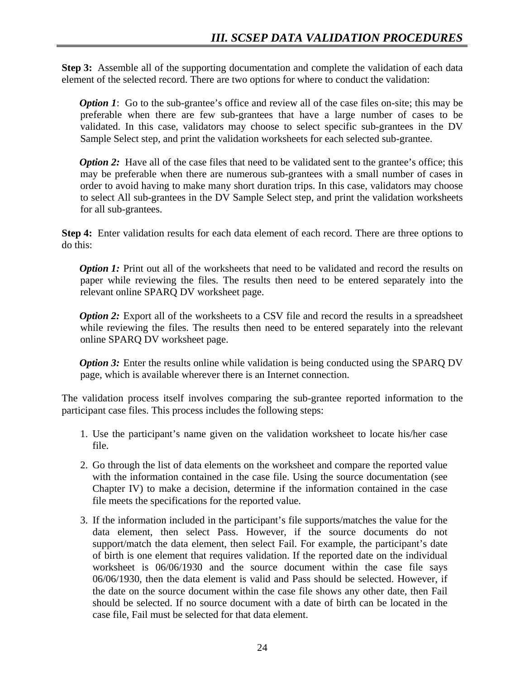**Step 3:** Assemble all of the supporting documentation and complete the validation of each data element of the selected record. There are two options for where to conduct the validation:

*Option 1*: Go to the sub-grantee's office and review all of the case files on-site; this may be preferable when there are few sub-grantees that have a large number of cases to be validated. In this case, validators may choose to select specific sub-grantees in the DV Sample Select step, and print the validation worksheets for each selected sub-grantee.

*Option 2:* Have all of the case files that need to be validated sent to the grantee's office; this may be preferable when there are numerous sub-grantees with a small number of cases in order to avoid having to make many short duration trips. In this case, validators may choose to select All sub-grantees in the DV Sample Select step, and print the validation worksheets for all sub-grantees.

**Step 4:** Enter validation results for each data element of each record. There are three options to do this:

*Option 1:* Print out all of the worksheets that need to be validated and record the results on paper while reviewing the files. The results then need to be entered separately into the relevant online SPARQ DV worksheet page.

*Option 2:* Export all of the worksheets to a CSV file and record the results in a spreadsheet while reviewing the files. The results then need to be entered separately into the relevant online SPARQ DV worksheet page.

*Option 3:* Enter the results online while validation is being conducted using the SPARQ DV page, which is available wherever there is an Internet connection.

The validation process itself involves comparing the sub-grantee reported information to the participant case files. This process includes the following steps:

- 1. Use the participant's name given on the validation worksheet to locate his/her case file.
- 2. Go through the list of data elements on the worksheet and compare the reported value with the information contained in the case file. Using the source documentation (see Chapter IV) to make a decision, determine if the information contained in the case file meets the specifications for the reported value.
- 3. If the information included in the participant's file supports/matches the value for the data element, then select Pass. However, if the source documents do not support/match the data element, then select Fail. For example, the participant's date of birth is one element that requires validation. If the reported date on the individual worksheet is 06/06/1930 and the source document within the case file says 06/06/1930, then the data element is valid and Pass should be selected. However, if the date on the source document within the case file shows any other date, then Fail should be selected. If no source document with a date of birth can be located in the case file, Fail must be selected for that data element.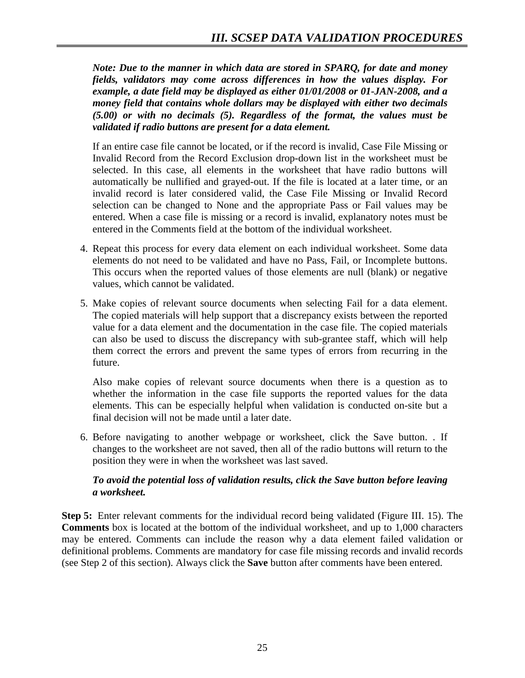*Note: Due to the manner in which data are stored in SPARQ, for date and money fields, validators may come across differences in how the values display. For example, a date field may be displayed as either 01/01/2008 or 01-JAN-2008, and a money field that contains whole dollars may be displayed with either two decimals (5.00) or with no decimals (5). Regardless of the format, the values must be validated if radio buttons are present for a data element.* 

 If an entire case file cannot be located, or if the record is invalid, Case File Missing or Invalid Record from the Record Exclusion drop-down list in the worksheet must be selected. In this case, all elements in the worksheet that have radio buttons will automatically be nullified and grayed-out. If the file is located at a later time, or an invalid record is later considered valid, the Case File Missing or Invalid Record selection can be changed to None and the appropriate Pass or Fail values may be entered. When a case file is missing or a record is invalid, explanatory notes must be entered in the Comments field at the bottom of the individual worksheet.

- 4. Repeat this process for every data element on each individual worksheet. Some data elements do not need to be validated and have no Pass, Fail, or Incomplete buttons. This occurs when the reported values of those elements are null (blank) or negative values, which cannot be validated.
- 5. Make copies of relevant source documents when selecting Fail for a data element. The copied materials will help support that a discrepancy exists between the reported value for a data element and the documentation in the case file. The copied materials can also be used to discuss the discrepancy with sub-grantee staff, which will help them correct the errors and prevent the same types of errors from recurring in the future.

 Also make copies of relevant source documents when there is a question as to whether the information in the case file supports the reported values for the data elements. This can be especially helpful when validation is conducted on-site but a final decision will not be made until a later date.

6. Before navigating to another webpage or worksheet, click the Save button. . If changes to the worksheet are not saved, then all of the radio buttons will return to the position they were in when the worksheet was last saved.

# *To avoid the potential loss of validation results, click the Save button before leaving a worksheet.*

**Step 5:** Enter relevant comments for the individual record being validated (Figure III. 15). The **Comments** box is located at the bottom of the individual worksheet, and up to 1,000 characters may be entered. Comments can include the reason why a data element failed validation or definitional problems. Comments are mandatory for case file missing records and invalid records (see Step 2 of this section). Always click the **Save** button after comments have been entered.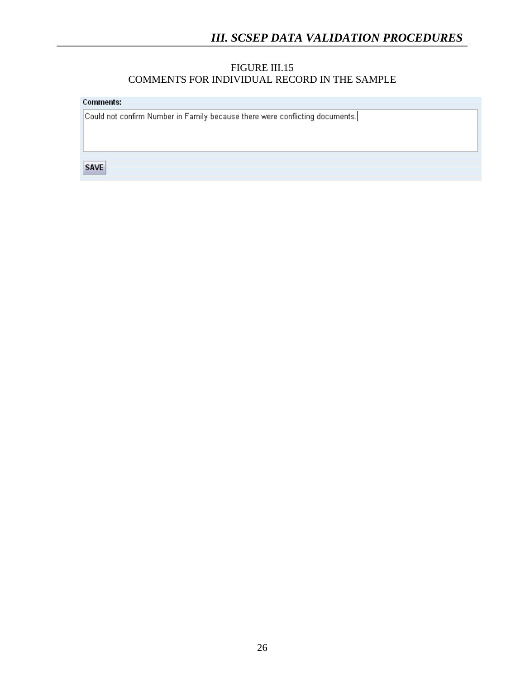#### FIGURE III.15 COMMENTS FOR INDIVIDUAL RECORD IN THE SAMPLE

**Comments:** 

Could not confirm Number in Family because there were conflicting documents.

**SAVE**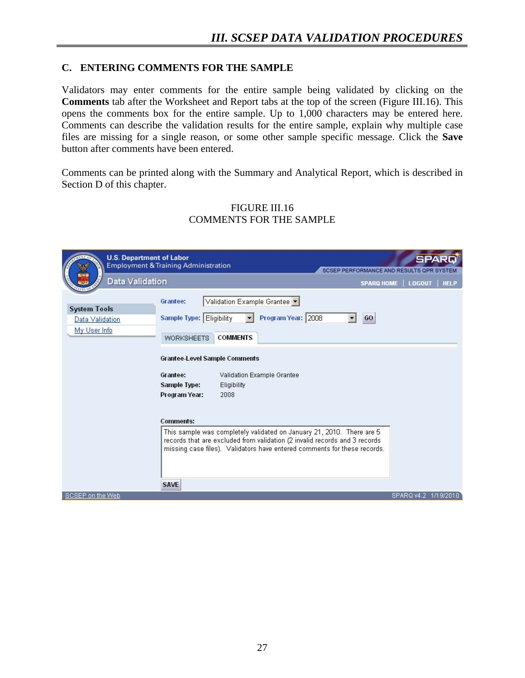### **C. ENTERING COMMENTS FOR THE SAMPLE**

Validators may enter comments for the entire sample being validated by clicking on the **Comments** tab after the Worksheet and Report tabs at the top of the screen (Figure III.16). This opens the comments box for the entire sample. Up to 1,000 characters may be entered here. Comments can describe the validation results for the entire sample, explain why multiple case files are missing for a single reason, or some other sample specific message. Click the **Save** button after comments have been entered.

Comments can be printed along with the Summary and Analytical Report, which is described in Section D of this chapter.

| <b>U.S. Department of Labor</b><br>Data Validation     | <b>Employment &amp; Training Administration</b><br>SCSEP PERFORMANCE AND RESULTS OPR SYSTEM<br><b>SPARQ HOME</b>                                                                                                                | <b>LOGOUT</b>        | SPARD<br><b>HELP</b> |
|--------------------------------------------------------|---------------------------------------------------------------------------------------------------------------------------------------------------------------------------------------------------------------------------------|----------------------|----------------------|
| <b>System Tools</b><br>Data Validation<br>My User Info | Validation Example Grantee<br>Grantee:<br>Program Year: 2008<br>Sample Type: Eligibility<br>GO<br><b>COMMENTS</b><br><b>WORKSHEETS</b>                                                                                          |                      |                      |
|                                                        | <b>Grantee-Level Sample Comments</b><br>Grantee:<br>Validation Example Grantee<br><b>Sample Type:</b><br>Eligibility<br>Program Year:<br>2008                                                                                   |                      |                      |
|                                                        | <b>Comments:</b>                                                                                                                                                                                                                |                      |                      |
|                                                        | This sample was completely validated on January 21, 2010. There are 5<br>records that are excluded from validation (2 invalid records and 3 records<br>missing case files). Validators have entered comments for these records. |                      |                      |
|                                                        | <b>SAVE</b>                                                                                                                                                                                                                     |                      |                      |
| SCSEP on the Web                                       |                                                                                                                                                                                                                                 | SPARQ v4.2 1/19/2010 |                      |

#### FIGURE III.16 COMMENTS FOR THE SAMPLE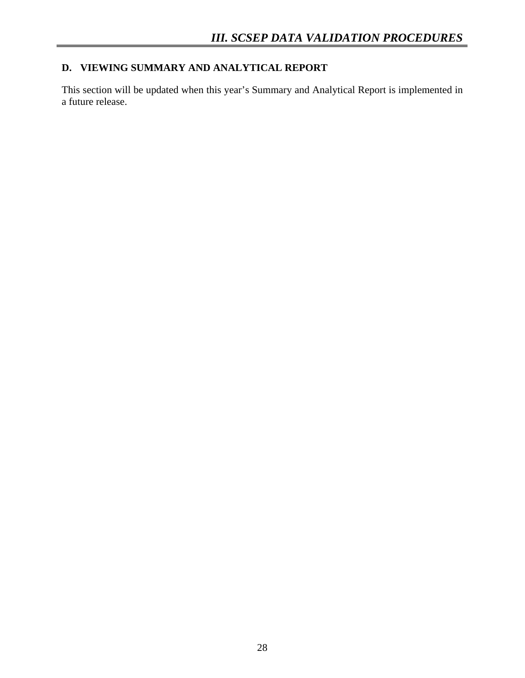# **D. VIEWING SUMMARY AND ANALYTICAL REPORT**

This section will be updated when this year's Summary and Analytical Report is implemented in a future release.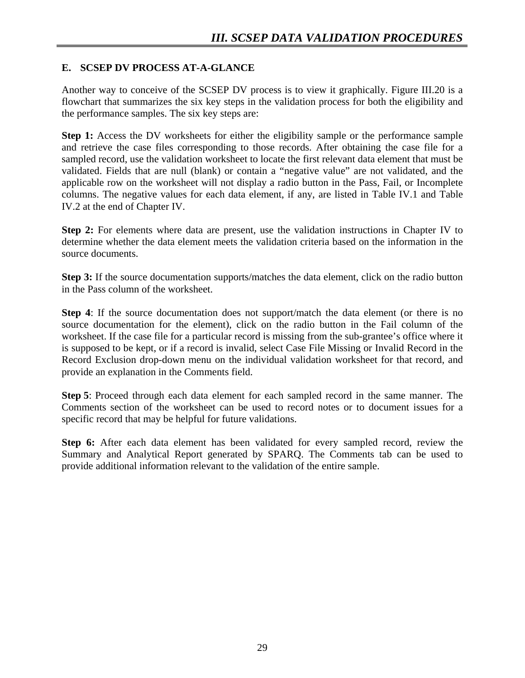# **E. SCSEP DV PROCESS AT-A-GLANCE**

Another way to conceive of the SCSEP DV process is to view it graphically. Figure III.20 is a flowchart that summarizes the six key steps in the validation process for both the eligibility and the performance samples. The six key steps are:

**Step 1:** Access the DV worksheets for either the eligibility sample or the performance sample and retrieve the case files corresponding to those records. After obtaining the case file for a sampled record, use the validation worksheet to locate the first relevant data element that must be validated. Fields that are null (blank) or contain a "negative value" are not validated, and the applicable row on the worksheet will not display a radio button in the Pass, Fail, or Incomplete columns. The negative values for each data element, if any, are listed in Table IV.1 and Table IV.2 at the end of Chapter IV.

**Step 2:** For elements where data are present, use the validation instructions in Chapter IV to determine whether the data element meets the validation criteria based on the information in the source documents.

**Step 3:** If the source documentation supports/matches the data element, click on the radio button in the Pass column of the worksheet.

**Step 4**: If the source documentation does not support/match the data element (or there is no source documentation for the element), click on the radio button in the Fail column of the worksheet. If the case file for a particular record is missing from the sub-grantee's office where it is supposed to be kept, or if a record is invalid, select Case File Missing or Invalid Record in the Record Exclusion drop-down menu on the individual validation worksheet for that record, and provide an explanation in the Comments field.

**Step 5**: Proceed through each data element for each sampled record in the same manner. The Comments section of the worksheet can be used to record notes or to document issues for a specific record that may be helpful for future validations.

**Step 6:** After each data element has been validated for every sampled record, review the Summary and Analytical Report generated by SPARQ. The Comments tab can be used to provide additional information relevant to the validation of the entire sample.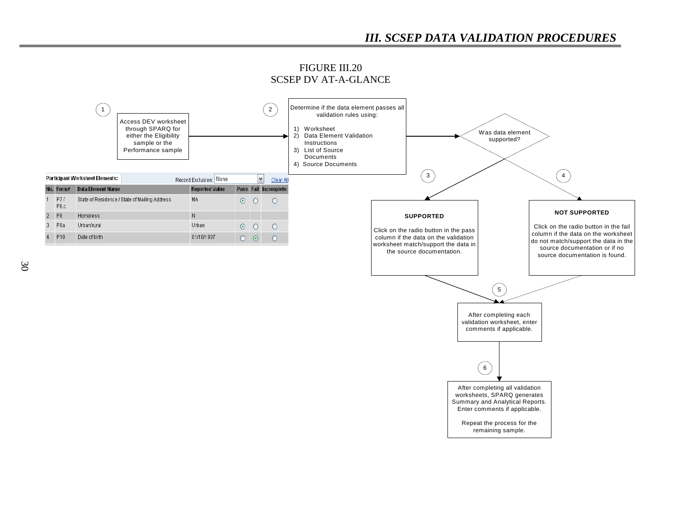

FIGURE III.20 SCSEP DV AT-A-GLANCE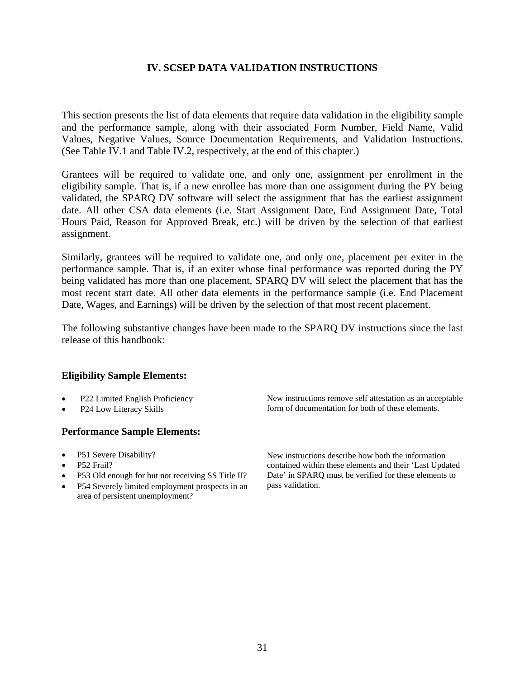This section presents the list of data elements that require data validation in the eligibility sample and the performance sample, along with their associated Form Number, Field Name, Valid Values, Negative Values, Source Documentation Requirements, and Validation Instructions. (See Table IV.1 and Table IV.2, respectively, at the end of this chapter.)

Grantees will be required to validate one, and only one, assignment per enrollment in the eligibility sample. That is, if a new enrollee has more than one assignment during the PY being validated, the SPARQ DV software will select the assignment that has the earliest assignment date. All other CSA data elements (i.e. Start Assignment Date, End Assignment Date, Total Hours Paid, Reason for Approved Break, etc.) will be driven by the selection of that earliest assignment.

Similarly, grantees will be required to validate one, and only one, placement per exiter in the performance sample. That is, if an exiter whose final performance was reported during the PY being validated has more than one placement, SPARQ DV will select the placement that has the most recent start date. All other data elements in the performance sample (i.e. End Placement Date, Wages, and Earnings) will be driven by the selection of that most recent placement.

The following substantive changes have been made to the SPARQ DV instructions since the last release of this handbook:

#### **Eligibility Sample Elements:**

- 
- 

#### **Performance Sample Elements:**

- 
- P52 Frail?
- P53 Old enough for but not receiving SS Title II?
- P54 Severely limited employment prospects in an area of persistent unemployment?

• P22 Limited English Proficiency New instructions remove self attestation as an acceptable P24 Low Literacy Skills **Figure 1** form of documentation for both of these elements.

• P51 Severe Disability? New instructions describe how both the information contained within these elements and their 'Last Updated Date' in SPARQ must be verified for these elements to pass validation.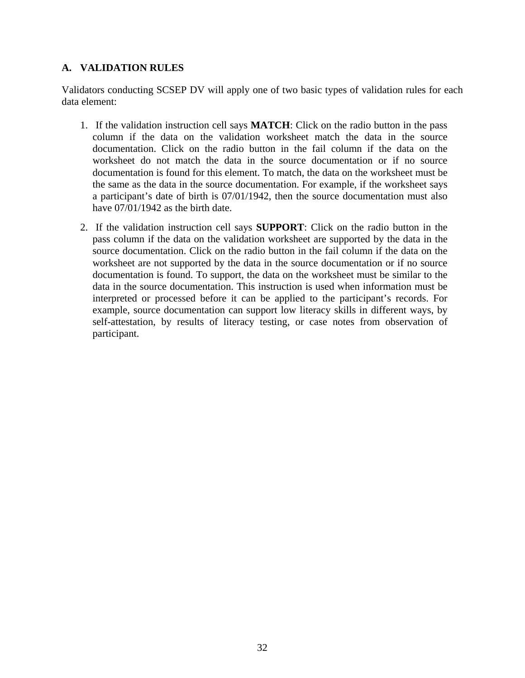#### **A. VALIDATION RULES**

Validators conducting SCSEP DV will apply one of two basic types of validation rules for each data element:

- 1. If the validation instruction cell says **MATCH**: Click on the radio button in the pass column if the data on the validation worksheet match the data in the source documentation. Click on the radio button in the fail column if the data on the worksheet do not match the data in the source documentation or if no source documentation is found for this element. To match, the data on the worksheet must be the same as the data in the source documentation. For example, if the worksheet says a participant's date of birth is 07/01/1942, then the source documentation must also have  $07/01/1942$  as the birth date.
- 2. If the validation instruction cell says **SUPPORT**: Click on the radio button in the pass column if the data on the validation worksheet are supported by the data in the source documentation. Click on the radio button in the fail column if the data on the worksheet are not supported by the data in the source documentation or if no source documentation is found. To support, the data on the worksheet must be similar to the data in the source documentation. This instruction is used when information must be interpreted or processed before it can be applied to the participant's records. For example, source documentation can support low literacy skills in different ways, by self-attestation, by results of literacy testing, or case notes from observation of participant.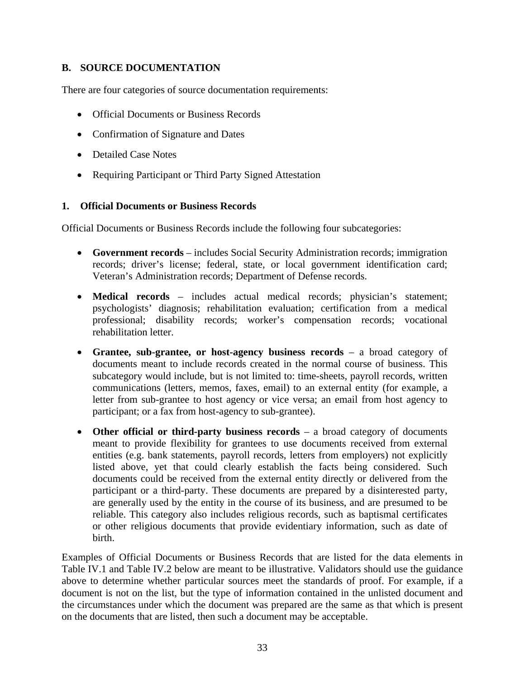#### **B. SOURCE DOCUMENTATION**

There are four categories of source documentation requirements:

- Official Documents or Business Records
- Confirmation of Signature and Dates
- Detailed Case Notes
- Requiring Participant or Third Party Signed Attestation

#### **1. Official Documents or Business Records**

Official Documents or Business Records include the following four subcategories:

- **Government records** includes Social Security Administration records; immigration records; driver's license; federal, state, or local government identification card; Veteran's Administration records; Department of Defense records.
- **Medical records** includes actual medical records; physician's statement; psychologists' diagnosis; rehabilitation evaluation; certification from a medical professional; disability records; worker's compensation records; vocational rehabilitation letter.
- **Grantee, sub-grantee, or host-agency business records** a broad category of documents meant to include records created in the normal course of business. This subcategory would include, but is not limited to: time-sheets, payroll records, written communications (letters, memos, faxes, email) to an external entity (for example, a letter from sub-grantee to host agency or vice versa; an email from host agency to participant; or a fax from host-agency to sub-grantee).
- **Other official or third-party business records** a broad category of documents meant to provide flexibility for grantees to use documents received from external entities (e.g. bank statements, payroll records, letters from employers) not explicitly listed above, yet that could clearly establish the facts being considered. Such documents could be received from the external entity directly or delivered from the participant or a third-party. These documents are prepared by a disinterested party, are generally used by the entity in the course of its business, and are presumed to be reliable. This category also includes religious records, such as baptismal certificates or other religious documents that provide evidentiary information, such as date of birth.

Examples of Official Documents or Business Records that are listed for the data elements in Table IV.1 and Table IV.2 below are meant to be illustrative. Validators should use the guidance above to determine whether particular sources meet the standards of proof. For example, if a document is not on the list, but the type of information contained in the unlisted document and the circumstances under which the document was prepared are the same as that which is present on the documents that are listed, then such a document may be acceptable.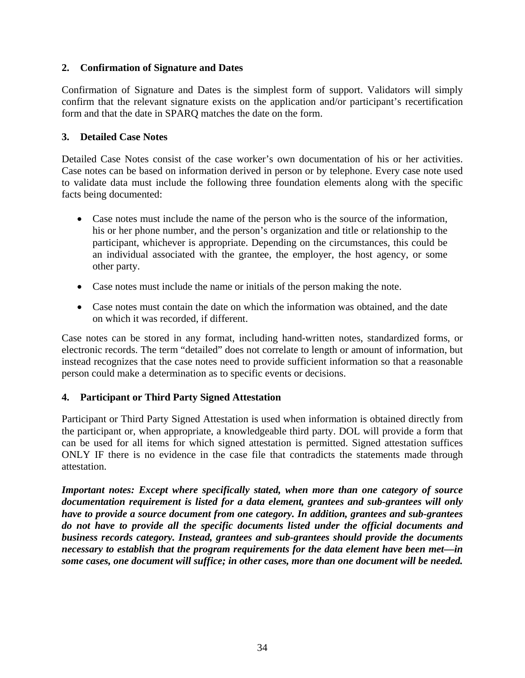#### **2. Confirmation of Signature and Dates**

Confirmation of Signature and Dates is the simplest form of support. Validators will simply confirm that the relevant signature exists on the application and/or participant's recertification form and that the date in SPARQ matches the date on the form.

#### **3. Detailed Case Notes**

Detailed Case Notes consist of the case worker's own documentation of his or her activities. Case notes can be based on information derived in person or by telephone. Every case note used to validate data must include the following three foundation elements along with the specific facts being documented:

- Case notes must include the name of the person who is the source of the information, his or her phone number, and the person's organization and title or relationship to the participant, whichever is appropriate. Depending on the circumstances, this could be an individual associated with the grantee, the employer, the host agency, or some other party.
- Case notes must include the name or initials of the person making the note.
- Case notes must contain the date on which the information was obtained, and the date on which it was recorded, if different.

Case notes can be stored in any format, including hand-written notes, standardized forms, or electronic records. The term "detailed" does not correlate to length or amount of information, but instead recognizes that the case notes need to provide sufficient information so that a reasonable person could make a determination as to specific events or decisions.

#### **4. Participant or Third Party Signed Attestation**

Participant or Third Party Signed Attestation is used when information is obtained directly from the participant or, when appropriate, a knowledgeable third party. DOL will provide a form that can be used for all items for which signed attestation is permitted. Signed attestation suffices ONLY IF there is no evidence in the case file that contradicts the statements made through attestation.

*Important notes: Except where specifically stated, when more than one category of source documentation requirement is listed for a data element, grantees and sub-grantees will only have to provide a source document from one category. In addition, grantees and sub-grantees do not have to provide all the specific documents listed under the official documents and business records category. Instead, grantees and sub-grantees should provide the documents necessary to establish that the program requirements for the data element have been met—in some cases, one document will suffice; in other cases, more than one document will be needed.*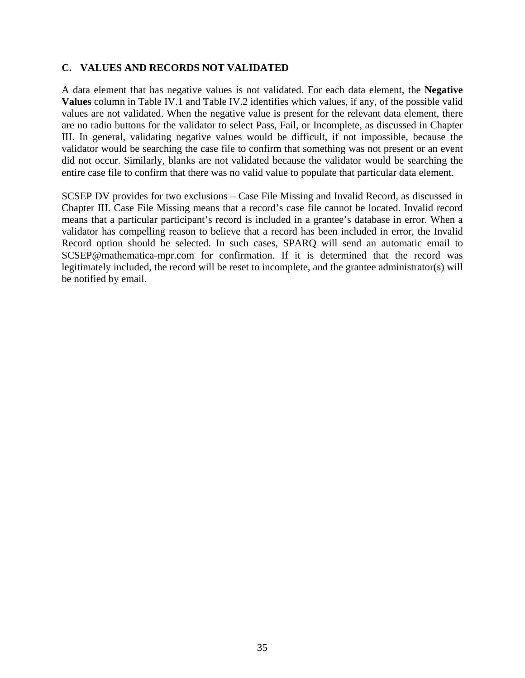#### **C. VALUES AND RECORDS NOT VALIDATED**

A data element that has negative values is not validated. For each data element, the **Negative Values** column in Table IV.1 and Table IV.2 identifies which values, if any, of the possible valid values are not validated. When the negative value is present for the relevant data element, there are no radio buttons for the validator to select Pass, Fail, or Incomplete, as discussed in Chapter III. In general, validating negative values would be difficult, if not impossible, because the validator would be searching the case file to confirm that something was not present or an event did not occur. Similarly, blanks are not validated because the validator would be searching the entire case file to confirm that there was no valid value to populate that particular data element.

SCSEP DV provides for two exclusions – Case File Missing and Invalid Record, as discussed in Chapter III. Case File Missing means that a record's case file cannot be located. Invalid record means that a particular participant's record is included in a grantee's database in error. When a validator has compelling reason to believe that a record has been included in error, the Invalid Record option should be selected. In such cases, SPARQ will send an automatic email to SCSEP@mathematica-mpr.com for confirmation. If it is determined that the record was legitimately included, the record will be reset to incomplete, and the grantee administrator(s) will be notified by email.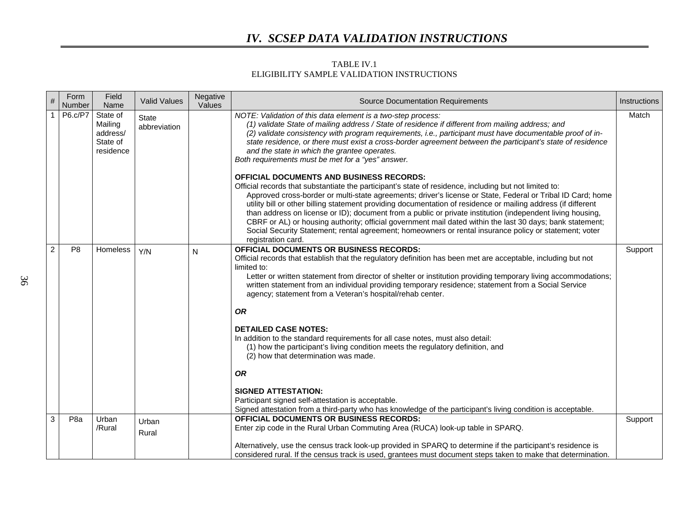#### TABLE IV.1 ELIGIBILITY SAMPLE VALIDATION INSTRUCTIONS

| $\#$           | Form<br>Number  | Field<br>Name                                            | <b>Valid Values</b>          | Negative<br>Values | <b>Source Documentation Requirements</b>                                                                                                                                                                                                                                                                                                                                                                                                                                                                                                                                                                                                                                                                                                                                                                                                                                                                                                       | Instructions |
|----------------|-----------------|----------------------------------------------------------|------------------------------|--------------------|------------------------------------------------------------------------------------------------------------------------------------------------------------------------------------------------------------------------------------------------------------------------------------------------------------------------------------------------------------------------------------------------------------------------------------------------------------------------------------------------------------------------------------------------------------------------------------------------------------------------------------------------------------------------------------------------------------------------------------------------------------------------------------------------------------------------------------------------------------------------------------------------------------------------------------------------|--------------|
|                | P6.c/P7         | State of<br>Mailing<br>address/<br>State of<br>residence | <b>State</b><br>abbreviation |                    | NOTE: Validation of this data element is a two-step process:<br>(1) validate State of mailing address / State of residence if different from mailing address; and<br>(2) validate consistency with program requirements, i.e., participant must have documentable proof of in-<br>state residence, or there must exist a cross-border agreement between the participant's state of residence<br>and the state in which the grantee operates.<br>Both requirements must be met for a "yes" answer.<br><b>OFFICIAL DOCUMENTS AND BUSINESS RECORDS:</b>                                                                                                                                                                                                                                                                                                                                                                                           | Match        |
|                |                 |                                                          |                              |                    | Official records that substantiate the participant's state of residence, including but not limited to:<br>Approved cross-border or multi-state agreements; driver's license or State, Federal or Tribal ID Card; home<br>utility bill or other billing statement providing documentation of residence or mailing address (if different<br>than address on license or ID); document from a public or private institution (independent living housing,<br>CBRF or AL) or housing authority; official government mail dated within the last 30 days; bank statement;<br>Social Security Statement; rental agreement; homeowners or rental insurance policy or statement; voter<br>registration card.                                                                                                                                                                                                                                              |              |
| $\overline{2}$ | P <sub>8</sub>  | Homeless                                                 | Y/N                          | N                  | <b>OFFICIAL DOCUMENTS OR BUSINESS RECORDS:</b><br>Official records that establish that the regulatory definition has been met are acceptable, including but not<br>limited to:<br>Letter or written statement from director of shelter or institution providing temporary living accommodations;<br>written statement from an individual providing temporary residence; statement from a Social Service<br>agency; statement from a Veteran's hospital/rehab center.<br><b>OR</b><br><b>DETAILED CASE NOTES:</b><br>In addition to the standard requirements for all case notes, must also detail:<br>(1) how the participant's living condition meets the regulatory definition, and<br>(2) how that determination was made.<br><b>OR</b><br><b>SIGNED ATTESTATION:</b><br>Participant signed self-attestation is acceptable.<br>Signed attestation from a third-party who has knowledge of the participant's living condition is acceptable. | Support      |
| 3              | P <sub>8a</sub> | Urban<br>/Rural                                          | Urban<br>Rural               |                    | OFFICIAL DOCUMENTS OR BUSINESS RECORDS:<br>Enter zip code in the Rural Urban Commuting Area (RUCA) look-up table in SPARQ.                                                                                                                                                                                                                                                                                                                                                                                                                                                                                                                                                                                                                                                                                                                                                                                                                     | Support      |
|                |                 |                                                          |                              |                    | Alternatively, use the census track look-up provided in SPARQ to determine if the participant's residence is<br>considered rural. If the census track is used, grantees must document steps taken to make that determination.                                                                                                                                                                                                                                                                                                                                                                                                                                                                                                                                                                                                                                                                                                                  |              |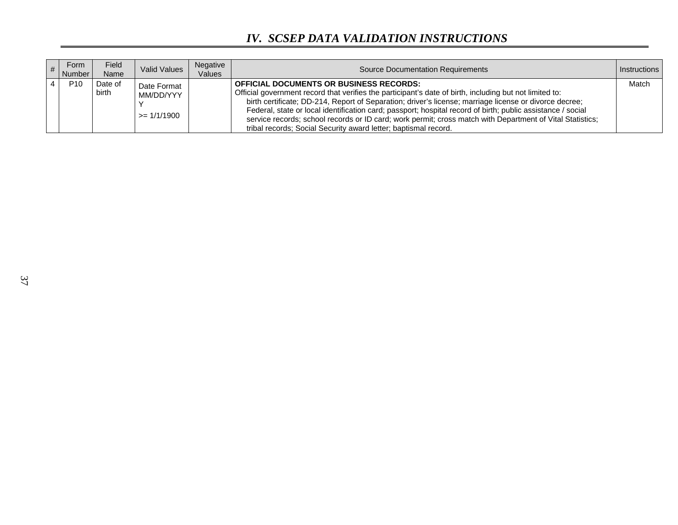| Form<br><b>Number</b> | <b>Field</b><br>Name | <b>Valid Values</b>                         | Negative<br>Values | <b>Source Documentation Requirements</b>                                                                                                                                                                                                                                                                                                                                                                                                                                                                                                                           | <b>Instructions</b> |
|-----------------------|----------------------|---------------------------------------------|--------------------|--------------------------------------------------------------------------------------------------------------------------------------------------------------------------------------------------------------------------------------------------------------------------------------------------------------------------------------------------------------------------------------------------------------------------------------------------------------------------------------------------------------------------------------------------------------------|---------------------|
| P <sub>10</sub>       | Date of<br>birth     | Date Format<br>MM/DD/YYY<br>$\geq$ 1/1/1900 |                    | <b>OFFICIAL DOCUMENTS OR BUSINESS RECORDS:</b><br>Official government record that verifies the participant's date of birth, including but not limited to:<br>birth certificate; DD-214, Report of Separation; driver's license; marriage license or divorce decree;<br>Federal, state or local identification card; passport; hospital record of birth; public assistance / social<br>service records; school records or ID card; work permit; cross match with Department of Vital Statistics;<br>tribal records; Social Security award letter; baptismal record. | Match               |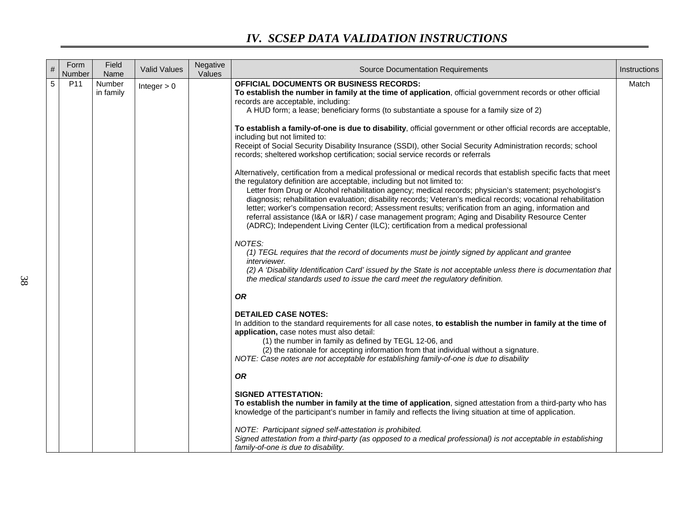| $\#$       | Form<br>Number | Field<br>Name       | <b>Valid Values</b> | Negative<br>Values | <b>Source Documentation Requirements</b>                                                                                                                                                                                                                                                                                                                                                                                                                                                                                                                                                                                                                                                                                                                                                                                                                                                                                                                                                                                                                                                                                                                                                                                                                                                                                                                                                                                                                                                                                                                                                                                                                                                                                  | Instructions |
|------------|----------------|---------------------|---------------------|--------------------|---------------------------------------------------------------------------------------------------------------------------------------------------------------------------------------------------------------------------------------------------------------------------------------------------------------------------------------------------------------------------------------------------------------------------------------------------------------------------------------------------------------------------------------------------------------------------------------------------------------------------------------------------------------------------------------------------------------------------------------------------------------------------------------------------------------------------------------------------------------------------------------------------------------------------------------------------------------------------------------------------------------------------------------------------------------------------------------------------------------------------------------------------------------------------------------------------------------------------------------------------------------------------------------------------------------------------------------------------------------------------------------------------------------------------------------------------------------------------------------------------------------------------------------------------------------------------------------------------------------------------------------------------------------------------------------------------------------------------|--------------|
| $\sqrt{5}$ | P11            | Number<br>in family | Integer $> 0$       |                    | <b>OFFICIAL DOCUMENTS OR BUSINESS RECORDS:</b><br>To establish the number in family at the time of application, official government records or other official<br>records are acceptable, including:<br>A HUD form; a lease; beneficiary forms (to substantiate a spouse for a family size of 2)<br>To establish a family-of-one is due to disability, official government or other official records are acceptable,<br>including but not limited to:<br>Receipt of Social Security Disability Insurance (SSDI), other Social Security Administration records; school<br>records; sheltered workshop certification; social service records or referrals<br>Alternatively, certification from a medical professional or medical records that establish specific facts that meet<br>the regulatory definition are acceptable, including but not limited to:<br>Letter from Drug or Alcohol rehabilitation agency; medical records; physician's statement; psychologist's<br>diagnosis; rehabilitation evaluation; disability records; Veteran's medical records; vocational rehabilitation<br>letter; worker's compensation record; Assessment results; verification from an aging, information and<br>referral assistance (I&A or I&R) / case management program; Aging and Disability Resource Center<br>(ADRC); Independent Living Center (ILC); certification from a medical professional<br>NOTES:<br>(1) TEGL requires that the record of documents must be jointly signed by applicant and grantee<br>interviewer.<br>(2) A 'Disability Identification Card' issued by the State is not acceptable unless there is documentation that<br>the medical standards used to issue the card meet the regulatory definition. | Match        |
|            |                |                     |                     |                    | <b>OR</b><br><b>DETAILED CASE NOTES:</b><br>In addition to the standard requirements for all case notes, to establish the number in family at the time of<br>application, case notes must also detail:<br>(1) the number in family as defined by TEGL 12-06, and<br>(2) the rationale for accepting information from that individual without a signature.<br>NOTE: Case notes are not acceptable for establishing family-of-one is due to disability<br><b>OR</b><br><b>SIGNED ATTESTATION:</b><br>To establish the number in family at the time of application, signed attestation from a third-party who has<br>knowledge of the participant's number in family and reflects the living situation at time of application.<br>NOTE: Participant signed self-attestation is prohibited.<br>Signed attestation from a third-party (as opposed to a medical professional) is not acceptable in establishing<br>family-of-one is due to disability.                                                                                                                                                                                                                                                                                                                                                                                                                                                                                                                                                                                                                                                                                                                                                                          |              |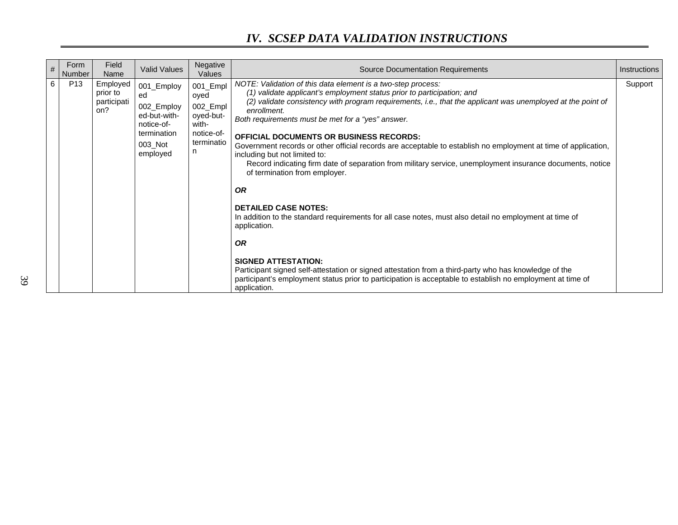| # | Form<br>Number  | Field<br>Name                              | <b>Valid Values</b>                                                                                | Negative<br>Values                                                                   | <b>Source Documentation Requirements</b>                                                                                                                                                                                                                                                                                                                                                                                                                                                                                                                                                                                                                                                                                                                                                                                                                                                                                                                                                                                                                                                                                             | <b>Instructions</b> |
|---|-----------------|--------------------------------------------|----------------------------------------------------------------------------------------------------|--------------------------------------------------------------------------------------|--------------------------------------------------------------------------------------------------------------------------------------------------------------------------------------------------------------------------------------------------------------------------------------------------------------------------------------------------------------------------------------------------------------------------------------------------------------------------------------------------------------------------------------------------------------------------------------------------------------------------------------------------------------------------------------------------------------------------------------------------------------------------------------------------------------------------------------------------------------------------------------------------------------------------------------------------------------------------------------------------------------------------------------------------------------------------------------------------------------------------------------|---------------------|
| 6 | P <sub>13</sub> | Employed<br>prior to<br>participati<br>on? | 001_Employ<br>ed<br>002_Employ<br>ed-but-with-<br>notice-of-<br>termination<br>003 Not<br>employed | 001_Empl<br>oyed<br>002_Empl<br>oyed-but-<br>with-<br>notice-of-<br>terminatio<br>n. | NOTE: Validation of this data element is a two-step process:<br>(1) validate applicant's employment status prior to participation; and<br>(2) validate consistency with program requirements, i.e., that the applicant was unemployed at the point of<br>enrollment.<br>Both requirements must be met for a "yes" answer.<br><b>OFFICIAL DOCUMENTS OR BUSINESS RECORDS:</b><br>Government records or other official records are acceptable to establish no employment at time of application,<br>including but not limited to:<br>Record indicating firm date of separation from military service, unemployment insurance documents, notice<br>of termination from employer.<br><b>OR</b><br><b>DETAILED CASE NOTES:</b><br>In addition to the standard requirements for all case notes, must also detail no employment at time of<br>application.<br><b>OR</b><br><b>SIGNED ATTESTATION:</b><br>Participant signed self-attestation or signed attestation from a third-party who has knowledge of the<br>participant's employment status prior to participation is acceptable to establish no employment at time of<br>application. | Support             |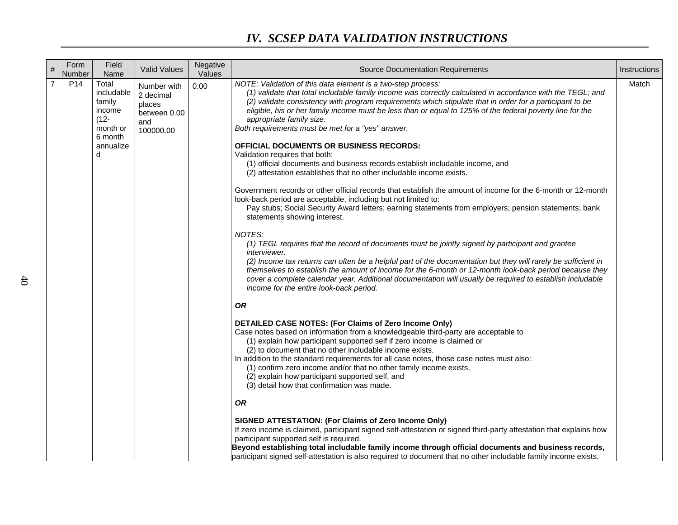| $\#$           | Form<br>Number  | Field<br>Name                                                                               | <b>Valid Values</b>                                                    | Negative<br>Values | <b>Source Documentation Requirements</b>                                                                                                                                                                                                                                                                                                                                                                                                                                                                                                                                                                                                                                                                                        | Instructions |
|----------------|-----------------|---------------------------------------------------------------------------------------------|------------------------------------------------------------------------|--------------------|---------------------------------------------------------------------------------------------------------------------------------------------------------------------------------------------------------------------------------------------------------------------------------------------------------------------------------------------------------------------------------------------------------------------------------------------------------------------------------------------------------------------------------------------------------------------------------------------------------------------------------------------------------------------------------------------------------------------------------|--------------|
| $\overline{7}$ | P <sub>14</sub> | Total<br>includable<br>family<br>income<br>$(12 -$<br>month or<br>6 month<br>annualize<br>d | Number with<br>2 decimal<br>places<br>between 0.00<br>and<br>100000.00 | 0.00               | NOTE: Validation of this data element is a two-step process:<br>(1) validate that total includable family income was correctly calculated in accordance with the TEGL; and<br>(2) validate consistency with program requirements which stipulate that in order for a participant to be<br>eligible, his or her family income must be less than or equal to 125% of the federal poverty line for the<br>appropriate family size.<br>Both requirements must be met for a "yes" answer.<br><b>OFFICIAL DOCUMENTS OR BUSINESS RECORDS:</b><br>Validation requires that both:<br>(1) official documents and business records establish includable income, and<br>(2) attestation establishes that no other includable income exists. | Match        |
|                |                 |                                                                                             |                                                                        |                    | Government records or other official records that establish the amount of income for the 6-month or 12-month<br>look-back period are acceptable, including but not limited to:<br>Pay stubs; Social Security Award letters; earning statements from employers; pension statements; bank<br>statements showing interest.                                                                                                                                                                                                                                                                                                                                                                                                         |              |
|                |                 |                                                                                             |                                                                        |                    | NOTES:<br>(1) TEGL requires that the record of documents must be jointly signed by participant and grantee<br>interviewer.<br>(2) Income tax returns can often be a helpful part of the documentation but they will rarely be sufficient in<br>themselves to establish the amount of income for the 6-month or 12-month look-back period because they<br>cover a complete calendar year. Additional documentation will usually be required to establish includable<br>income for the entire look-back period.                                                                                                                                                                                                                   |              |
|                |                 |                                                                                             |                                                                        |                    | <b>OR</b>                                                                                                                                                                                                                                                                                                                                                                                                                                                                                                                                                                                                                                                                                                                       |              |
|                |                 |                                                                                             |                                                                        |                    | DETAILED CASE NOTES: (For Claims of Zero Income Only)<br>Case notes based on information from a knowledgeable third-party are acceptable to<br>(1) explain how participant supported self if zero income is claimed or<br>(2) to document that no other includable income exists.<br>In addition to the standard requirements for all case notes, those case notes must also:<br>(1) confirm zero income and/or that no other family income exists,<br>(2) explain how participant supported self, and<br>(3) detail how that confirmation was made.                                                                                                                                                                            |              |
|                |                 |                                                                                             |                                                                        |                    | <b>OR</b>                                                                                                                                                                                                                                                                                                                                                                                                                                                                                                                                                                                                                                                                                                                       |              |
|                |                 |                                                                                             |                                                                        |                    | SIGNED ATTESTATION: (For Claims of Zero Income Only)<br>If zero income is claimed, participant signed self-attestation or signed third-party attestation that explains how<br>participant supported self is required.<br>Beyond establishing total includable family income through official documents and business records,<br>participant signed self-attestation is also required to document that no other includable family income exists.                                                                                                                                                                                                                                                                                 |              |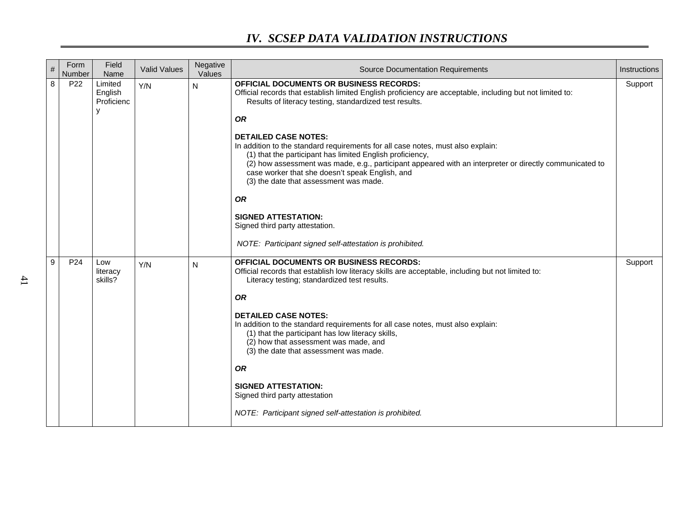| $\#$             | Form<br>Number  | Field<br>Name                         | <b>Valid Values</b> | Negative<br>Values | <b>Source Documentation Requirements</b>                                                                                                                                                                                                                                                                                                                                                                      | Instructions |
|------------------|-----------------|---------------------------------------|---------------------|--------------------|---------------------------------------------------------------------------------------------------------------------------------------------------------------------------------------------------------------------------------------------------------------------------------------------------------------------------------------------------------------------------------------------------------------|--------------|
| 8                | P <sub>22</sub> | Limited<br>English<br>Proficienc<br>٧ | Y/N                 | N                  | OFFICIAL DOCUMENTS OR BUSINESS RECORDS:<br>Official records that establish limited English proficiency are acceptable, including but not limited to:<br>Results of literacy testing, standardized test results.                                                                                                                                                                                               | Support      |
|                  |                 |                                       |                     |                    | <b>OR</b><br><b>DETAILED CASE NOTES:</b><br>In addition to the standard requirements for all case notes, must also explain:<br>(1) that the participant has limited English proficiency,<br>(2) how assessment was made, e.g., participant appeared with an interpreter or directly communicated to<br>case worker that she doesn't speak English, and<br>(3) the date that assessment was made.<br><b>OR</b> |              |
|                  |                 |                                       |                     |                    | <b>SIGNED ATTESTATION:</b><br>Signed third party attestation.<br>NOTE: Participant signed self-attestation is prohibited.                                                                                                                                                                                                                                                                                     |              |
| $\boldsymbol{9}$ | P <sub>24</sub> | Low                                   | Y/N                 | N                  | <b>OFFICIAL DOCUMENTS OR BUSINESS RECORDS:</b>                                                                                                                                                                                                                                                                                                                                                                | Support      |
|                  |                 | literacy<br>skills?                   |                     |                    | Official records that establish low literacy skills are acceptable, including but not limited to:<br>Literacy testing; standardized test results.                                                                                                                                                                                                                                                             |              |
|                  |                 |                                       |                     |                    | <b>OR</b>                                                                                                                                                                                                                                                                                                                                                                                                     |              |
|                  |                 |                                       |                     |                    | <b>DETAILED CASE NOTES:</b><br>In addition to the standard requirements for all case notes, must also explain:<br>(1) that the participant has low literacy skills,<br>(2) how that assessment was made, and<br>(3) the date that assessment was made.                                                                                                                                                        |              |
|                  |                 |                                       |                     |                    | <b>OR</b>                                                                                                                                                                                                                                                                                                                                                                                                     |              |
|                  |                 |                                       |                     |                    | <b>SIGNED ATTESTATION:</b><br>Signed third party attestation                                                                                                                                                                                                                                                                                                                                                  |              |
|                  |                 |                                       |                     |                    | NOTE: Participant signed self-attestation is prohibited.                                                                                                                                                                                                                                                                                                                                                      |              |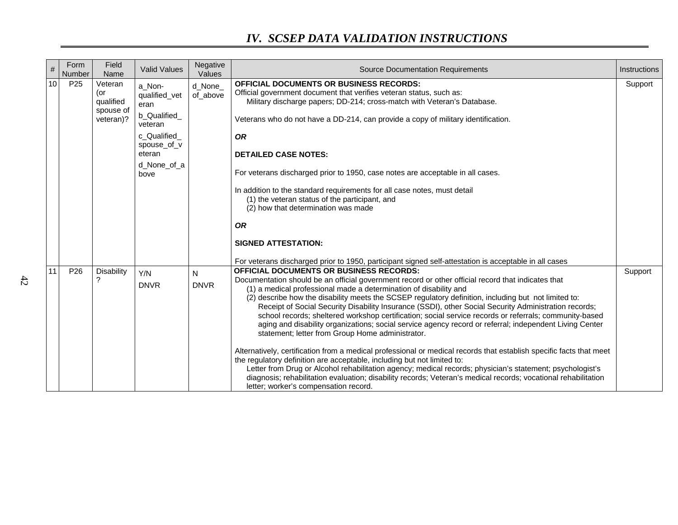| #  | Form<br>Number  | Field<br>Name                                         | <b>Valid Values</b>                             | Negative<br>Values  | <b>Source Documentation Requirements</b>                                                                                                                                                                                                                                                                                                                                                                                                                                                                                                                                                                                                                                                                            | Instructions |
|----|-----------------|-------------------------------------------------------|-------------------------------------------------|---------------------|---------------------------------------------------------------------------------------------------------------------------------------------------------------------------------------------------------------------------------------------------------------------------------------------------------------------------------------------------------------------------------------------------------------------------------------------------------------------------------------------------------------------------------------------------------------------------------------------------------------------------------------------------------------------------------------------------------------------|--------------|
| 10 | P <sub>25</sub> | Veteran<br>(or<br>qualified<br>spouse of<br>veteran)? | a_Non-<br>qualified_vet<br>eran<br>b_Qualified_ | d_None_<br>of above | <b>OFFICIAL DOCUMENTS OR BUSINESS RECORDS:</b><br>Official government document that verifies veteran status, such as:<br>Military discharge papers; DD-214; cross-match with Veteran's Database.<br>Veterans who do not have a DD-214, can provide a copy of military identification.                                                                                                                                                                                                                                                                                                                                                                                                                               | Support      |
|    |                 |                                                       | veteran<br>c_Qualified_<br>spouse_of_v          |                     | <b>OR</b>                                                                                                                                                                                                                                                                                                                                                                                                                                                                                                                                                                                                                                                                                                           |              |
|    |                 |                                                       | eteran<br>d None of a                           |                     | <b>DETAILED CASE NOTES:</b>                                                                                                                                                                                                                                                                                                                                                                                                                                                                                                                                                                                                                                                                                         |              |
|    |                 |                                                       | bove                                            |                     | For veterans discharged prior to 1950, case notes are acceptable in all cases.                                                                                                                                                                                                                                                                                                                                                                                                                                                                                                                                                                                                                                      |              |
|    |                 |                                                       |                                                 |                     | In addition to the standard requirements for all case notes, must detail<br>(1) the veteran status of the participant, and<br>(2) how that determination was made                                                                                                                                                                                                                                                                                                                                                                                                                                                                                                                                                   |              |
|    |                 |                                                       |                                                 |                     | <b>OR</b>                                                                                                                                                                                                                                                                                                                                                                                                                                                                                                                                                                                                                                                                                                           |              |
|    |                 |                                                       |                                                 |                     | <b>SIGNED ATTESTATION:</b>                                                                                                                                                                                                                                                                                                                                                                                                                                                                                                                                                                                                                                                                                          |              |
|    |                 |                                                       |                                                 |                     | For veterans discharged prior to 1950, participant signed self-attestation is acceptable in all cases                                                                                                                                                                                                                                                                                                                                                                                                                                                                                                                                                                                                               |              |
| 11 | P <sub>26</sub> | Disability<br>?                                       | Y/N<br><b>DNVR</b>                              | N<br><b>DNVR</b>    | <b>OFFICIAL DOCUMENTS OR BUSINESS RECORDS:</b><br>Documentation should be an official government record or other official record that indicates that<br>(1) a medical professional made a determination of disability and<br>(2) describe how the disability meets the SCSEP regulatory definition, including but not limited to:<br>Receipt of Social Security Disability Insurance (SSDI), other Social Security Administration records;<br>school records; sheltered workshop certification; social service records or referrals; community-based<br>aging and disability organizations; social service agency record or referral; independent Living Center<br>statement; letter from Group Home administrator. | Support      |
|    |                 |                                                       |                                                 |                     | Alternatively, certification from a medical professional or medical records that establish specific facts that meet<br>the regulatory definition are acceptable, including but not limited to:<br>Letter from Drug or Alcohol rehabilitation agency; medical records; physician's statement; psychologist's<br>diagnosis; rehabilitation evaluation; disability records; Veteran's medical records; vocational rehabilitation<br>letter; worker's compensation record.                                                                                                                                                                                                                                              |              |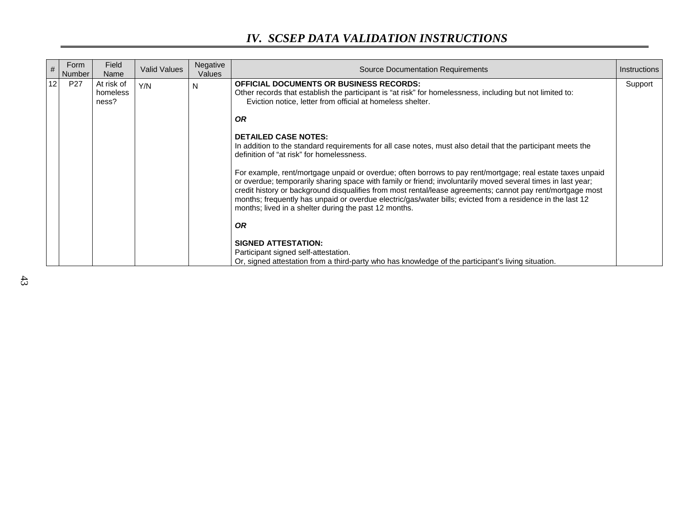| #  | Form<br>Number  | Field<br>Name                   | <b>Valid Values</b> | Negative<br>Values | <b>Source Documentation Requirements</b>                                                                                                                                                                                                                                                                                                                                                                                                                                                                                                                                                                                                                                                                                                                                                                                                                                                                                                                                                                                                 | Instructions |
|----|-----------------|---------------------------------|---------------------|--------------------|------------------------------------------------------------------------------------------------------------------------------------------------------------------------------------------------------------------------------------------------------------------------------------------------------------------------------------------------------------------------------------------------------------------------------------------------------------------------------------------------------------------------------------------------------------------------------------------------------------------------------------------------------------------------------------------------------------------------------------------------------------------------------------------------------------------------------------------------------------------------------------------------------------------------------------------------------------------------------------------------------------------------------------------|--------------|
| 12 | P <sub>27</sub> | At risk of<br>homeless<br>ness? | Y/N                 | N                  | <b>OFFICIAL DOCUMENTS OR BUSINESS RECORDS:</b><br>Other records that establish the participant is "at risk" for homelessness, including but not limited to:<br>Eviction notice, letter from official at homeless shelter.<br><b>OR</b><br><b>DETAILED CASE NOTES:</b><br>In addition to the standard requirements for all case notes, must also detail that the participant meets the<br>definition of "at risk" for homelessness.<br>For example, rent/mortgage unpaid or overdue; often borrows to pay rent/mortgage; real estate taxes unpaid<br>or overdue; temporarily sharing space with family or friend; involuntarily moved several times in last year;<br>credit history or background disqualifies from most rental/lease agreements; cannot pay rent/mortgage most<br>months; frequently has unpaid or overdue electric/gas/water bills; evicted from a residence in the last 12<br>months; lived in a shelter during the past 12 months.<br><b>OR</b><br><b>SIGNED ATTESTATION:</b><br>Participant signed self-attestation. | Support      |
|    |                 |                                 |                     |                    | Or, signed attestation from a third-party who has knowledge of the participant's living situation.                                                                                                                                                                                                                                                                                                                                                                                                                                                                                                                                                                                                                                                                                                                                                                                                                                                                                                                                       |              |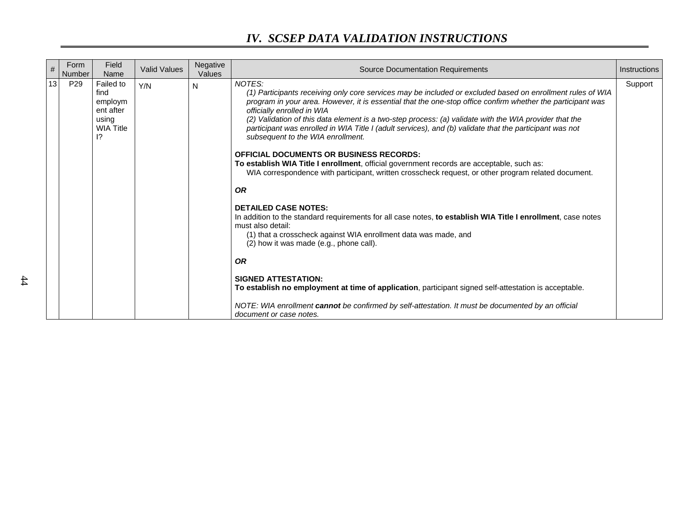| #  | Form<br>Number  | Field<br>Name                                                                             | <b>Valid Values</b> | Negative<br>Values | <b>Source Documentation Requirements</b>                                                                                                                                                                                                                                                                                                                                                                                                                                                                                                                                                                                                                                                                                                                                                                                                                                                                                                                                                                                                                                                                                                                                                                                                                                                                                                                              | Instructions |
|----|-----------------|-------------------------------------------------------------------------------------------|---------------------|--------------------|-----------------------------------------------------------------------------------------------------------------------------------------------------------------------------------------------------------------------------------------------------------------------------------------------------------------------------------------------------------------------------------------------------------------------------------------------------------------------------------------------------------------------------------------------------------------------------------------------------------------------------------------------------------------------------------------------------------------------------------------------------------------------------------------------------------------------------------------------------------------------------------------------------------------------------------------------------------------------------------------------------------------------------------------------------------------------------------------------------------------------------------------------------------------------------------------------------------------------------------------------------------------------------------------------------------------------------------------------------------------------|--------------|
| 13 | P <sub>29</sub> | Failed to<br>find<br>employm<br>ent after<br>using<br><b>WIA Title</b><br>$\overline{12}$ | Y/N                 | N                  | NOTES:<br>(1) Participants receiving only core services may be included or excluded based on enrollment rules of WIA<br>program in your area. However, it is essential that the one-stop office confirm whether the participant was<br>officially enrolled in WIA<br>(2) Validation of this data element is a two-step process: (a) validate with the WIA provider that the<br>participant was enrolled in WIA Title I (adult services), and (b) validate that the participant was not<br>subsequent to the WIA enrollment.<br><b>OFFICIAL DOCUMENTS OR BUSINESS RECORDS:</b><br>To establish WIA Title I enrollment, official government records are acceptable, such as:<br>WIA correspondence with participant, written crosscheck request, or other program related document.<br><b>OR</b><br><b>DETAILED CASE NOTES:</b><br>In addition to the standard requirements for all case notes, to establish WIA Title I enrollment, case notes<br>must also detail:<br>(1) that a crosscheck against WIA enrollment data was made, and<br>(2) how it was made (e.g., phone call).<br><b>OR</b><br><b>SIGNED ATTESTATION:</b><br>To establish no employment at time of application, participant signed self-attestation is acceptable.<br>NOTE: WIA enrollment cannot be confirmed by self-attestation. It must be documented by an official<br>document or case notes. | Support      |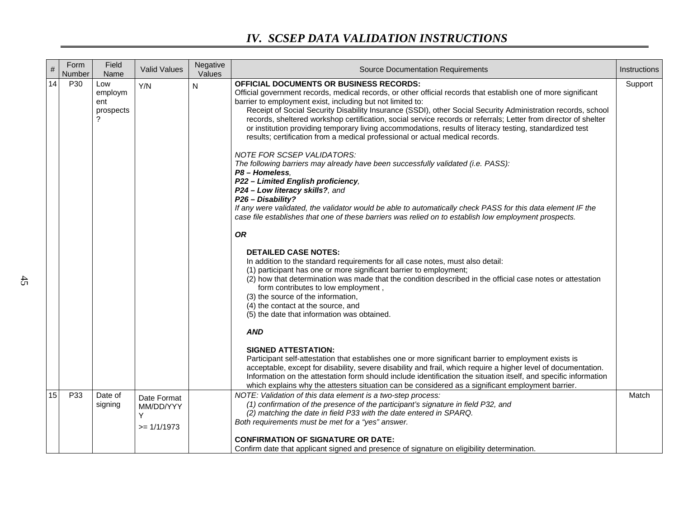| $\#$ | Form<br>Number | Field<br>Name                      | <b>Valid Values</b>                            | Negative<br>Values | <b>Source Documentation Requirements</b>                                                                                                                                                                                                                                                                                                                                                                                                                                                                                                                                                                                                                | Instructions |
|------|----------------|------------------------------------|------------------------------------------------|--------------------|---------------------------------------------------------------------------------------------------------------------------------------------------------------------------------------------------------------------------------------------------------------------------------------------------------------------------------------------------------------------------------------------------------------------------------------------------------------------------------------------------------------------------------------------------------------------------------------------------------------------------------------------------------|--------------|
| 14   | P30            | Low<br>employm<br>ent<br>prospects | Y/N                                            | N                  | OFFICIAL DOCUMENTS OR BUSINESS RECORDS:<br>Official government records, medical records, or other official records that establish one of more significant<br>barrier to employment exist, including but not limited to:<br>Receipt of Social Security Disability Insurance (SSDI), other Social Security Administration records, school<br>records, sheltered workshop certification, social service records or referrals; Letter from director of shelter<br>or institution providing temporary living accommodations, results of literacy testing, standardized test<br>results; certification from a medical professional or actual medical records. | Support      |
|      |                |                                    |                                                |                    | NOTE FOR SCSEP VALIDATORS:<br>The following barriers may already have been successfully validated (i.e. PASS):<br>P8 - Homeless,<br>P22 - Limited English proficiency,<br>P24 - Low literacy skills?, and<br>P26 - Disability?<br>If any were validated, the validator would be able to automatically check PASS for this data element IF the<br>case file establishes that one of these barriers was relied on to establish low employment prospects.                                                                                                                                                                                                  |              |
|      |                |                                    |                                                |                    | <b>OR</b>                                                                                                                                                                                                                                                                                                                                                                                                                                                                                                                                                                                                                                               |              |
|      |                |                                    |                                                |                    | <b>DETAILED CASE NOTES:</b><br>In addition to the standard requirements for all case notes, must also detail:<br>(1) participant has one or more significant barrier to employment;<br>(2) how that determination was made that the condition described in the official case notes or attestation<br>form contributes to low employment,<br>(3) the source of the information,<br>(4) the contact at the source, and<br>(5) the date that information was obtained.                                                                                                                                                                                     |              |
|      |                |                                    |                                                |                    | <b>AND</b>                                                                                                                                                                                                                                                                                                                                                                                                                                                                                                                                                                                                                                              |              |
|      |                |                                    |                                                |                    | <b>SIGNED ATTESTATION:</b><br>Participant self-attestation that establishes one or more significant barrier to employment exists is<br>acceptable, except for disability, severe disability and frail, which require a higher level of documentation.<br>Information on the attestation form should include identification the situation itself, and specific information<br>which explains why the attesters situation can be considered as a significant employment barrier.                                                                                                                                                                          |              |
| 15   | P33            | Date of<br>signing                 | Date Format<br>MM/DD/YYY<br>Υ<br>$>= 1/1/1973$ |                    | NOTE: Validation of this data element is a two-step process:<br>(1) confirmation of the presence of the participant's signature in field P32, and<br>(2) matching the date in field P33 with the date entered in SPARQ.<br>Both requirements must be met for a "yes" answer.                                                                                                                                                                                                                                                                                                                                                                            | Match        |
|      |                |                                    |                                                |                    | <b>CONFIRMATION OF SIGNATURE OR DATE:</b><br>Confirm date that applicant signed and presence of signature on eligibility determination.                                                                                                                                                                                                                                                                                                                                                                                                                                                                                                                 |              |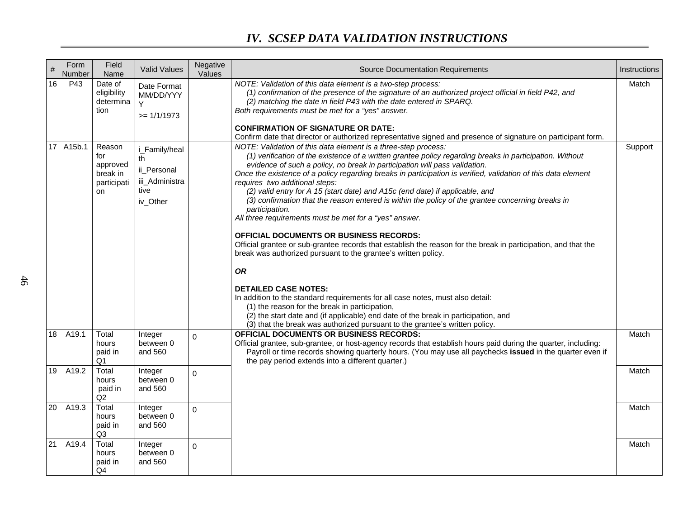| $\#$            | Form<br>Number | Field<br>Name                                              | <b>Valid Values</b>                                                      | Negative<br>Values | <b>Source Documentation Requirements</b>                                                                                                                                                                                                                                                                                                                                                                                                                                                                                                                                                                                                                                                                                                                                                                                                                                                                                                                                                                                                                                                                                                                                                                                                                                | Instructions |
|-----------------|----------------|------------------------------------------------------------|--------------------------------------------------------------------------|--------------------|-------------------------------------------------------------------------------------------------------------------------------------------------------------------------------------------------------------------------------------------------------------------------------------------------------------------------------------------------------------------------------------------------------------------------------------------------------------------------------------------------------------------------------------------------------------------------------------------------------------------------------------------------------------------------------------------------------------------------------------------------------------------------------------------------------------------------------------------------------------------------------------------------------------------------------------------------------------------------------------------------------------------------------------------------------------------------------------------------------------------------------------------------------------------------------------------------------------------------------------------------------------------------|--------------|
| 16              | P43            | Date of<br>eligibility<br>determina<br>tion                | Date Format<br>MM/DD/YYY<br>Y<br>$>= 1/1/1973$                           |                    | NOTE: Validation of this data element is a two-step process:<br>(1) confirmation of the presence of the signature of an authorized project official in field P42, and<br>(2) matching the date in field P43 with the date entered in SPARQ.<br>Both requirements must be met for a "yes" answer.<br><b>CONFIRMATION OF SIGNATURE OR DATE:</b><br>Confirm date that director or authorized representative signed and presence of signature on participant form.                                                                                                                                                                                                                                                                                                                                                                                                                                                                                                                                                                                                                                                                                                                                                                                                          | Match        |
|                 | 17 A15b.1      | Reason<br>for<br>approved<br>break in<br>participati<br>on | i_Family/heal<br>th<br>ii_Personal<br>iii_Administra<br>tive<br>iv_Other |                    | NOTE: Validation of this data element is a three-step process:<br>(1) verification of the existence of a written grantee policy regarding breaks in participation. Without<br>evidence of such a policy, no break in participation will pass validation.<br>Once the existence of a policy regarding breaks in participation is verified, validation of this data element<br>requires two additional steps:<br>(2) valid entry for A 15 (start date) and A15c (end date) if applicable, and<br>(3) confirmation that the reason entered is within the policy of the grantee concerning breaks in<br>participation.<br>All three requirements must be met for a "yes" answer.<br><b>OFFICIAL DOCUMENTS OR BUSINESS RECORDS:</b><br>Official grantee or sub-grantee records that establish the reason for the break in participation, and that the<br>break was authorized pursuant to the grantee's written policy.<br><b>OR</b><br><b>DETAILED CASE NOTES:</b><br>In addition to the standard requirements for all case notes, must also detail:<br>(1) the reason for the break in participation,<br>(2) the start date and (if applicable) end date of the break in participation, and<br>(3) that the break was authorized pursuant to the grantee's written policy. | Support      |
| 18              | A19.1          | Total<br>hours<br>paid in<br>Q1                            | Integer<br>between 0<br>and 560                                          | 0                  | <b>OFFICIAL DOCUMENTS OR BUSINESS RECORDS:</b><br>Official grantee, sub-grantee, or host-agency records that establish hours paid during the quarter, including:<br>Payroll or time records showing quarterly hours. (You may use all paychecks issued in the quarter even if<br>the pay period extends into a different quarter.)                                                                                                                                                                                                                                                                                                                                                                                                                                                                                                                                                                                                                                                                                                                                                                                                                                                                                                                                      | Match        |
| 19              | A19.2          | Total<br>hours<br>paid in<br>Q2                            | Integer<br>between 0<br>and 560                                          | $\mathbf 0$        |                                                                                                                                                                                                                                                                                                                                                                                                                                                                                                                                                                                                                                                                                                                                                                                                                                                                                                                                                                                                                                                                                                                                                                                                                                                                         | Match        |
| 20 <sup>°</sup> | A19.3          | Total<br>hours<br>paid in<br>Q3                            | Integer<br>between 0<br>and 560                                          | 0                  |                                                                                                                                                                                                                                                                                                                                                                                                                                                                                                                                                                                                                                                                                                                                                                                                                                                                                                                                                                                                                                                                                                                                                                                                                                                                         | Match        |
| 21              | A19.4          | Total<br>hours<br>paid in<br>Q4                            | Integer<br>between 0<br>and 560                                          | $\mathbf 0$        |                                                                                                                                                                                                                                                                                                                                                                                                                                                                                                                                                                                                                                                                                                                                                                                                                                                                                                                                                                                                                                                                                                                                                                                                                                                                         | Match        |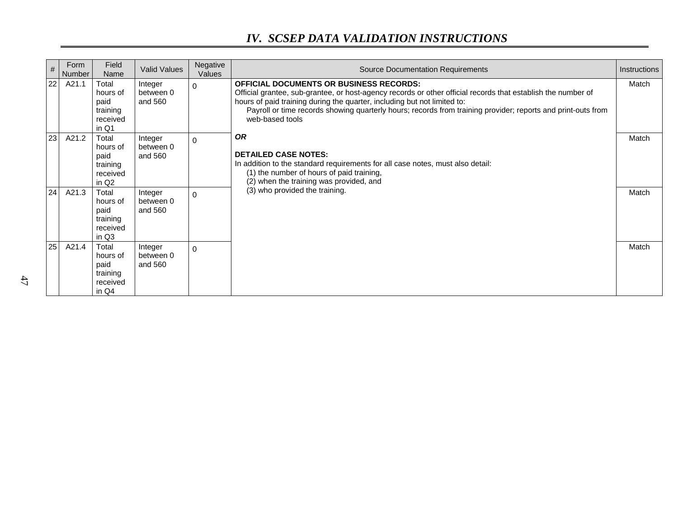| #               | Form<br>Number | Field<br>Name                                                          | <b>Valid Values</b>             | Negative<br>Values | <b>Source Documentation Requirements</b>                                                                                                                                                                                                                                                                                                                                      | Instructions |
|-----------------|----------------|------------------------------------------------------------------------|---------------------------------|--------------------|-------------------------------------------------------------------------------------------------------------------------------------------------------------------------------------------------------------------------------------------------------------------------------------------------------------------------------------------------------------------------------|--------------|
| 22              | A21.1          | Total<br>hours of<br>paid<br>training<br>received<br>in Q1             | Integer<br>between 0<br>and 560 | $\Omega$           | <b>OFFICIAL DOCUMENTS OR BUSINESS RECORDS:</b><br>Official grantee, sub-grantee, or host-agency records or other official records that establish the number of<br>hours of paid training during the quarter, including but not limited to:<br>Payroll or time records showing quarterly hours; records from training provider; reports and print-outs from<br>web-based tools | Match        |
| 23              | A21.2          | Total<br>hours of<br>paid<br>training<br>received<br>in Q <sub>2</sub> | Integer<br>between 0<br>and 560 | $\Omega$           | <b>OR</b><br><b>DETAILED CASE NOTES:</b><br>In addition to the standard requirements for all case notes, must also detail:<br>(1) the number of hours of paid training,<br>(2) when the training was provided, and                                                                                                                                                            | Match        |
| 24              | A21.3          | Total<br>hours of<br>paid<br>training<br>received<br>in Q3             | Integer<br>between 0<br>and 560 | $\Omega$           | (3) who provided the training.                                                                                                                                                                                                                                                                                                                                                | Match        |
| 25 <sub>1</sub> | A21.4          | Total<br>hours of<br>paid<br>training<br>received<br>in Q4             | Integer<br>between 0<br>and 560 | $\Omega$           |                                                                                                                                                                                                                                                                                                                                                                               | Match        |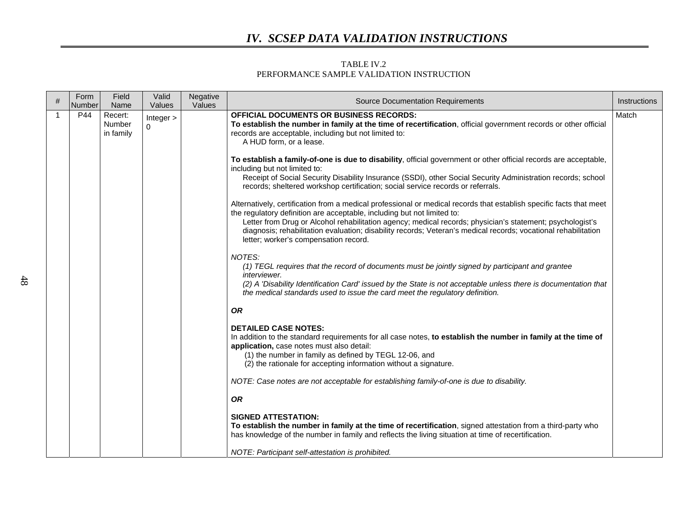#### TABLE IV.2 PERFORMANCE SAMPLE VALIDATION INSTRUCTION

| # | Form<br>Number | Field<br>Name                  | Valid<br>Values       | Negative<br>Values | <b>Source Documentation Requirements</b>                                                                                                                                                                                                                                                                                                                                                                                                                               | Instructions |
|---|----------------|--------------------------------|-----------------------|--------------------|------------------------------------------------------------------------------------------------------------------------------------------------------------------------------------------------------------------------------------------------------------------------------------------------------------------------------------------------------------------------------------------------------------------------------------------------------------------------|--------------|
|   | P44            | Recert:<br>Number<br>in family | Integer ><br>$\Omega$ |                    | <b>OFFICIAL DOCUMENTS OR BUSINESS RECORDS:</b><br>To establish the number in family at the time of recertification, official government records or other official<br>records are acceptable, including but not limited to:<br>A HUD form, or a lease.                                                                                                                                                                                                                  | Match        |
|   |                |                                |                       |                    | To establish a family-of-one is due to disability, official government or other official records are acceptable,<br>including but not limited to:<br>Receipt of Social Security Disability Insurance (SSDI), other Social Security Administration records; school<br>records; sheltered workshop certification; social service records or referrals.                                                                                                                   |              |
|   |                |                                |                       |                    | Alternatively, certification from a medical professional or medical records that establish specific facts that meet<br>the regulatory definition are acceptable, including but not limited to:<br>Letter from Drug or Alcohol rehabilitation agency; medical records; physician's statement; psychologist's<br>diagnosis; rehabilitation evaluation; disability records; Veteran's medical records; vocational rehabilitation<br>letter; worker's compensation record. |              |
|   |                |                                |                       |                    | NOTES:<br>(1) TEGL requires that the record of documents must be jointly signed by participant and grantee<br><i>interviewer.</i><br>(2) A 'Disability Identification Card' issued by the State is not acceptable unless there is documentation that<br>the medical standards used to issue the card meet the regulatory definition.                                                                                                                                   |              |
|   |                |                                |                       |                    | <b>OR</b>                                                                                                                                                                                                                                                                                                                                                                                                                                                              |              |
|   |                |                                |                       |                    | <b>DETAILED CASE NOTES:</b><br>In addition to the standard requirements for all case notes, to establish the number in family at the time of<br>application, case notes must also detail:<br>(1) the number in family as defined by TEGL 12-06, and<br>(2) the rationale for accepting information without a signature.                                                                                                                                                |              |
|   |                |                                |                       |                    | NOTE: Case notes are not acceptable for establishing family-of-one is due to disability.                                                                                                                                                                                                                                                                                                                                                                               |              |
|   |                |                                |                       |                    | <b>OR</b>                                                                                                                                                                                                                                                                                                                                                                                                                                                              |              |
|   |                |                                |                       |                    | <b>SIGNED ATTESTATION:</b><br>To establish the number in family at the time of recertification, signed attestation from a third-party who<br>has knowledge of the number in family and reflects the living situation at time of recertification.                                                                                                                                                                                                                       |              |
|   |                |                                |                       |                    | NOTE: Participant self-attestation is prohibited.                                                                                                                                                                                                                                                                                                                                                                                                                      |              |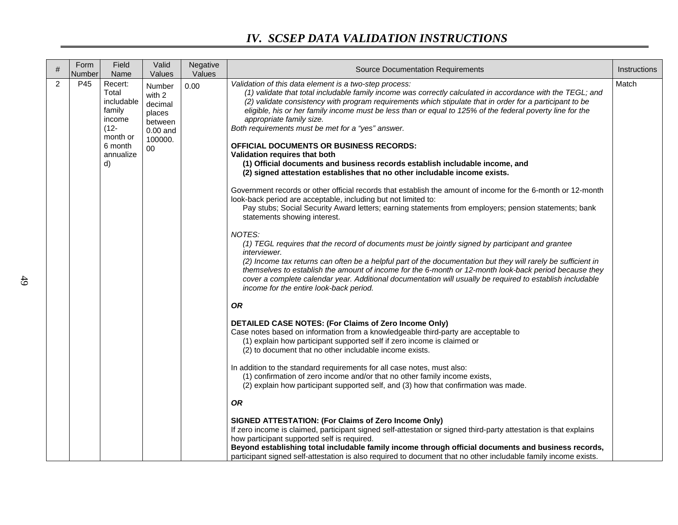| #              | Form<br>Number | Field<br>Name                                                                                           | Valid<br>Values                                                                 | Negative<br>Values | <b>Source Documentation Requirements</b>                                                                                                                                                                                                                                                                                                                                                                                                                                                                                                                                                                                                                                                                                                                                                                                                                                                                                                                                                                                                                                                                                                                                                                                                                                                                                                                                                                                                                                                                                                                                                                                                                                                                                                       | Instructions |
|----------------|----------------|---------------------------------------------------------------------------------------------------------|---------------------------------------------------------------------------------|--------------------|------------------------------------------------------------------------------------------------------------------------------------------------------------------------------------------------------------------------------------------------------------------------------------------------------------------------------------------------------------------------------------------------------------------------------------------------------------------------------------------------------------------------------------------------------------------------------------------------------------------------------------------------------------------------------------------------------------------------------------------------------------------------------------------------------------------------------------------------------------------------------------------------------------------------------------------------------------------------------------------------------------------------------------------------------------------------------------------------------------------------------------------------------------------------------------------------------------------------------------------------------------------------------------------------------------------------------------------------------------------------------------------------------------------------------------------------------------------------------------------------------------------------------------------------------------------------------------------------------------------------------------------------------------------------------------------------------------------------------------------------|--------------|
| $\overline{2}$ | P45            | Recert:<br>Total<br>includable<br>family<br>income<br>$(12 -$<br>month or<br>6 month<br>annualize<br>d) | Number<br>with 2<br>decimal<br>places<br>between<br>$0.00$ and<br>100000.<br>00 | 0.00               | Validation of this data element is a two-step process:<br>(1) validate that total includable family income was correctly calculated in accordance with the TEGL; and<br>(2) validate consistency with program requirements which stipulate that in order for a participant to be<br>eligible, his or her family income must be less than or equal to 125% of the federal poverty line for the<br>appropriate family size.<br>Both requirements must be met for a "yes" answer.<br><b>OFFICIAL DOCUMENTS OR BUSINESS RECORDS:</b><br>Validation requires that both<br>(1) Official documents and business records establish includable income, and<br>(2) signed attestation establishes that no other includable income exists.<br>Government records or other official records that establish the amount of income for the 6-month or 12-month<br>look-back period are acceptable, including but not limited to:<br>Pay stubs; Social Security Award letters; earning statements from employers; pension statements; bank<br>statements showing interest.<br>NOTES:<br>(1) TEGL requires that the record of documents must be jointly signed by participant and grantee<br><i>interviewer.</i><br>(2) Income tax returns can often be a helpful part of the documentation but they will rarely be sufficient in<br>themselves to establish the amount of income for the 6-month or 12-month look-back period because they<br>cover a complete calendar year. Additional documentation will usually be required to establish includable<br>income for the entire look-back period.<br><b>OR</b><br>DETAILED CASE NOTES: (For Claims of Zero Income Only)<br>Case notes based on information from a knowledgeable third-party are acceptable to | Match        |
|                |                |                                                                                                         |                                                                                 |                    | (1) explain how participant supported self if zero income is claimed or<br>(2) to document that no other includable income exists.                                                                                                                                                                                                                                                                                                                                                                                                                                                                                                                                                                                                                                                                                                                                                                                                                                                                                                                                                                                                                                                                                                                                                                                                                                                                                                                                                                                                                                                                                                                                                                                                             |              |
|                |                |                                                                                                         |                                                                                 |                    | In addition to the standard requirements for all case notes, must also:<br>(1) confirmation of zero income and/or that no other family income exists,<br>(2) explain how participant supported self, and (3) how that confirmation was made.                                                                                                                                                                                                                                                                                                                                                                                                                                                                                                                                                                                                                                                                                                                                                                                                                                                                                                                                                                                                                                                                                                                                                                                                                                                                                                                                                                                                                                                                                                   |              |
|                |                |                                                                                                         |                                                                                 |                    | <b>OR</b>                                                                                                                                                                                                                                                                                                                                                                                                                                                                                                                                                                                                                                                                                                                                                                                                                                                                                                                                                                                                                                                                                                                                                                                                                                                                                                                                                                                                                                                                                                                                                                                                                                                                                                                                      |              |
|                |                |                                                                                                         |                                                                                 |                    | SIGNED ATTESTATION: (For Claims of Zero Income Only)<br>If zero income is claimed, participant signed self-attestation or signed third-party attestation is that explains<br>how participant supported self is required.<br>Beyond establishing total includable family income through official documents and business records,<br>participant signed self-attestation is also required to document that no other includable family income exists.                                                                                                                                                                                                                                                                                                                                                                                                                                                                                                                                                                                                                                                                                                                                                                                                                                                                                                                                                                                                                                                                                                                                                                                                                                                                                             |              |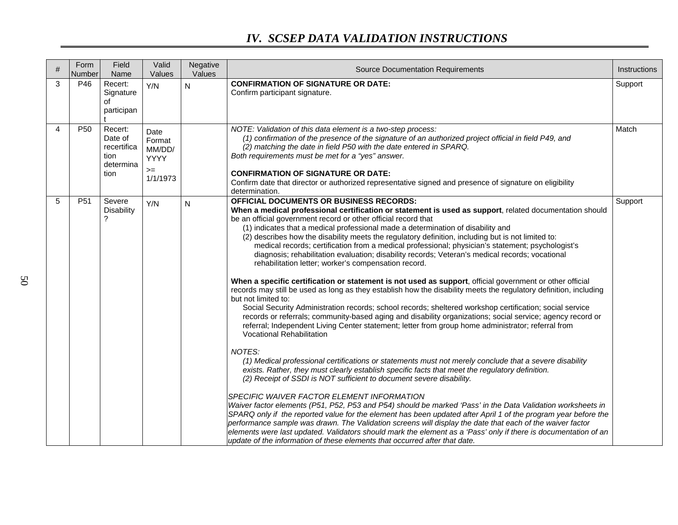| # | Form<br>Number  | Field<br>Name                                                  | Valid<br>Values                                            | Negative<br>Values | <b>Source Documentation Requirements</b>                                                                                                                                                                                                                                                                                                                                                                                                                                                                                                                                                                                                                                                                                                                                                                                                                                                                                                                                                                                                                                                                                                                                                                                                                                                                                                                                                                                                                                                                                                                                                                                                                                                                                                                                                                                                                                                                                                                                                                                                                                                                                                                                                                       | Instructions |
|---|-----------------|----------------------------------------------------------------|------------------------------------------------------------|--------------------|----------------------------------------------------------------------------------------------------------------------------------------------------------------------------------------------------------------------------------------------------------------------------------------------------------------------------------------------------------------------------------------------------------------------------------------------------------------------------------------------------------------------------------------------------------------------------------------------------------------------------------------------------------------------------------------------------------------------------------------------------------------------------------------------------------------------------------------------------------------------------------------------------------------------------------------------------------------------------------------------------------------------------------------------------------------------------------------------------------------------------------------------------------------------------------------------------------------------------------------------------------------------------------------------------------------------------------------------------------------------------------------------------------------------------------------------------------------------------------------------------------------------------------------------------------------------------------------------------------------------------------------------------------------------------------------------------------------------------------------------------------------------------------------------------------------------------------------------------------------------------------------------------------------------------------------------------------------------------------------------------------------------------------------------------------------------------------------------------------------------------------------------------------------------------------------------------------------|--------------|
| 3 | P46             | Recert:<br>Signature<br>of<br>participan                       | Y/N                                                        | N                  | <b>CONFIRMATION OF SIGNATURE OR DATE:</b><br>Confirm participant signature.                                                                                                                                                                                                                                                                                                                                                                                                                                                                                                                                                                                                                                                                                                                                                                                                                                                                                                                                                                                                                                                                                                                                                                                                                                                                                                                                                                                                                                                                                                                                                                                                                                                                                                                                                                                                                                                                                                                                                                                                                                                                                                                                    | Support      |
| 4 | P <sub>50</sub> | Recert:<br>Date of<br>recertifica<br>tion<br>determina<br>tion | Date<br>Format<br>MM/DD/<br><b>YYYY</b><br>$=$<br>1/1/1973 |                    | NOTE: Validation of this data element is a two-step process:<br>(1) confirmation of the presence of the signature of an authorized project official in field P49, and<br>(2) matching the date in field P50 with the date entered in SPARQ.<br>Both requirements must be met for a "yes" answer.<br><b>CONFIRMATION OF SIGNATURE OR DATE:</b><br>Confirm date that director or authorized representative signed and presence of signature on eligibility<br>determination.                                                                                                                                                                                                                                                                                                                                                                                                                                                                                                                                                                                                                                                                                                                                                                                                                                                                                                                                                                                                                                                                                                                                                                                                                                                                                                                                                                                                                                                                                                                                                                                                                                                                                                                                     | Match        |
| 5 | P <sub>51</sub> | Severe<br><b>Disability</b><br>?                               | Y/N                                                        | N                  | <b>OFFICIAL DOCUMENTS OR BUSINESS RECORDS:</b><br>When a medical professional certification or statement is used as support, related documentation should<br>be an official government record or other official record that<br>(1) indicates that a medical professional made a determination of disability and<br>(2) describes how the disability meets the regulatory definition, including but is not limited to:<br>medical records; certification from a medical professional; physician's statement; psychologist's<br>diagnosis; rehabilitation evaluation; disability records; Veteran's medical records; vocational<br>rehabilitation letter; worker's compensation record.<br>When a specific certification or statement is not used as support, official government or other official<br>records may still be used as long as they establish how the disability meets the regulatory definition, including<br>but not limited to:<br>Social Security Administration records; school records; sheltered workshop certification; social service<br>records or referrals; community-based aging and disability organizations; social service; agency record or<br>referral; Independent Living Center statement; letter from group home administrator; referral from<br><b>Vocational Rehabilitation</b><br>NOTES:<br>(1) Medical professional certifications or statements must not merely conclude that a severe disability<br>exists. Rather, they must clearly establish specific facts that meet the regulatory definition.<br>(2) Receipt of SSDI is NOT sufficient to document severe disability.<br>SPECIFIC WAIVER FACTOR ELEMENT INFORMATION<br>Waiver factor elements (P51, P52, P53 and P54) should be marked 'Pass' in the Data Validation worksheets in<br>SPARQ only if the reported value for the element has been updated after April 1 of the program year before the<br>performance sample was drawn. The Validation screens will display the date that each of the waiver factor<br>elements were last updated. Validators should mark the element as a 'Pass' only if there is documentation of an<br>update of the information of these elements that occurred after that date. | Support      |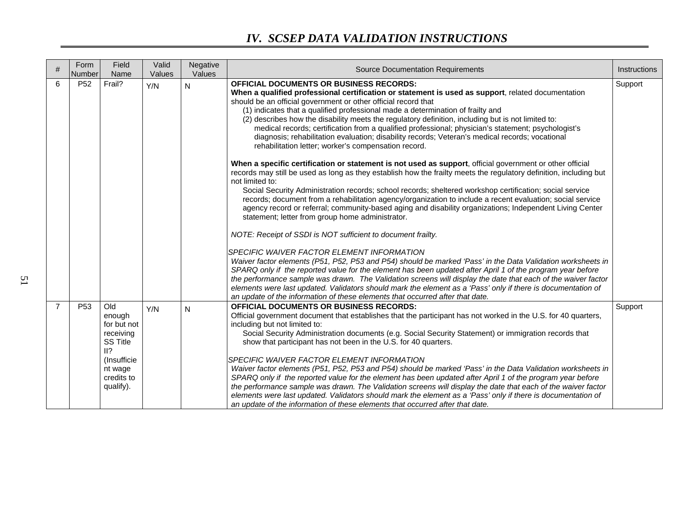|                | Form<br>Number  | Field<br>Name                                                                                                            | Valid<br>Values | Negative<br>Values | <b>Source Documentation Requirements</b>                                                                                                                                                                                                                                                                                                                                                                                                                                                                                                                                                                                                                                                                                                                                                                                                                                                                                                                                                                                                                                                                                                                                                                                                                                                                                         | Instructions |
|----------------|-----------------|--------------------------------------------------------------------------------------------------------------------------|-----------------|--------------------|----------------------------------------------------------------------------------------------------------------------------------------------------------------------------------------------------------------------------------------------------------------------------------------------------------------------------------------------------------------------------------------------------------------------------------------------------------------------------------------------------------------------------------------------------------------------------------------------------------------------------------------------------------------------------------------------------------------------------------------------------------------------------------------------------------------------------------------------------------------------------------------------------------------------------------------------------------------------------------------------------------------------------------------------------------------------------------------------------------------------------------------------------------------------------------------------------------------------------------------------------------------------------------------------------------------------------------|--------------|
| 6              | P <sub>52</sub> | Frail?                                                                                                                   | Y/N             | N                  | <b>OFFICIAL DOCUMENTS OR BUSINESS RECORDS:</b><br>When a qualified professional certification or statement is used as support, related documentation<br>should be an official government or other official record that<br>(1) indicates that a qualified professional made a determination of frailty and<br>(2) describes how the disability meets the regulatory definition, including but is not limited to:<br>medical records; certification from a qualified professional; physician's statement; psychologist's<br>diagnosis; rehabilitation evaluation; disability records; Veteran's medical records; vocational<br>rehabilitation letter; worker's compensation record.<br>When a specific certification or statement is not used as support, official government or other official<br>records may still be used as long as they establish how the frailty meets the regulatory definition, including but<br>not limited to:<br>Social Security Administration records; school records; sheltered workshop certification; social service<br>records; document from a rehabilitation agency/organization to include a recent evaluation; social service<br>agency record or referral; community-based aging and disability organizations; Independent Living Center<br>statement; letter from group home administrator. | Support      |
|                |                 |                                                                                                                          |                 |                    | NOTE: Receipt of SSDI is NOT sufficient to document frailty.<br>SPECIFIC WAIVER FACTOR ELEMENT INFORMATION<br>Waiver factor elements (P51, P52, P53 and P54) should be marked 'Pass' in the Data Validation worksheets in<br>SPARQ only if the reported value for the element has been updated after April 1 of the program year before<br>the performance sample was drawn. The Validation screens will display the date that each of the waiver factor<br>elements were last updated. Validators should mark the element as a 'Pass' only if there is documentation of<br>an update of the information of these elements that occurred after that date.                                                                                                                                                                                                                                                                                                                                                                                                                                                                                                                                                                                                                                                                        |              |
| $\overline{7}$ | P <sub>53</sub> | Old<br>enough<br>for but not<br>receiving<br><b>SS Title</b><br>II?<br>(Insufficie<br>nt wage<br>credits to<br>qualify). | Y/N             | N                  | <b>OFFICIAL DOCUMENTS OR BUSINESS RECORDS:</b><br>Official government document that establishes that the participant has not worked in the U.S. for 40 quarters,<br>including but not limited to:<br>Social Security Administration documents (e.g. Social Security Statement) or immigration records that<br>show that participant has not been in the U.S. for 40 quarters.<br>SPECIFIC WAIVER FACTOR ELEMENT INFORMATION<br>Waiver factor elements (P51, P52, P53 and P54) should be marked 'Pass' in the Data Validation worksheets in<br>SPARQ only if the reported value for the element has been updated after April 1 of the program year before<br>the performance sample was drawn. The Validation screens will display the date that each of the waiver factor<br>elements were last updated. Validators should mark the element as a 'Pass' only if there is documentation of<br>an update of the information of these elements that occurred after that date.                                                                                                                                                                                                                                                                                                                                                       | Support      |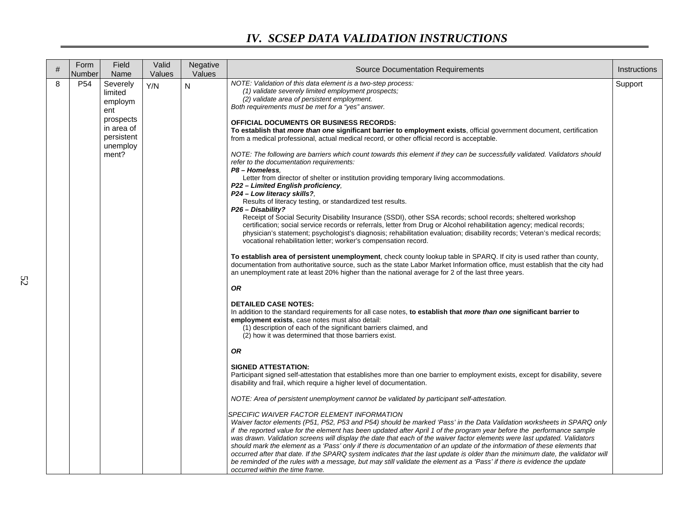| $\#$ | Form<br>Number  | Field<br>Name                                     | Valid<br>Values | Negative<br>Values | <b>Source Documentation Requirements</b>                                                                                                                                                                                                                                                                                                                                                                                                                                                                                                                                                                                                                                                                                                                                                                                                                  | Instructions |
|------|-----------------|---------------------------------------------------|-----------------|--------------------|-----------------------------------------------------------------------------------------------------------------------------------------------------------------------------------------------------------------------------------------------------------------------------------------------------------------------------------------------------------------------------------------------------------------------------------------------------------------------------------------------------------------------------------------------------------------------------------------------------------------------------------------------------------------------------------------------------------------------------------------------------------------------------------------------------------------------------------------------------------|--------------|
| 8    | P <sub>54</sub> | Severely<br>limited<br>employm<br>ent             | Y/N             | N                  | NOTE: Validation of this data element is a two-step process:<br>(1) validate severely limited employment prospects;<br>(2) validate area of persistent employment.<br>Both requirements must be met for a "yes" answer.                                                                                                                                                                                                                                                                                                                                                                                                                                                                                                                                                                                                                                   | Support      |
|      |                 | prospects<br>in area of<br>persistent<br>unemploy |                 |                    | <b>OFFICIAL DOCUMENTS OR BUSINESS RECORDS:</b><br>To establish that <i>more than one</i> significant barrier to employment exists, official government document, certification<br>from a medical professional, actual medical record, or other official record is acceptable.                                                                                                                                                                                                                                                                                                                                                                                                                                                                                                                                                                             |              |
|      |                 | ment?                                             |                 |                    | NOTE: The following are barriers which count towards this element if they can be successfully validated. Validators should<br>refer to the documentation requirements:<br>P8 - Homeless.                                                                                                                                                                                                                                                                                                                                                                                                                                                                                                                                                                                                                                                                  |              |
|      |                 |                                                   |                 |                    | Letter from director of shelter or institution providing temporary living accommodations.<br>P22 - Limited English proficiency,<br>P24 - Low literacy skills?,                                                                                                                                                                                                                                                                                                                                                                                                                                                                                                                                                                                                                                                                                            |              |
|      |                 |                                                   |                 |                    | Results of literacy testing, or standardized test results.<br>P26 - Disability?<br>Receipt of Social Security Disability Insurance (SSDI), other SSA records; school records; sheltered workshop<br>certification; social service records or referrals, letter from Drug or Alcohol rehabilitation agency; medical records;<br>physician's statement; psychologist's diagnosis; rehabilitation evaluation; disability records; Veteran's medical records;<br>vocational rehabilitation letter; worker's compensation record.                                                                                                                                                                                                                                                                                                                              |              |
|      |                 |                                                   |                 |                    | To establish area of persistent unemployment, check county lookup table in SPARQ. If city is used rather than county,<br>documentation from authoritative source, such as the state Labor Market Information office, must establish that the city had<br>an unemployment rate at least 20% higher than the national average for 2 of the last three years.                                                                                                                                                                                                                                                                                                                                                                                                                                                                                                |              |
|      |                 |                                                   |                 |                    | <b>OR</b>                                                                                                                                                                                                                                                                                                                                                                                                                                                                                                                                                                                                                                                                                                                                                                                                                                                 |              |
|      |                 |                                                   |                 |                    | <b>DETAILED CASE NOTES:</b><br>In addition to the standard requirements for all case notes, to establish that more than one significant barrier to<br>employment exists, case notes must also detail:<br>(1) description of each of the significant barriers claimed, and<br>(2) how it was determined that those barriers exist.                                                                                                                                                                                                                                                                                                                                                                                                                                                                                                                         |              |
|      |                 |                                                   |                 |                    | <b>OR</b>                                                                                                                                                                                                                                                                                                                                                                                                                                                                                                                                                                                                                                                                                                                                                                                                                                                 |              |
|      |                 |                                                   |                 |                    | <b>SIGNED ATTESTATION:</b><br>Participant signed self-attestation that establishes more than one barrier to employment exists, except for disability, severe<br>disability and frail, which require a higher level of documentation.                                                                                                                                                                                                                                                                                                                                                                                                                                                                                                                                                                                                                      |              |
|      |                 |                                                   |                 |                    | NOTE: Area of persistent unemployment cannot be validated by participant self-attestation.                                                                                                                                                                                                                                                                                                                                                                                                                                                                                                                                                                                                                                                                                                                                                                |              |
|      |                 |                                                   |                 |                    | SPECIFIC WAIVER FACTOR ELEMENT INFORMATION<br>Waiver factor elements (P51, P52, P53 and P54) should be marked 'Pass' in the Data Validation worksheets in SPARQ only<br>if the reported value for the element has been updated after April 1 of the program year before the performance sample<br>was drawn. Validation screens will display the date that each of the waiver factor elements were last updated. Validators<br>should mark the element as a 'Pass' only if there is documentation of an update of the information of these elements that<br>occurred after that date. If the SPARQ system indicates that the last update is older than the minimum date, the validator will<br>be reminded of the rules with a message, but may still validate the element as a 'Pass' if there is evidence the update<br>occurred within the time frame. |              |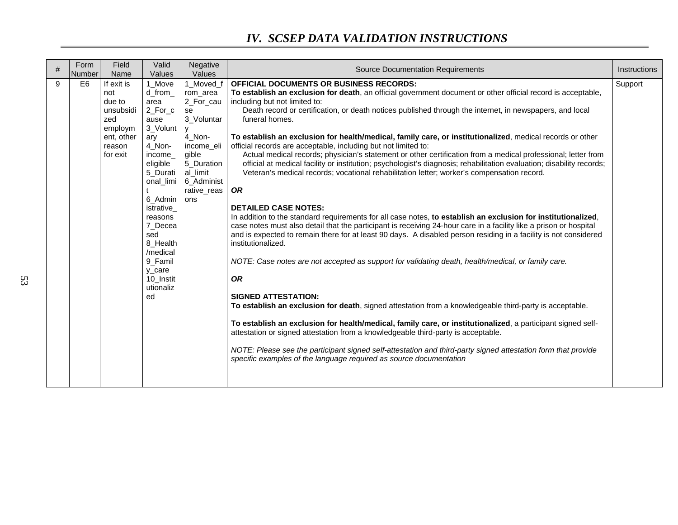| # | Form<br>Number | Field<br>Name                                                                                  | Valid<br>Values                                                                                                                                                                                                                                            | Negative<br>Values                                                                                                                                    | <b>Source Documentation Requirements</b>                                                                                                                                                                                                                                                                                                                                                                                                                                                                                                                                                                                                                                                                                                                                                                                                                                                                                                                                                                                                                                                                                                                                                                                                                                                                                                                                                                                                                                                                                                                                                                                                                                                                                                                                                                                                                                                                                          | Instructions |
|---|----------------|------------------------------------------------------------------------------------------------|------------------------------------------------------------------------------------------------------------------------------------------------------------------------------------------------------------------------------------------------------------|-------------------------------------------------------------------------------------------------------------------------------------------------------|-----------------------------------------------------------------------------------------------------------------------------------------------------------------------------------------------------------------------------------------------------------------------------------------------------------------------------------------------------------------------------------------------------------------------------------------------------------------------------------------------------------------------------------------------------------------------------------------------------------------------------------------------------------------------------------------------------------------------------------------------------------------------------------------------------------------------------------------------------------------------------------------------------------------------------------------------------------------------------------------------------------------------------------------------------------------------------------------------------------------------------------------------------------------------------------------------------------------------------------------------------------------------------------------------------------------------------------------------------------------------------------------------------------------------------------------------------------------------------------------------------------------------------------------------------------------------------------------------------------------------------------------------------------------------------------------------------------------------------------------------------------------------------------------------------------------------------------------------------------------------------------------------------------------------------------|--------------|
| 9 | E <sub>6</sub> | If exit is<br>not<br>due to<br>unsubsidi<br>zed<br>employm<br>ent, other<br>reason<br>for exit | 1_Move<br>d from<br>area<br>2 For c<br>ause<br>3_Volunt<br>ary<br>4_Non-<br>income<br>eligible<br>5_Durati<br>onal_limi<br>6_Admin<br>istrative_<br>reasons<br>7_Decea<br>sed<br>8_Health<br>/medical<br>9 Famil<br>y care<br>10_Instit<br>utionaliz<br>ed | 1_Moved_f<br>rom_area<br>2_For_cau<br>se<br>3_Voluntar<br>4 Non-<br>income eli<br>gible<br>5 Duration<br>al_limit<br>6_Administ<br>rative_reas<br>ons | OFFICIAL DOCUMENTS OR BUSINESS RECORDS:<br>To establish an exclusion for death, an official government document or other official record is acceptable,<br>including but not limited to:<br>Death record or certification, or death notices published through the internet, in newspapers, and local<br>funeral homes.<br>To establish an exclusion for health/medical, family care, or institutionalized, medical records or other<br>official records are acceptable, including but not limited to:<br>Actual medical records; physician's statement or other certification from a medical professional; letter from<br>official at medical facility or institution; psychologist's diagnosis; rehabilitation evaluation; disability records;<br>Veteran's medical records; vocational rehabilitation letter; worker's compensation record.<br><b>OR</b><br><b>DETAILED CASE NOTES:</b><br>In addition to the standard requirements for all case notes, to establish an exclusion for institutionalized,<br>case notes must also detail that the participant is receiving 24-hour care in a facility like a prison or hospital<br>and is expected to remain there for at least 90 days. A disabled person residing in a facility is not considered<br>institutionalized.<br>NOTE: Case notes are not accepted as support for validating death, health/medical, or family care.<br><b>OR</b><br><b>SIGNED ATTESTATION:</b><br>To establish an exclusion for death, signed attestation from a knowledgeable third-party is acceptable.<br>To establish an exclusion for health/medical, family care, or institutionalized, a participant signed self-<br>attestation or signed attestation from a knowledgeable third-party is acceptable.<br>NOTE: Please see the participant signed self-attestation and third-party signed attestation form that provide<br>specific examples of the language required as source documentation | Support      |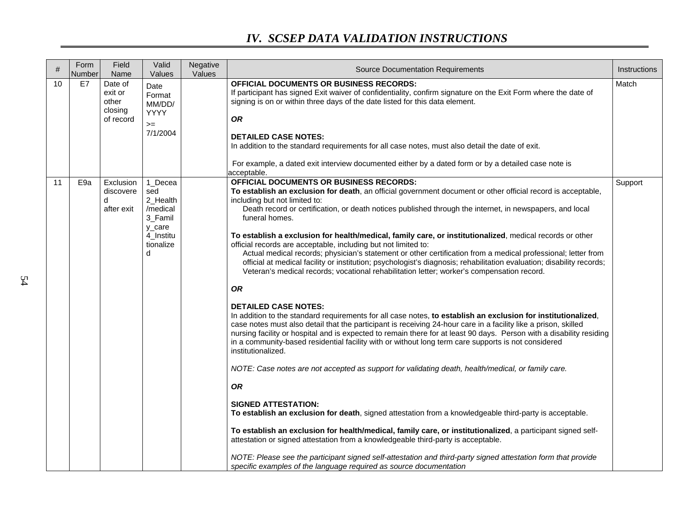| #  | Form<br>Number  | Field<br>Name                                       | Valid<br>Values                                                                            | Negative<br>Values | <b>Source Documentation Requirements</b>                                                                                                                                                                                                                                                                                                                                                                                                                                                                                                                                                                                                                                                                                                                                                                                                                                                                                                                                                                                                                                                                                                                                                                                                                                                                                                                                                                                                                                                                                                                                                                                                                                                                                                                                                                                                                                                                                                                                                                                                 | Instructions |
|----|-----------------|-----------------------------------------------------|--------------------------------------------------------------------------------------------|--------------------|------------------------------------------------------------------------------------------------------------------------------------------------------------------------------------------------------------------------------------------------------------------------------------------------------------------------------------------------------------------------------------------------------------------------------------------------------------------------------------------------------------------------------------------------------------------------------------------------------------------------------------------------------------------------------------------------------------------------------------------------------------------------------------------------------------------------------------------------------------------------------------------------------------------------------------------------------------------------------------------------------------------------------------------------------------------------------------------------------------------------------------------------------------------------------------------------------------------------------------------------------------------------------------------------------------------------------------------------------------------------------------------------------------------------------------------------------------------------------------------------------------------------------------------------------------------------------------------------------------------------------------------------------------------------------------------------------------------------------------------------------------------------------------------------------------------------------------------------------------------------------------------------------------------------------------------------------------------------------------------------------------------------------------------|--------------|
| 10 | E7              | Date of<br>exit or<br>other<br>closing<br>of record | Date<br>Format<br>MM/DD/<br><b>YYYY</b><br>$>=$<br>7/1/2004                                |                    | <b>OFFICIAL DOCUMENTS OR BUSINESS RECORDS:</b><br>If participant has signed Exit waiver of confidentiality, confirm signature on the Exit Form where the date of<br>signing is on or within three days of the date listed for this data element.<br><b>OR</b><br><b>DETAILED CASE NOTES:</b><br>In addition to the standard requirements for all case notes, must also detail the date of exit.<br>For example, a dated exit interview documented either by a dated form or by a detailed case note is<br>acceptable.                                                                                                                                                                                                                                                                                                                                                                                                                                                                                                                                                                                                                                                                                                                                                                                                                                                                                                                                                                                                                                                                                                                                                                                                                                                                                                                                                                                                                                                                                                                    | Match        |
| 11 | E <sub>9a</sub> | Exclusion<br>discovere<br>d<br>after exit           | 1 Decea<br>sed<br>2_Health<br>/medical<br>3 Famil<br>y_care<br>4 Institu<br>tionalize<br>d |                    | OFFICIAL DOCUMENTS OR BUSINESS RECORDS:<br>To establish an exclusion for death, an official government document or other official record is acceptable,<br>including but not limited to:<br>Death record or certification, or death notices published through the internet, in newspapers, and local<br>funeral homes.<br>To establish a exclusion for health/medical, family care, or institutionalized, medical records or other<br>official records are acceptable, including but not limited to:<br>Actual medical records; physician's statement or other certification from a medical professional; letter from<br>official at medical facility or institution; psychologist's diagnosis; rehabilitation evaluation; disability records;<br>Veteran's medical records; vocational rehabilitation letter; worker's compensation record.<br><b>OR</b><br><b>DETAILED CASE NOTES:</b><br>In addition to the standard requirements for all case notes, to establish an exclusion for institutionalized,<br>case notes must also detail that the participant is receiving 24-hour care in a facility like a prison, skilled<br>nursing facility or hospital and is expected to remain there for at least 90 days. Person with a disability residing<br>in a community-based residential facility with or without long term care supports is not considered<br>institutionalized.<br>NOTE: Case notes are not accepted as support for validating death, health/medical, or family care.<br><b>OR</b><br><b>SIGNED ATTESTATION:</b><br>To establish an exclusion for death, signed attestation from a knowledgeable third-party is acceptable.<br>To establish an exclusion for health/medical, family care, or institutionalized, a participant signed self-<br>attestation or signed attestation from a knowledgeable third-party is acceptable.<br>NOTE: Please see the participant signed self-attestation and third-party signed attestation form that provide<br>specific examples of the language required as source documentation | Support      |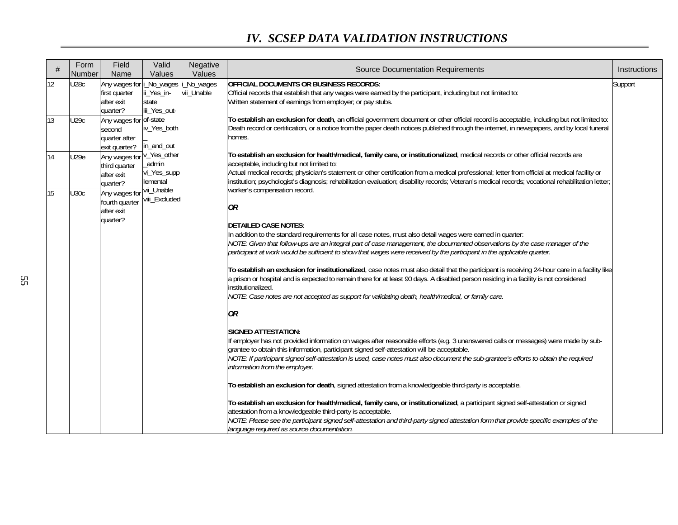| #               | Form<br>Number | Field<br>Name                                                       | Valid<br>Values                                  | Negative<br>Values      | <b>Source Documentation Requirements</b>                                                                                                                                                                                                                                                                                                                                                                                                                                           | Instructions |                                            |  |
|-----------------|----------------|---------------------------------------------------------------------|--------------------------------------------------|-------------------------|------------------------------------------------------------------------------------------------------------------------------------------------------------------------------------------------------------------------------------------------------------------------------------------------------------------------------------------------------------------------------------------------------------------------------------------------------------------------------------|--------------|--------------------------------------------|--|
| 12              | <b>U28c</b>    | Any wages for i_No_wages<br>first quarter<br>after exit<br>quarter? | ii_Yes_in-<br>state<br>iii_Yes_out-              | _No_wages<br>vii_Unable | <b>OFFICIAL DOCUMENTS OR BUSINESS RECORDS:</b><br>Official records that establish that any wages were earned by the participant, including but not limited to:<br>Written statement of earnings from employer; or pay stubs.                                                                                                                                                                                                                                                       | Support      |                                            |  |
| 13              | U29c           | Any wages for of-state<br>second<br>quarter after<br>exit quarter?  | iv_Yes_both<br>in_and_out                        |                         | To establish an exclusion for death, an official government document or other official record is acceptable, including but not limited to:<br>Death record or certification, or a notice from the paper death notices published through the internet, in newspapers, and by local funeral<br>homes.                                                                                                                                                                                |              |                                            |  |
| 14              | U29e           | Any wages for<br>third quarter<br>after exit<br>quarter?            | v_Yes_other<br>_admin<br>vi_Yes_supp<br>lemental |                         | To establish an exclusion for health/medical, family care, or institutionalized, medical records or other official records are<br>acceptable, including but not limited to:<br>Actual medical records; physician's statement or other certification from a medical professional; letter from official at medical facility or<br>institution; psychologist's diagnosis; rehabilitation evaluation; disability records; Veteran's medical records; vocational rehabilitation letter; |              |                                            |  |
| $\overline{15}$ | <b>U30c</b>    | Any wages for<br>fourth quarter<br>after exit<br>quarter?           | viii_Excluded                                    | vii_Unable              |                                                                                                                                                                                                                                                                                                                                                                                                                                                                                    |              | worker's compensation record.<br><b>OR</b> |  |
|                 |                |                                                                     |                                                  |                         | <b>DETAILED CASE NOTES:</b><br>In addition to the standard requirements for all case notes, must also detail wages were earned in quarter:<br>NOTE: Given that follow-ups are an integral part of case management, the documented observations by the case manager of the<br>participant at work would be sufficient to show that wages were received by the participant in the applicable quarter.                                                                                |              |                                            |  |
|                 |                |                                                                     |                                                  |                         | To establish an exclusion for institutionalized, case notes must also detail that the participant is receiving 24-hour care in a facility like<br>a prison or hospital and is expected to remain there for at least 90 days. A disabled person residing in a facility is not considered<br>institutionalized.<br>NOTE: Case notes are not accepted as support for validating death, health/medical, or family care.                                                                |              |                                            |  |
|                 |                |                                                                     |                                                  |                         | OR                                                                                                                                                                                                                                                                                                                                                                                                                                                                                 |              |                                            |  |
|                 |                |                                                                     |                                                  |                         | <b>SIGNED ATTESTATION:</b><br>If employer has not provided information on wages after reasonable efforts (e.g. 3 unanswered calls or messages) were made by sub-<br>grantee to obtain this information, participant signed self-attestation will be acceptable.<br>NOTE: If participant signed self-attestation is used, case notes must also document the sub-grantee's efforts to obtain the required<br>information from the employer.                                          |              |                                            |  |
|                 |                |                                                                     |                                                  |                         | To establish an exclusion for death, signed attestation from a knowledgeable third-party is acceptable.                                                                                                                                                                                                                                                                                                                                                                            |              |                                            |  |
|                 |                |                                                                     |                                                  |                         | To establish an exclusion for health/medical, family care, or institutionalized, a participant signed self-attestation or signed<br>attestation from a knowledgeable third-party is acceptable.<br>NOTE: Please see the participant signed self-attestation and third-party signed attestation form that provide specific examples of the<br>language required as source documentation.                                                                                            |              |                                            |  |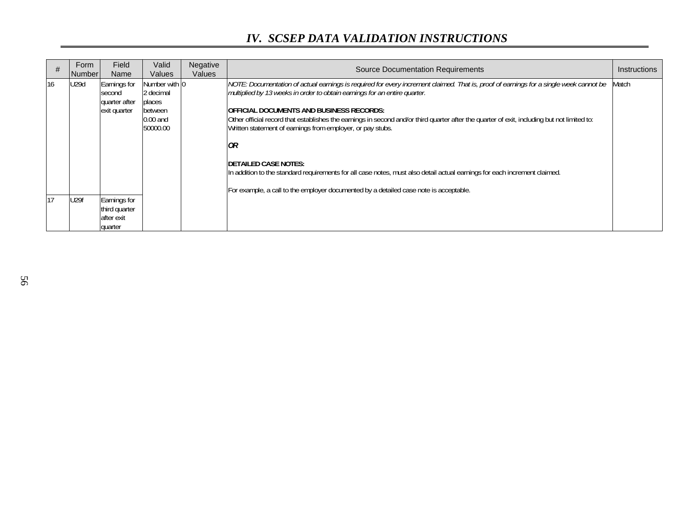| #  | Form<br>Number | Field<br>Name                                           | Valid<br>Values                                                           | Negative<br>Values | <b>Source Documentation Requirements</b>                                                                                                                                                                                                                                                                                                                                                                                                                                                                                                                                                                                                                                                                                                         | <b>Instructions</b> |
|----|----------------|---------------------------------------------------------|---------------------------------------------------------------------------|--------------------|--------------------------------------------------------------------------------------------------------------------------------------------------------------------------------------------------------------------------------------------------------------------------------------------------------------------------------------------------------------------------------------------------------------------------------------------------------------------------------------------------------------------------------------------------------------------------------------------------------------------------------------------------------------------------------------------------------------------------------------------------|---------------------|
| 16 | U29d           | Earnings for<br>second<br>quarter after<br>exit quarter | Number with 0<br>2 decimal<br>places<br>between<br>$0.00$ and<br>50000.00 |                    | NOTE: Documentation of actual earnings is required for every increment claimed. That is, proof of earnings for a single week cannot be<br>multiplied by 13 weeks in order to obtain earnings for an entire quarter.<br><b>IOFFICIAL DOCUMENTS AND BUSINESS RECORDS:</b><br>Other official record that establishes the earnings in second and/or third quarter after the quarter of exit, including but not limited to:<br>Written statement of earnings from employer, or pay stubs.<br>OR<br><b>IDETAILED CASE NOTES:</b><br>In addition to the standard requirements for all case notes, must also detail actual earnings for each increment claimed.<br>For example, a call to the employer documented by a detailed case note is acceptable. | Match               |
| 17 | <b>U29f</b>    | Earnings for<br>third quarter<br>after exit<br>quarter  |                                                                           |                    |                                                                                                                                                                                                                                                                                                                                                                                                                                                                                                                                                                                                                                                                                                                                                  |                     |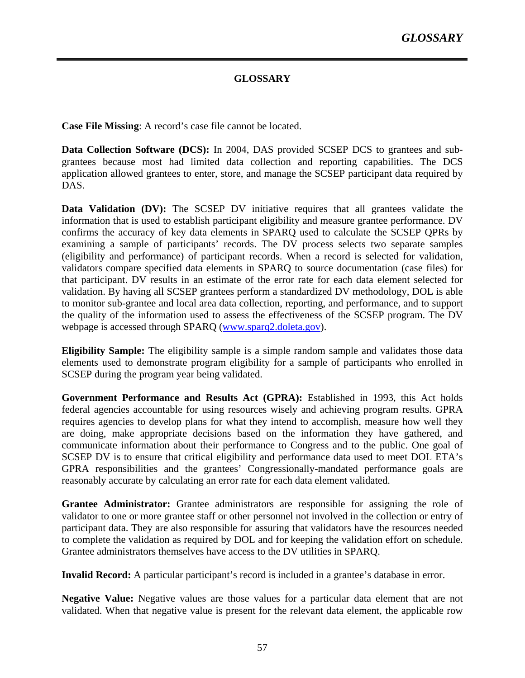#### **GLOSSARY**

**Case File Missing**: A record's case file cannot be located.

**Data Collection Software (DCS):** In 2004, DAS provided SCSEP DCS to grantees and subgrantees because most had limited data collection and reporting capabilities. The DCS application allowed grantees to enter, store, and manage the SCSEP participant data required by DAS.

**Data Validation (DV):** The SCSEP DV initiative requires that all grantees validate the information that is used to establish participant eligibility and measure grantee performance. DV confirms the accuracy of key data elements in SPARQ used to calculate the SCSEP QPRs by examining a sample of participants' records. The DV process selects two separate samples (eligibility and performance) of participant records. When a record is selected for validation, validators compare specified data elements in SPARQ to source documentation (case files) for that participant. DV results in an estimate of the error rate for each data element selected for validation. By having all SCSEP grantees perform a standardized DV methodology, DOL is able to monitor sub-grantee and local area data collection, reporting, and performance, and to support the quality of the information used to assess the effectiveness of the SCSEP program. The DV webpage is accessed through SPARQ (www.sparq2.doleta.gov).

**Eligibility Sample:** The eligibility sample is a simple random sample and validates those data elements used to demonstrate program eligibility for a sample of participants who enrolled in SCSEP during the program year being validated.

**Government Performance and Results Act (GPRA):** Established in 1993, this Act holds federal agencies accountable for using resources wisely and achieving program results. GPRA requires agencies to develop plans for what they intend to accomplish, measure how well they are doing, make appropriate decisions based on the information they have gathered, and communicate information about their performance to Congress and to the public. One goal of SCSEP DV is to ensure that critical eligibility and performance data used to meet DOL ETA's GPRA responsibilities and the grantees' Congressionally-mandated performance goals are reasonably accurate by calculating an error rate for each data element validated.

**Grantee Administrator:** Grantee administrators are responsible for assigning the role of validator to one or more grantee staff or other personnel not involved in the collection or entry of participant data. They are also responsible for assuring that validators have the resources needed to complete the validation as required by DOL and for keeping the validation effort on schedule. Grantee administrators themselves have access to the DV utilities in SPARQ.

**Invalid Record:** A particular participant's record is included in a grantee's database in error.

**Negative Value:** Negative values are those values for a particular data element that are not validated. When that negative value is present for the relevant data element, the applicable row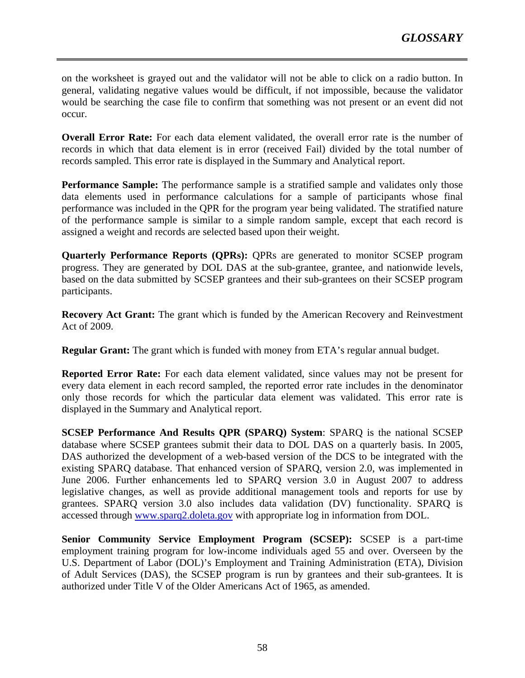on the worksheet is grayed out and the validator will not be able to click on a radio button. In general, validating negative values would be difficult, if not impossible, because the validator would be searching the case file to confirm that something was not present or an event did not occur.

**Overall Error Rate:** For each data element validated, the overall error rate is the number of records in which that data element is in error (received Fail) divided by the total number of records sampled. This error rate is displayed in the Summary and Analytical report.

**Performance Sample:** The performance sample is a stratified sample and validates only those data elements used in performance calculations for a sample of participants whose final performance was included in the QPR for the program year being validated. The stratified nature of the performance sample is similar to a simple random sample, except that each record is assigned a weight and records are selected based upon their weight.

**Quarterly Performance Reports (QPRs):** QPRs are generated to monitor SCSEP program progress. They are generated by DOL DAS at the sub-grantee, grantee, and nationwide levels, based on the data submitted by SCSEP grantees and their sub-grantees on their SCSEP program participants.

**Recovery Act Grant:** The grant which is funded by the American Recovery and Reinvestment Act of 2009.

**Regular Grant:** The grant which is funded with money from ETA's regular annual budget.

**Reported Error Rate:** For each data element validated, since values may not be present for every data element in each record sampled, the reported error rate includes in the denominator only those records for which the particular data element was validated. This error rate is displayed in the Summary and Analytical report.

**SCSEP Performance And Results QPR (SPARQ) System**: SPARQ is the national SCSEP database where SCSEP grantees submit their data to DOL DAS on a quarterly basis. In 2005, DAS authorized the development of a web-based version of the DCS to be integrated with the existing SPARQ database. That enhanced version of SPARQ, version 2.0, was implemented in June 2006. Further enhancements led to SPARQ version 3.0 in August 2007 to address legislative changes, as well as provide additional management tools and reports for use by grantees. SPARQ version 3.0 also includes data validation (DV) functionality. SPARQ is accessed through www.sparq2.doleta.gov with appropriate log in information from DOL.

**Senior Community Service Employment Program (SCSEP):** SCSEP is a part-time employment training program for low-income individuals aged 55 and over. Overseen by the U.S. Department of Labor (DOL)'s Employment and Training Administration (ETA), Division of Adult Services (DAS), the SCSEP program is run by grantees and their sub-grantees. It is authorized under Title V of the Older Americans Act of 1965, as amended.